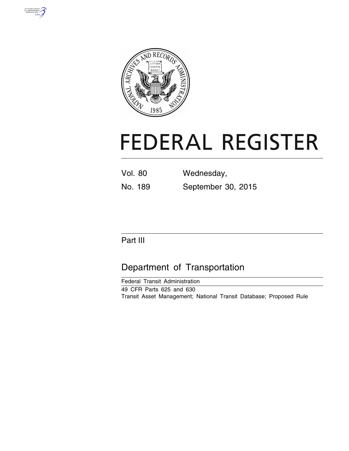



# **FEDERAL REGISTER**

| <b>Vol. 80</b> | Wednesday,         |
|----------------|--------------------|
| No. 189        | September 30, 2015 |

# Part III

# Department of Transportation

Federal Transit Administration 49 CFR Parts 625 and 630 Transit Asset Management; National Transit Database; Proposed Rule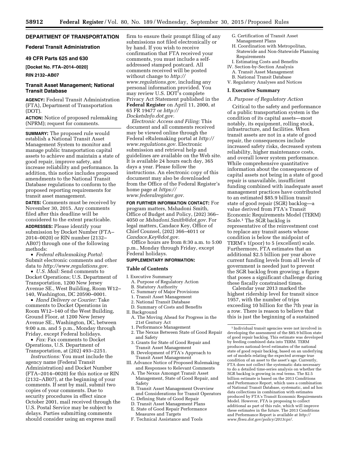# **DEPARTMENT OF TRANSPORTATION**

# **Federal Transit Administration**

# **49 CFR Parts 625 and 630**

**[Docket No. FTA–2014–0020]** 

# **RIN 2132–AB07**

# **Transit Asset Management; National Transit Database**

**AGENCY:** Federal Transit Administration (FTA), Department of Transportation (DOT).

**ACTION:** Notice of proposed rulemaking (NPRM); request for comments.

**SUMMARY:** The proposed rule would establish a National Transit Asset Management System to monitor and manage public transportation capital assets to achieve and maintain a state of good repair, improve safety, and increase reliability and performance. In addition, this notice includes proposed amendments to the National Transit Database regulations to conform to the proposed reporting requirements for transit asset management.

**DATES:** Comments must be received by November 30, 2015. Any comments filed after this deadline will be considered to the extent practicable. **ADDRESSES:** Please identify your submission by Docket Number (FTA– 2014–0020) or RIN number (2132– AB07) through one of the following methods:

• *Federal eRulemaking Portal:*  Submit electronic comments and other data to *[http://www.regulations.gov.](http://www.regulations.gov)* 

• *U.S. Mail:* Send comments to Docket Operations; U.S. Department of Transportation, 1200 New Jersey Avenue SE., West Building, Room W12– 140, Washington, DC 20590–0001.

• *Hand Delivery or Courier:* Take comments to Docket Operations in Room W12–140 of the West Building, Ground Floor, at 1200 New Jersey Avenue SE., Washington, DC, between 9:00 a.m. and 5 p.m., Monday through Friday, except Federal holidays.

• *Fax:* Fax comments to Docket Operations, U.S. Department of Transportation, at (202) 493–2251.

*Instructions:* You must include the agency name (Federal Transit Administration) and Docket Number (FTA–2014–0020) for this notice or RIN (2132–AB07), at the beginning of your comments. If sent by mail, submit two copies of your comments. Due to security procedures in effect since October 2001, mail received through the U.S. Postal Service may be subject to delays. Parties submitting comments should consider using an express mail

firm to ensure their prompt filing of any submissions not filed electronically or by hand. If you wish to receive confirmation that FTA received your comments, you must include a selfaddressed stamped postcard. All comments received will be posted without change to *[http://](http://www.regulations.gov) [www.regulations.gov,](http://www.regulations.gov)* including any personal information provided. You may review U.S. DOT's complete Privacy Act Statement published in the **Federal Register** on April 11, 2000, at 65 FR 19477 or *[http://](http://DocketsInfo.dot.gov) [DocketsInfo.dot.gov.](http://DocketsInfo.dot.gov)* 

*Electronic Access and Filing:* This document and all comments received may be viewed online through the Federal eRulemaking portal at *[http://](http://www.regulations.gov) [www.regulations.gov.](http://www.regulations.gov)* Electronic submission and retrieval help and guidelines are available on the Web site. It is available 24 hours each day, 365 days a year. Please follow the instructions. An electronic copy of this document may also be downloaded from the Office of the Federal Register's home page at *[https://](https://www.federalregister.gov) [www.federalregister.gov.](https://www.federalregister.gov)* 

**FOR FURTHER INFORMATION CONTACT:** For program matters, Mshadoni Smith, Office of Budget and Policy, (202) 366– 4050 or *[Mshadoni.Smith@dot.gov.](mailto:Mshadoni.Smith@dot.gov)* For legal matters, Candace Key, Office of Chief Counsel, (202) 366–4011 or *[Candace.Key@dot.gov.](mailto:Candace.Key@dot.gov)* 

Office hours are from 8:30 a.m. to 5:00 p.m., Monday through Friday, except Federal holidays.

#### **SUPPLEMENTARY INFORMATION:**

#### **Table of Contents**

- I. Executive Summary
	- A. Purpose of Regulatory Action
	- B. Statutory Authority
	- C. Summary of Major Provisions
	- 1. Transit Asset Management
	- 2. National Transit Database
	- D. Summary of Costs and Benefits
- II. Background
- A. The Moving Ahead for Progress in the 21st Century Act
- 1. Performance Management
- 2. The Nexus Between State of Good Repair and Safety
- 3. Grants for State of Good Repair and Transit Asset Management
- B. Development of FTA's Approach to Transit Asset Management
- III. Advance Notice of Proposed Rulemaking and Responses to Relevant Comments
- A. The Nexus Amongst Transit Asset Management, State of Good Repair, and Safety
- B. Transit Asset Management Overview and Considerations for Transit Operators
- C. Defining State of Good Repair
- D. Transit Asset Management Plans
- E. State of Good Repair Performance
	- Measures and Targets
- F. Technical Assistance and Tools
- G. Certification of Transit Asset
- Management Plans H. Coordination with Metropolitan, Statewide and Non-Statewide Planning
- Requirements I. Estimating Costs and Benefits
- IV. Section-by-Section Analysis
- A. Transit Asset Management
- B. National Transit Database
- V. Regulatory Analyses and Notices

# **I. Executive Summary**

# *A. Purpose of Regulatory Action*

Critical to the safety and performance of a public transportation system is the condition of its capital assets—most notably, its equipment, rolling stock, infrastructure, and facilities. When transit assets are not in a state of good repair, the consequences include increased safety risks, decreased system reliability, higher maintenance costs, and overall lower system performance. While comprehensive quantitative information about the consequences of capital assets not being in a state of good repair is unavailable, insufficient funding combined with inadequate asset management practices have contributed to an estimated \$85.9 billion transit state of good repair (SGR) backlog—a value derived from FTA's Transit Economic Requirements Model (TERM) Scale.1 The SGR backlog is representative of the reinvestment cost to replace any transit assets whose condition is below the midpoint of TERM's 1(poor) to 5 (excellent) scale. Furthermore, FTA estimates that an additional \$2.5 billion per year above current funding levels from all levels of government is needed just to prevent the SGR backlog from growing; a figure that poses a significant challenge during these fiscally constrained times.

Calendar year 2013 marked the highest ridership level for transit since 1957, with the number of trips exceeding 10 billion for the 7th year in a row. There is reason to believe that this is just the beginning of a sustained

<sup>1</sup> Individual transit agencies were not involved in developing the assessment of the \$85.9 billion state of good repair backlog. This estimate was developed by feeding combined data into TERM. TERM produces national-level estimates of the national state of good repair backlog, based on an underlying set of models relating the expected average true condition of an asset to the asset's age. Currently, FTA does not collect the systematic data necessary to do a detailed time-series analysis on whether the SGR backlog is growing in real terms. The \$2.5 billion estimate is based on the 2013 Conditions and Performance Report, which uses a combination of National Transit Database, systematic, and ad hoc data collections in combination with estimates produced by FTA's Transit Economic Requirements Model. However, FTA is proposing to collect additional as part of this rule, which will improve these estimates in the future. The 2013 Conditions and Performance Report is available at *[http://](http://www.fhwa.dot.gov/policy/2013cpr/) [www.fhwa.dot.gov/policy/2013cpr/.](http://www.fhwa.dot.gov/policy/2013cpr/)*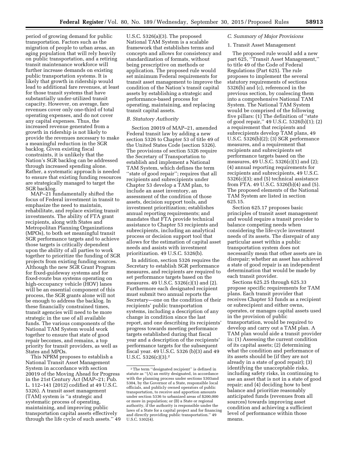period of growing demand for public transportation. Factors such as the migration of people to urban areas, an aging population that will rely heavily on public transportation, and a retiring transit maintenance workforce will further increase demands on existing public transportation systems. It is likely that growth in ridership would lead to additional fare revenues, at least for those transit systems that have substantially under-utilized transit capacity. However, on average, fare revenues cover only one-third of total operating expenses, and do not cover any capital expenses. Thus, the increased revenue generated from a growth in ridership is not likely to provide the revenues necessary to make a meaningful reduction in the SGR backlog. Given existing fiscal constraints, it is unlikely that the Nation's SGR backlog can be addressed through increased spending alone. Rather, a systematic approach is needed to ensure that existing funding resources are strategically managed to target the

SGR backlog. MAP–21 fundamentally shifted the focus of Federal investment in transit to emphasize the need to maintain, rehabilitate, and replace existing transit investments. The ability of FTA grant recipients, along with States and Metropolitan Planning Organizations (MPOs), to both set meaningful transit SGR performance targets and to achieve those targets is critically dependent upon the ability of all parties to work together to prioritize the funding of SGR projects from existing funding sources. Although the new SGR Grant Program for fixed-guideway systems and for fixed-route bus systems operating on high-occupancy vehicle (HOV) lanes will be an essential component of this process, the SGR grants alone will not be enough to address the backlog. In these financially constrained times, transit agencies will need to be more strategic in the use of all available funds. The various components of the National TAM System would work together to ensure that state of good repair becomes, and remains, a top priority for transit providers, as well as States and MPOs.

This NPRM proposes to establish a National Transit Asset Management System in accordance with section 20019 of the Moving Ahead for Progress in the 21st Century Act (MAP–21; Pub. L. 112–141 (2012) codified at 49 U.S.C. 5326). A transit asset management (TAM) system is ''a strategic and systematic process of operating, maintaining, and improving public transportation capital assets effectively through the life cycle of such assets.'' 49

U.S.C. 5326(a)(3). The proposed National TAM System is a scalable framework that establishes terms and concepts and allows for consistency and standardization of formats, without being prescriptive on methods or application. The proposed rule would set minimum Federal requirements for transit asset management to improve the condition of the Nation's transit capital assets by establishing a strategic and performance-based process for operating, maintaining, and replacing transit capital assets.

# *B. Statutory Authority*

Section 20019 of MAP–21, amended Federal transit law by adding a new section 5326 to Chapter 53 of title 49 of the United States Code (section 5326). The provisions of section 5326 require the Secretary of Transportation to establish and implement a National TAM System, which defines the term "state of good repair"; requires that all recipients and subrecipients under Chapter 53 develop a TAM plan, to include an asset inventory, an assessment of the condition of those assets, decision support tools, and investment prioritization; establishes annual reporting requirements; and mandates that FTA provide technical assistance to Chapter 53 recipients and subrecipients, including an analytical process or decision support tool that allows for the estimation of capital asset needs and assists with investment prioritization. 49 U.S.C. 5326(b).

In addition, section 5326 requires the Secretary to establish SGR performance measures, and recipients are required to set performance targets based on the measures. 49 U.S.C. 5326(c)(1) and (2). Furthermore each designated recipient must submit two annual reports the Secretary—one on the condition of their recipients' public transportation systems, including a description of any change in condition since the last report, and one describing its recipients' progress towards meeting performance targets established during that fiscal year and a description of the recipients' performance targets for the subsequent fiscal year. 49 U.S.C. 5326 (b)(3) and 49 U.S.C.  $5326(c)(3).2$ 

# *C. Summary of Major Provisions*

# 1. Transit Asset Management

The proposed rule would add a new part 625, ''Transit Asset Management,'' to title 49 of the Code of Federal Regulations (Part 625). The rule proposes to implement the several statutory requirements of sections 5326(b) and (c), referenced in the previous section, by coalescing them into a comprehensive National TAM System. The National TAM System would be comprised of the following five pillars: (1) The definition of ''state of good repair,'' 49 U.S.C. 5326(b)(1); (2) a requirement that recipients and subrecipients develop TAM plans, 49 U.S.C. 5326(b)(2); (3) SGR performance measures, and a requirement that recipients and subrecipients set performance targets based on the measures, 49 U.S.C. 5326(c)(1) and (2); (4) annual reporting requirements for recipients and subrecipients, 49 U.S.C.  $5326(c)(3)$ ; and  $(5)$  technical assistance from FTA. 49 U.S.C. 5326(b)(4) and (5). The proposed elements of the National TAM System are listed in section 625.15.

Section 625.17 proposes basic principles of transit asset management and would require a transit provider to balance competing needs when considering the life-cycle investment needs of its assets. The disrepair of any particular asset within a public transportation system does not necessarily mean that other assets are in disrepair; whether an asset has achieved a state of good repair is an independent determination that would be made by each transit provider.

Sections 625.25 through 625.33 propose specific requirements for TAM plans. Each transit provider that receives Chapter 53 funds as a recipient or subrecipient and either owns, operates, or manages capital assets used in the provision of public transportation, would be required to develop and carry out a TAM plan. A TAM plan would aide a transit provider in: (1) Assessing the current condition of its capital assets; (2) determining what the condition and performance of its assets should be (if they are not already in a state of good repair); (3) identifying the unacceptable risks, including safety risks, in continuing to use an asset that is not in a state of good repair; and (4) deciding how to best balance and prioritize reasonably anticipated funds (revenues from all sources) towards improving asset condition and achieving a sufficient level of performance within those means.

 $^{\rm 2}$  The term ''designated recipient'' is defined in statute as ''(A) an entity designated, in accordance with the planning process under sections 5303and 5304, by the Governor of a State, responsible local officials, and publicly owned operators of public transportation, to receive and apportion amounts under section 5336 to urbanized areas of \$200,000 or more in population; or (B) a State or regional authority, if the authority is responsible under the laws of a State for a capital project and for financing and directly providing public transportation.'' 49  $U.S.C. 5302(4)$ .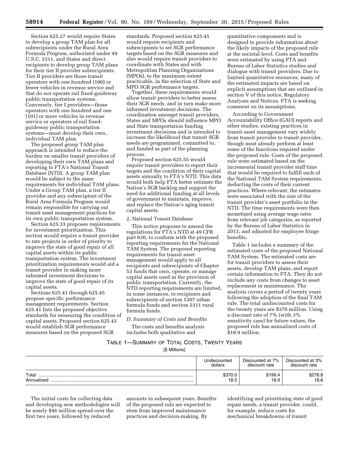Section 625.27 would require States to develop a group TAM plan for all subrecipients under the Rural Area Formula Program, authorized under 49 U.S.C. 5311, and States and direct recipients to develop group TAM plans for their tier II provider subrecipients. Tier II providers are those transit operators with one hundred (100) or fewer vehicles in revenue service and that do not operate rail fixed-guideway public transportation systems. Conversely, tier I providers—those operators with one hundred and one (101) or more vehicles in revenue service or operators of rail fixedguideway public transportation systems—must develop their own, individual TAM plan.

The proposed group TAM plan approach is intended to reduce the burden on smaller transit providers of developing their own TAM plans and reporting to FTA's National Transit Database (NTD). A group TAM plan would be subject to the same requirements for individual TAM plans. Under a Group TAM plan, a tier II provider and any subrecipient of the Rural Area Formula Program would remain responsible for carrying out transit asset management practices for its own public transportation system.

Section 625.33 proposes requirements for investment prioritization. This section would require a transit provider to rate projects in order of priority to improve the state of good repair of all capital assets within its public transportation system. The investment prioritization requirements would aid a transit provider in making more informed investment decisions to improve the state of good repair of its capital assets.

Sections 625.41 through 625.45 propose specific performance management requirements. Section 625.41 lists the proposed objective standards for measuring the condition of capital assets. Proposed section 625.43 would establish SGR performance measures based on the proposed SGR

standards. Proposed section 625.45 would require recipients and subrecipients to set SGR performance targets based on the SGR measures and also would require transit providers to coordinate with States and with Metropolitan Planning Organizations (MPOs), to the maximum extent practicable, in the selection of State and MPO SGR performance targets.

Together, these requirements would allow transit providers to better assess their SGR needs, and in turn make more informed investment decisions. The coordination amongst transit providers, States and MPOs should influence MPO and State transportation funding investment decisions and is intended to increase the likelihood that transit SGR needs are programmed, committed to, and funded as part of the planning process.

Proposed section 625.55 would require transit providers to report their targets and the condition of their capital assets annually to FTA's NTD. This data would both help FTA better estimate the Nation's SGR backlog and support the need for additional funding at all levels of government to maintain, improve, and replace the Nation's aging transit capital assets.

#### 2. National Transit Database

This notice proposes to amend the regulations for FTA's NTD at 49 CFR part 630, to conform with the proposed reporting requirements for the National TAM System. The proposed reporting requirements for transit asset management would apply to all recipients and subrecipients of Chapter 53 funds that own, operate, or manage capital assets used in the provision of public transportation. Currently, the NTD reporting requirements are limited, in some instances, to recipients and subrecipients of section 5307 urban formula funds and section 5311 rural formula funds.

*D. Summary of Costs and Benefits*  The costs and benefits analysis

includes both qualitative and

quantitative components and is designed to provide information about the likely impacts of the proposed rule at the societal level. Costs and benefits were estimated by using FTA and Bureau of Labor Statistics studies and dialogue with transit providers. Due to limited quantitative resources, many of the estimated impacts are based on explicit assumptions that are outlined in section V of this notice, Regulatory Analyses and Notices. FTA is seeking comment on its assumptions.

According to Government Accountability Office (GAO) reports and other studies, existing practices in transit asset management vary widely from transit provider to transit provider, though most already perform at least some of the functions required under the proposed rule. Costs of the proposed rule were estimated based on the incremental transit provider staff time that would be required to fulfill each of the National TAM System requirements, deducting the costs of their current practices. Where relevant, the estimates were associated with the size of the transit provider's asset portfolio in the NTD. The time requirements were then monetized using average wage rates from relevant job categories, as reported by the Bureau of Labor Statistics in 2013, and adjusted for employee fringe benefits.

Table 1 includes a summary of the estimated costs of the proposed National TAM System. The estimated costs are for transit providers to assess their assets, develop TAM plans, and report certain information to FTA. They do not include any costs from changes to asset replacement or maintenance. The analysis covers a period of twenty years following the adoption of the final TAM rule. The total undiscounted costs for the twenty years are \$370 million. Using a discount rate of 7% (with 3% sensitivity case) for future values, the proposed rule has annualized costs of \$18.9 million.

# TABLE 1—SUMMARY OF TOTAL COSTS, TWENTY YEARS [\$ Millions]

Undiscounted dollars Discounted at 7% discount rate Discounted at 3% discount rate Total ........................................................................................................................... \$370.0 \$199.4 \$276.8 Annualized ................................................................................................................. 18.5 18.9 18.6

The initial costs for collecting data and developing new methodologies will be nearly \$46 million spread over the first two years, followed by reduced

amounts in subsequent years. Benefits of the proposed rule are expected to stem from improved maintenance practices and decision-making. By

identifying and prioritizing state of good repair needs, a transit provider, could, for example, reduce costs for mechanical breakdowns of transit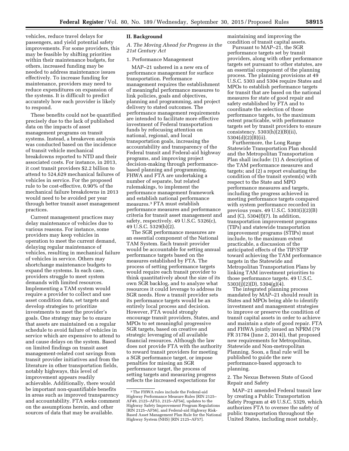vehicles, reduce travel delays for passengers, and yield potential safety improvements. For some providers, this may be feasible by shifting priorities within their maintenance budgets, for others, increased funding may be needed to address maintenance issues effectively. To increase funding for maintenance, providers may need to reduce expenditures on expansion of the systems. It is difficult to predict accurately how each provider is likely to respond.

These benefits could not be quantified precisely due to the lack of published data on the impacts of asset management programs on transit systems. Instead, a breakeven analysis was conducted based on the incidence of transit vehicle mechanical breakdowns reported to NTD and their associated costs. For instance, in 2013, it cost transit providers \$2.2 billion to attend to 524,629 mechanical failures of vehicles in service. For the proposed rule to be cost-effective, 0.90% of the mechanical failure breakdowns in 2013 would need to be avoided per year through better transit asset management practices.

Current management practices may delay maintenance of vehicles due to various reasons. For instance, some providers may keep vehicles in operation to meet the current demand, delaying regular maintenance of vehicles, resulting in mechanical failure of vehicles in service. Others may shortchange maintenance budgets to expand the systems. In each case, providers struggle to meet system demands with limited resources. Implementing a TAM system would require a provider to collect and use asset condition data, set targets and develop strategies to prioritize investments to meet the provider's goals. One strategy may be to ensure that assets are maintained on a regular schedule to avoid failure of vehicles in service which are expensive to attend to and cause delays on the system. Based on limited findings on transit asset management-related cost savings from transit provider initiatives and from the literature in other transportation fields, notably highways, this level of improvement appears readily achievable. Additionally, there would be important non-quantifiable benefits in areas such as improved transparency and accountability. FTA seeks comment on the assumptions herein, and other sources of data that may be available.

# **II. Background**

*A. The Moving Ahead for Progress in the 21st Century Act* 

#### 1. Performance Management

MAP–21 ushered in a new era of performance management for surface transportation. Performance management requires the establishment of meaningful performance measures to link policies, goals and objectives, planning and programming, and project delivery to stated outcomes. The performance management requirements are intended to facilitate more effective investment of Federal transportation funds by refocusing attention on national, regional, and local transportation goals, increasing the accountability and transparency of the Federal transit and Federal-aid highway programs, and improving project decision-making through performancebased planning and programming. FHWA and FTA are undertaking a number of separate, but related rulemakings, to implement the performance management framework and establish national performance measures.3 FTA must establish performance measures and performance criteria for transit asset management and safety, respectively. 49 U.S.C. 5326(c), 49 U.S.C. 5329(b)(2).

The SGR performance measures are an essential component of the National TAM System. Each transit provider would be accountable for setting annual performance targets based on the measures established by FTA. The process of setting performance targets would require each transit provider to think quantitatively about the size of its own SGR backlog, and to analyze what resources it could leverage to address its SGR needs. How a transit provider sets its performance targets would be an entirely local process and decision. However, FTA would strongly encourage transit providers, States, and MPOs to set meaningful progressive SGR targets, based on creative and strategic leveraging of all available financial resources. Although the law does not provide FTA with the authority to reward transit providers for meeting a SGR performance target, or impose penalties for missing an SGR performance target, the process of setting targets and measuring progress reflects the increased expectations for

maintaining and improving the condition of transit capital assets.

Pursuant to MAP–21, the SGR performance targets set by transit providers, along with other performance targets set pursuant to other statutes, are an essential component of the planning process. The planning provisions at 49 U.S.C. 5303 and 5304 require States and MPOs to establish performance targets for transit that are based on the national measures for state of good repair and safety established by FTA and to coordinate the selection of those performance targets, to the maximum extent practicable, with performance targets set by transit providers to ensure consistency.  $5303(h)(2)(B)(ii)$ , 5304(d)(2)(B)(ii).

Furthermore, the Long Range Statewide Transportation Plan should and the Metropolitan Transportation Plan shall include: (1) A description of the TAM performance measures and targets; and (2) a report evaluating the condition of the transit system(s) with respect to the State and MPO performance measures and targets, including the progress achieved in meeting performance targets compared with system performance recorded in previous years. 49 U.S.C. 5303(i)(2)(B) and (C), 5304(f)(7). In addition, transportation improvement programs (TIPs) and statewide transportation improvement programs (STIPs) must include, to the maximum extent practicable, a discussion of the anticipated effects of the TIP/STIP toward achieving the TAM performance targets in the Statewide and Metropolitan Transportation Plans by linking TAM investment priorities to those performance targets. 49 U.S.C.  $5303(i)(2)(D)$ ,  $5304(g)(4)$ .

The integrated planning process mandated by MAP–21 should result in States and MPOs being able to identify investment and management strategies to improve or preserve the condition of transit capital assets in order to achieve and maintain a state of good repair. FTA and FHWA jointly issued an NPRM (79 FR 31784 (June 2, 2014)), that proposed new requirements for Metropolitan, Statewide and Non-metropolitan Planning. Soon, a final rule will be published to guide the new performance-based approach to planning.

2. The Nexus Between State of Good Repair and Safety

MAP–21 amended Federal transit law by creating a Public Transportation Safety Program at 49 U.S.C. 5329, which authorizes FTA to oversee the safety of public transportation throughout the United States, including most notably,

<sup>3</sup>The FHWA rules include the Federal-aid Highway Performance Measure Rules [RIN 2125– AF49, 2125–AF53, 2125–AF54], updates to the Highway Safety Improvement Program Regulations [RIN 2125–AF56], and Federal-aid Highway Risk-Based Asset Management Plan Rule for the National Highway System (NHS) [RIN 2125–AF57].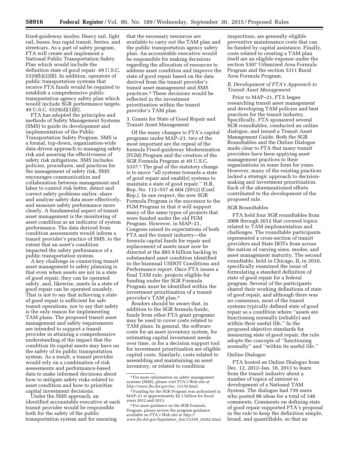fixed-guideway modes: Heavy rail, light rail, buses, bus rapid transit, ferries, and streetcars. As a part of safety program, FTA will create and implement a National Public Transportation Safety Plan which would include the definition state of good repair. 49 U.S.C. 5329(b)(2)(B). In addition, operators of public transportation systems that receive FTA funds would be required to establish a comprehensive public transportation agency safety plan which would include SGR performance targets. 49 U.S.C.  $5329(d)(1)(E)$ .

FTA has adopted the principles and methods of Safety Management Systems (SMS) to guide its development and implementation of the Public Transportation Safety Program. SMS is a formal, top-down, organization-wide data-driven approach to managing safety risk and assuring the effectiveness of safety risk mitigations. SMS includes policies, procedures, and practices for the management of safety risk. SMS encourages communication and collaboration between management and labor to control risk better, detect and correct safety problems earlier, share and analyze safety data more effectively, and measure safety performance more clearly. A fundamental aspect of transit asset management is the monitoring of asset condition as an indicator of system performance. The data derived from condition assessments would inform a transit provider's practice of SMS, to the extent that an asset's condition impacted the safety performance of a public transportation system.

A key challenge in connecting transit asset management to safety planning is that even when assets are not in a state of good repair, they can be operated safely, and, likewise, assets in a state of good repair can be operated unsafely. That is not to say that achieving a state of good repair is sufficient for safe transit operations, nor to say that safety is the only reason for implementing TAM plans. The proposed transit asset management and safety requirements are intended to support a transit provider in attaining a comprehensive understanding of the impact that the condition its capital assets may have on the safety of its public transportation system. As a result, a transit provider would rely on a combination of risk assessments and performance-based data to make informed decisions about how to mitigate safety risks related to asset condition and how to prioritize capital investment decisions.

Under the SMS approach, an identified accountable executive at each transit provider would be responsible both for the safety of the public transportation system and for ensuring

that the necessary resources are available to carry out the TAM plan and the public transportation agency safety plan. An accountable executive would be responsible for making decisions regarding the allocation of resources to address asset condition and improve the state of good repair based on the data derived from the transit provider's transit asset management and SMS practices.4 These decisions would be reflected in the investment prioritization within the transit provider's TAM plan.

# 3. Grants for State of Good Repair and Transit Asset Management

Of the many changes to FTA's capital programs under MAP–21, two of the most important are the repeal of the formula Fixed-guideway Modernization (FGM) Program and the creation of the SGR Formula Program at 49 U.S.C. 5337.5 The goal of the statutory change is to move ''all systems towards a state of good repair and enabl[e] systems to maintain a state of good repair.'' H.R. Rep. No. 112–557 at 604 (2012) (Conf. Rep.). In one respect, the new SGR Formula Program is the successor to the FGM Program in that it will support many of the same types of projects that were funded under the old FGM Program. However, in MAP–21, Congress raised its expectations of both FTA and the transit industry—the formula capital funds for repair and replacement of assets must now be directed at the \$85.9 billion backlog in substandard asset condition identified in the biannual USDOT Conditions and Performance report. Once FTA issues a final TAM rule, projects eligible for funding under the SGR Formula Program must be identified within the investment prioritization of a transit provider's TAM plan.6

Readers should be aware that, in addition to the SGR formula funds, funds from other FTA grant programs may be used to cover costs related to TAM plans. In general, the software costs for an asset inventory system, for estimating capital investment needs over time, or for a decision support tool for investment prioritization are eligible capital costs. Similarly, costs related to assembling and maintaining an asset inventory, or related to condition

inspections, are generally eligible preventive maintenance costs that can be funded by capital assistance. Finally, costs related to creating a TAM plan itself are an eligible expense under the section 5307 Urbanized Area Formula Program and the section 5311 Rural Area Formula Program.

# *B. Development of FTA's Approach to Transit Asset Management*

Prior to MAP–21, FTA began researching transit asset management and developing TAM policies and best practices for the transit industry. Specifically, FTA sponsored several SGR roundtables, conducted an online dialogue, and issued a Transit Asset Management Guide. Both the SGR Roundtables and the Online Dialogue made clear to FTA that many transit providers have been applying asset management practices to their organizations in some form for years. However, many of the existing practices lacked a strategic approach to decisionmaking and investment prioritization. Each of the aforementioned efforts contributed to the development of the proposed rule.

#### SGR Roundtables

FTA held four SGR roundtables from 2008 through 2012 that covered topics related to TAM implementation and challenges. The roundtable participants represented a cross-section of transit providers and State DOTs from across the nation of varying sizes, modes, and asset management maturity. The second roundtable, held in Chicago, IL in 2010, specifically examined the issue of formulating a standard definition of state of good repair for a federal program. Several of the participants shared their working definitions of state of good repair, and although there was no consensus, most of the transit systems typically defined state of good repair as a condition where ''assets are functioning normally (reliably) and within their useful life.'' In the proposed objective standards for measuring state of good repair, the rule adopts the concepts of ''functioning normally'' and ''within its useful life.''

#### Online Dialogue

FTA hosted an Online Dialogue from Dec. 12, 2012–Jan. 18, 2013 to learn from the transit industry about a number of topics of interest to development of a National TAM System. The dialogue had 739 users who posted 86 ideas for a total of 146 comments. Comments on defining state of good repair supported FTA's proposal in the rule to keep the definition simple, broad, and quantifiable, so that an

<sup>4</sup>For more information on safety management systems (SMS), please visit FTA's Web site at *[http://www.fta.dot.gov/tso](http://www.fta.dot.gov/tso_15176.html)*\_*15176.html.* 

 $^5\rm$  Funding for the SGR Program was authorized in MAP–21 at approximately \$2.1 billion for fiscal years 2012 and 2013.

<sup>6</sup>For more guidance on the SGR Formula Program, please review the program guidance available on FTA's Web site at *[http://](http://www.fta.dot.gov/legislation_law/12349_16262.html) [www.fta.dot.gov/legislation](http://www.fta.dot.gov/legislation_law/12349_16262.html)*\_*law/12349*\_*16262.html.*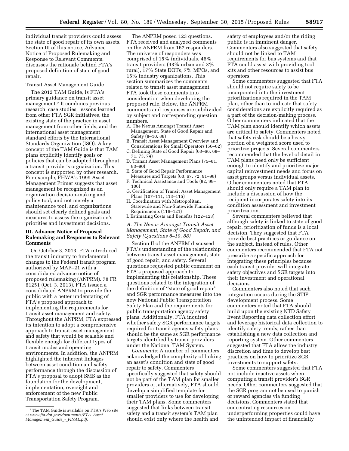individual transit providers could assess the state of good repair of its own assets. Section III of this notice, Advance Notice of Proposed Rulemaking and Response to Relevant Comments, discusses the rationale behind FTA's proposed definition of state of good repair.

# Transit Asset Management Guide

The 2012 TAM Guide, is FTA's primary guidance on transit asset management.7 It combines previous research, case studies, lessons learned from other FTA SGR initiatives, the existing state of the practice in asset management from other fields, and the international asset management standard efforts by the International Standards Organization (ISO). A key concept of the TAM Guide is that TAM plans explicitly identify goals or policies that can be adopted throughout a transit provider's orgnaization. This concept is supported by other research. For example, FHWA's 1999 Asset Management Primer suggests that asset management be recognized as an organization decision-making and policy tool, and not merely a maintenance tool, and organizations should set clearly defined goals and measures to assess the organization's priorities and investment decisions.

# **III. Advance Notice of Proposed Rulemaking and Responses to Relevant Comments**

On October 3, 2013, FTA introduced the transit industry to fundamental changes to the Federal transit program authorized by MAP–21 with a consolidated advance notice of proposed rulemaking (ANPRM). 78 FR 61251 (Oct. 3, 2013). FTA issued a consolidated ANPRM to provide the public with a better understating of FTA's proposed approach to implementing the requirements for transit asset management and safety. Throughout the ANPRM, FTA expressed its intention to adopt a comprehensive approach to transit asset management and safety that would be scalable and flexible enough for different types of transit modes and operating environments. In addition, the ANPRM highlighted the inherent linkages between asset condition and safety performance through the discussion of FTA's proposal to adopt SMS as the foundation for the development, implementation, oversight and enforcement of the new Public Transportation Safety Program.

The ANPRM posed 123 questions. FTA received and analyzed comments on the ANPRM from 167 responders. The universe of responders was comprised of 15% individuals, 46% transit providers (43% urban and 3% rural), 17% State DOTs, 7% MPOs, and 15% industry organizations. This section summarizes the comments related to transit asset management. FTA took these comments into consideration when developing the proposed rule. Below, the ANPRM comments and responses are subdivided by subject and corresponding question numbers.

- A. The Nexus Amongst Transit Asset Management, State of Good Repair and Safety (8–10, 88)
- B. Transit Asset Management Overview and Considerations for Small Operators (56–62)
- C. Defining State of Good Repair (63–66, 68– 71, 73, 74)
- D. Transit Asset Management Plans (75–81, 83–90)
- E. State of Good Repair Performance Measures and Targets (63, 67, 72, 91–98)
- F. Technical Assistance and Tools (82, 99– 106)
- G. Certification of Transit Asset Management Plans (107–111, 113–115)
- H. Coordination with Metropolitan, Statewide and Non-Statewide Planning Requirements (116–121)
- I. Estimating Costs and Benefits (122–123)

*A. The Nexus Amongst Transit Asset Management, State of Good Repair, and Safety (Questions 8–10, 88)* 

Section II of the ANPRM discussed FTA's understanding of the relationship between transit asset management, state of good repair, and safety. Several questions requested public comment on FTA's proposed approach to implementing this relationship. These questions related to the integration of the definition of ''state of good repair'' and SGR performance measures into the new National Public Transportation Safety Plan and the requirements for public transportation agency safety plans. Additionally, FTA inquired whether safety SGR performance targets required for transit agency safety plans should be the same as SGR performance targets identified by transit providers under the National TAM System.

*Comments:* A number of commenters acknowledged the complexity of linking an asset's condition and state of good repair to safety. Commenters specifically suggested that safety should not be part of the TAM plan for smaller providers or, alternatively, FTA should develop a simplified template for smaller providers to use for developing their TAM plans. Some commenters suggested that links between transit safety and a transit system's TAM plan should exist only where the health and

safety of employees and/or the riding public is in imminent danger. Commenters also suggested that safety should not be linked to TAM requirements for bus systems and that FTA could assist with providing tool kits and other resources to assist bus operators.

Some commenters suggested that FTA should not require safety to be incorporated into the investment prioritizations required in the TAM plan, other than to indicate that safety considerations are explicitly required as a part of the decision-making process. Other commenters indicated that the TAM plan should identify which assets are critical to safety. Commenters noted that safety risk should be a heavy portion of a weighted score used to prioritize projects. Several commenters recommended that the level of detail in TAM plans need only be sufficient enough to identify and prioritize major capital reinvestment needs and focus on asset groups versus individual assets. Other commenters noted that FTA should only require a TAM plan to include a discussion of how the recipient incorporates safety into its condition assessment and investment prioritization.

Several commenters believed that although safety is linked to state of good repair, prioritization of funds is a local decision. They suggested that FTA provide best practices or guidance on the subject, instead of rules. Other commenters recommended that FTA not prescribe a specific approach for integrating these principles because each transit provider will integrate safety objectives and SGR targets into their investment and operational decisions.

Commenters also noted that such integration occurs during the STIP development process. Some commenters noted that FTA should build upon the existing NTD Safety Event Reporting data collection effort and leverage historical data collection to identify safety trends, rather than establishing a new data collection and reporting system. Other commenters suggested that FTA allow the industry discretion and time to develop best practices on how to prioritize SGR investments to support safety.

Some commenters suggested that FTA not include inactive assets when computing a transit provider's SGR needs. Other commenters suggested that the SGR program not be used to punish or reward agencies via funding decisions. Commenters stated that concentrating resources on underperforming properties could have the unintended impact of financially

<sup>7</sup>The TAM Guide is available on FTA's Web site at *[www.fta.dot.gov/documents/FTA](http://www.fta.dot.gov/documents/FTA_Asset_Management_Guide_-_FINAL.pdf)*\_*Asset*\_ *[Management](http://www.fta.dot.gov/documents/FTA_Asset_Management_Guide_-_FINAL.pdf)*\_*Guide*\_*-*\_*FINAL.pdf.*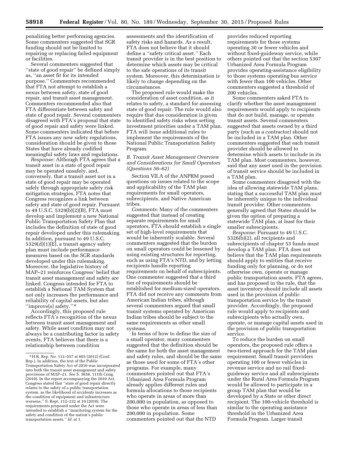penalizing better performing agencies. Some commenters suggested that SGR funding should not be limited to repairing or replacing failed equipment or facilities.

Several commenters suggested that ''state of good repair'' be defined simply as, ''an asset fit for its intended purpose.'' Commenters recommended that FTA not attempt to establish a nexus between safety, state of good repair, and transit asset management. Commenters recommended also that FTA differentiate between safety and state of good repair. Several commenters disagreed with FTA's proposal that state of good repair and safety were linked. Some commenters indicated that before FTA issues any new safety regulations, consideration should be given to those States that have already codified meaningful safety laws and regulations.

*Response:* Although FTA agrees that a transit asset in a state of good repair may be operated unsafely, and, conversely, that a transit asset not in a state of good repair may be operated safely through appropriate safety risk mitigation strategies, FTA notes that Congress recognizes a link between safety and state of good repair. Pursuant to 49 U.S.C. 5329(b)(2)(B), FTA must develop and implement a new National Public Transportation Safety Plan that includes the definition of state of good repair developed under this rulemaking. In addition, pursuant to 49 U.S.C. 5329(d)(1)(E), a transit agency safety plan must include performance measures based on the SGR standards developed under this rulemaking. Moreover, the legislative history of MAP–21 reinforces Congress' belief that transit asset management and safety are linked. Congress intended for FTA to establish a National TAM System that not only increases the performance and reliability of capital assets, but also ''improve[s] safety.'' 8

Accordingly, this proposed rule reflects FTA's recognition of the nexus between transit asset management and safety. While asset condition may not always be a contributing factor in safety events, FTA believes that there is a relationship between condition

assessments and the identification of safety risks and hazards. As a result, FTA does not believe that it should define a ''safety critical asset.'' Each transit provider is in the best position to determine which assets may be critical to the safe operations of its transit system. Moreover, this determination is likely to change depending on the circumstances.

The proposed rule would make the consideration of asset condition, as it relates to safety, a standard for assessing state of good repair. The rule would also require that due consideration is given to identified safety risks when setting investment priorities under a TAM plan. FTA will issue additional rules to implement the requirements of the National Public Transportation Safety Program.

# *B. Transit Asset Management Overview and Considerations for Small Operators (Questions 56–62)*

Section VII.A of the ANPRM posed questions on issues related to the scope and applicability of the TAM plan requirements for small operators, subrecipients, and Native American tribes.

*Comments:* Many of the commenters suggested that instead of creating separate requirements for small operators, FTA should establish a single set of high-level requirements that would be inherently scalable. Several commenters suggested that the burden on small operators could be lessened by using existing structures for reporting, such as using FTA's NTD, and by letting recipients handle reporting requirements on behalf of subrecipients. One commenter suggested that a third tier of requirements should be established for medium-sized operators. FTA did not receive any comments from American Indian tribes, although several commenters argued that small transit systems operated by American Indian tribes should be subject to the same requirements as other small systems.

In terms of how to define the size of a small operator, many commenters suggested that the definition should be the same for both the asset management and safety rules, and should be the same as those used for some of FTA's other programs. For example, many commenters pointed out that FTA's Urbanized Area Formula Program already applies different rules and formula allocations to those recipients who operate in areas of more than 200,000 in population, as opposed to those who operate in areas of less than 200,000 in population. Some commenters pointed out that the NTD

provides reduced reporting requirements for those systems operating 30 or fewer vehicles and without fixed-guideway service, while others pointed out that the section 5307 Urbanized Area Formula Program provides operating-assistance eligibility to those systems operating bus service with fewer than 100 vehicles. Other commenters suggested a threshold of 200 vehicles.

Some commenters asked FTA to clarify whether the asset management requirements would apply to recipients that do not build, manage, or operate transit assets. Several commenters suggested that assets owned by a third party (such as a contractor) should not be included in a TAM plan. Other commenters suggested that each transit provider should be allowed to determine which assets to include in its TAM plan. Most commenters, however, said that any asset used in the provision of transit service should be included in a TAM plan.

Some commenters disagreed with the idea of allowing statewide TAM plans, stating that a successful TAM plan must be inherently unique to the individual transit provider. Other commenters generally agreed that States should be given the option of preparing a statewide TAM plan, at least for their smaller subrecipients.

*Response:* Pursuant to 49 U.S.C. 5326(b)(2), all recipients and subrecipients of chapter 53 funds must develop a TAM plan. FTA does not believe that the TAM plan requirements should apply to entities that receive funding only for planning, or do not otherwise own, operate or manage public transportation assets. FTA agrees, and has proposed in the rule, that the asset inventory should include all assets used in the provision of public transportation service by the transit provider. Accordingly, the proposed rule would apply to recipients and subrecipients who actually own, operate, or manage capital assets used in the provision of public transportation service.

To reduce the burden on small operators, the proposed rule offers a two-tiered approach for the TAM plan requirement. Small transit providers operating 100 or fewer vehicles in revenue service and no rail fixedguideway service and all subrecipients under the Rural Area Formula Program would be allowed to participate in a group TAM plan that would be developed by a State or other direct recipient. The 100-vehicle threshold is similar to the operating assistance threshold in the Urbanized Area Formula Program. Larger transit

<sup>8</sup>H.R. Rep. No. 112–557 at 603 (2012) (Conf. Rep.). In addition, the text of the Public Transportation Safety Act of 2010 was incorporated into both the transit asset management and safety provisions of MAP–21. *See* S. 3638, 111th Cong. (2010). In the report accompanying the 2010 Act, Congress stated that ''state of good repair directly relates to the safety of a public transportation system, as the likelihood of accidents increases as the condition of equipment and infrastructure worsens.'' S. Rept. 112–232 at 10 (2010). The requirements proposed under the Act were intended to establish a ''monitoring system for the safety and condition of the nation's public transportation assets.'' *Id.* at 1.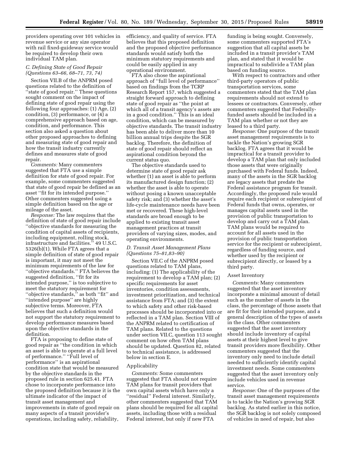providers operating over 101 vehicles in revenue service or any size operator with rail fixed-guideway service would be required to develop their own individual TAM plan.

# *C. Defining State of Good Repair (Questions 63–66, 68–71, 73, 74)*

Section VII.B of the ANPRM posed questions related to the definition of ''state of good repair.'' These questions sought comment on the impact of defining state of good repair using the following four approaches: (1) Age, (2) condition, (3) performance, or (4) a comprehensive approach based on age, condition, and performance. This section also asked a question about other proposed approaches to defining and measuring state of good repair and how the transit industry currently defines and measures state of good repair.

*Comments:* Many commenters suggested that FTA use a simple definition for state of good repair. For example, some commenters suggested that state of good repair be defined as an asset ''fit for its intended purpose.'' Other commenters suggested using a simple definition based on the age or mileage of the asset.

*Response:* The law requires that the definition of state of good repair include ''objective standards for measuring the condition of capital assets of recipients, including equipment, rolling stock, infrastructure and facilities.'' 49 U.S.C. 5326(b)(1). While FTA agrees that a simple definition of state of good repair is important, it may not meet the minimum requirements of the law for ''objective standards.'' FTA believes the suggested definition, ''fit for its intended purpose,'' is too subjective to meet the statutory requirement for "objective standards," as both "fit" and ''intended purpose'' are highly subjective terms. Moreover, FTA believes that such a definition would not support the statutory requirement to develop performance measures based upon the objective standards in the definition.

FTA is proposing to define state of good repair as ''the condition in which an asset is able to operate at a full level of performance.'' ''Full level of performance'' is an aspirational condition state that would be measured by the objective standards in the proposed rule in section 625.41. FTA chose to incorporate performance into the proposed definition because it is the ultimate indicator of the impact of transit asset management and improvements in state of good repair on many aspects of a transit provider's operations, including safety, reliability,

efficiency, and quality of service. FTA believes that this proposed definition and the proposed objective performance standards would satisfy both the minimum statutory requirements and could be easily applied in any operational environment.

FTA also chose the aspirational approach of ''full level of performance'' based on findings from the TCRP Research Report 157, which suggested a straight forward approach to defining state of good repair as ''the point at which all of a transit agency's assets are in a good condition.'' This is an ideal condition, which can be measured by objective standards. The transit industry has been able to deliver more than 10 billion annual trips despite the SGR backlog. Therefore, the definition of state of good repair should reflect an aspirational condition beyond the current status quo.

The objective standards used to determine state of good repair ask whether (1) an asset is able to perform its manufactured design function; (2) whether the asset is able to operate without posing a known unacceptable safety risk; and (3) whether the asset's life-cycle maintenance needs have been met or recovered. These high-level standards are broad enough to be applied to existing transit asset management practices at transit providers of varying sizes, modes, and operating environments.

# *D. Transit Asset Management Plans (Questions 75–81,83–90)*

Section VII.C of the ANPRM posed questions related to TAM plans, including: (1) The applicability of the requirement to develop a TAM plan; (2) specific requirements for asset inventories, condition assessments, investment prioritization, and technical assistance from FTA; and (3) the extent to which safety and other risk-based processes should be incorporated into or reflected in a TAM plan. Section VIII of the ANPRM related to certification of TAM plans. Related to the questions under section VII.C, question 113 sought comment on how often TAM plans should be updated. Question 82, related to technical assistance, is addressed below in section E.

# Applicability

*Comments:* Some commenters suggested that FTA should not require TAM plans for transit providers that own capital assets which have only a ''residual'' Federal interest. Similarly, other commenters suggested that TAM plans should be required for all capital assets, including those with a residual Federal interest, but only if new FTA

funding is being sought. Conversely, some commenters supported FTA's suggestion that all capital assets be included in a transit provider's TAM plan, and stated that it would be impractical to subdivide a TAM plan based on funding source.

With respect to contractors and other third-party operators of public transportation services, some commenters stated that the TAM plan requirements should not extend to lessees or contractors. Conversely, other commenters suggested that Federallyfunded assets should be included in a TAM plan whether or not they are leased to a third party.

*Response:* One purpose of the transit asset management requirements is to tackle the Nation's growing SGR backlog. FTA agrees that it would be impractical for a transit provider to develop a TAM plan that only included those assets that were originally purchased with Federal funds. Indeed, many of the assets in the SGR backlog are legacy assets that predate the Federal assistance program for transit. Accordingly, the proposed rule would require each recipient or subrecipient of Federal funds that owns, operates, or manages capital assets used in the provision of public transportation to develop and carry out a TAM plan. TAM plans would be required to account for all assets used in the provision of public transportation service for the recipient or subrecipient, regardless of funding source, and whether used by the recipient or subrecipient directly, or leased by a third party.

#### Asset Inventory

*Comments:* Many commenters suggested that the asset inventory incorporate a minimal amount of detail such as the number of assets in the class, the percentage of those assets that are fit for their intended purpose, and a general description of the types of assets in the class. Other commenters suggested that the asset inventory should include inventory of capital assets at their highest level to give transit providers more flexibility. Other commenters suggested that the inventory only need to include detail needed to sufficiently identify capital investment needs. Some commenters suggested that the asset inventory only include vehicles used in revenue service.

*Response:* One of the purposes of the transit asset management requirements is to tackle the Nation's growing SGR backlog. As stated earlier in this notice, the SGR backlog is not solely composed of vehicles in need of repair, but also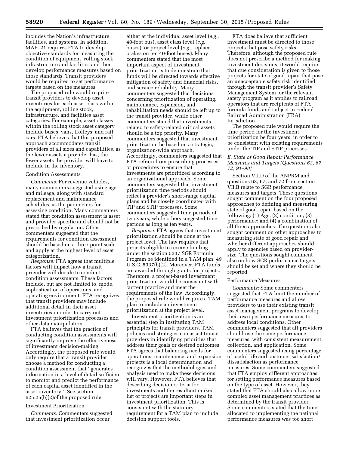includes the Nation's infrastructure, facilities, and systems. In addition, MAP–21 requires FTA to develop objective standards for measuring the condition of equipment, rolling stock, infrastructure and facilities and then develop performance measures based on those standards. Transit providers would be required to set performance targets based on the measures.

The proposed rule would require transit providers to develop asset inventories for each asset class within the equipment, rolling stock, infrastructure, and facilities asset categories. For example, asset classes within the rolling stock asset category include buses, vans, trolleys, and rail cars. FTA believes that this proposed approach accommodates transit providers of all sizes and capabilities, as the fewer assets a provider has, the fewer assets the provider will have to include in the inventory.

# Condition Assessments

*Comments:* For revenue vehicles, many commenters suggested using age and mileage, along with standard replacement and maintenance schedules, as the parameters for assessing condition. Many commenters stated that condition assessment is asset and provider specific and should not be prescribed by regulation. Other commenters suggested that the requirements for condition assessment should be based on a three-point scale and apply at the highest level of asset categorization.

*Response:* FTA agrees that multiple factors will impact how a transit provider will decide to conduct condition assessments. These factors include, but are not limited to, mode, sophistication of operations, and operating environment. FTA recognizes that transit providers may include additional detail in their asset inventories in order to carry out investment prioritization processes and other data manipulation.

FTA believes that the practice of conducting condition assessments will significantly improve the effectiveness of investment decision-making. Accordingly, the proposed rule would only require that a transit provider choose a method for conducting a condition assessment that ''generates information in a level of detail sufficient to monitor and predict the performance of each capital asset identified in the asset inventory.'' See section 625.25(b)(2)of the proposed rule.

# Investment Prioritization

*Comments:* Commenters suggested that investment prioritization occur

either at the individual asset level (*e.g.,*  40-foot bus), asset class level (*e.g.,*  buses), or project level (*e.g.,* replace brakes on ten 40-foot buses). Many commenters stated that the most important aspect of investment prioritization is to demonstrate that funds will be directed towards effective mitigation of safety and financial risks, and service reliability. Many commenters suggested that decisions concerning prioritization of operating, maintenance, expansion, and rehabilitation needs should be left up to the transit provider, while other commenters stated that investments related to safety-related critical assets should be a top priority. Many commenters suggested that investment prioritization be based on a strategic, organization-wide approach. Accordingly, commenters suggested that FTA refrain from prescribing processes or procedures to ensure that investments are prioritized according to an organizational approach. Some commenters suggested that investment prioritization time periods should reflect a provider's short-range capital plans and be closely coordinated with TIP and STIP processes. Some commenters suggested time periods of two years, while others suggested time periods as long as ten years.

*Response:* FTA agrees that investment prioritization should be done at the project level. The law requires that projects eligible to receive funding under the section 5337 SGR Formula Program be identified in a TAM plan. 49 U.S.C. 5337(b)(2). Moreover, FTA funds are awarded through grants for projects. Therefore, a project-based investment prioritization would be consistent with current practice and meet the requirements of the law. Accordingly, the proposed rule would require a TAM plan to include an investment prioritization at the project level.

Investment prioritization is an essential step in instituting TAM principles for transit providers. TAM policies and strategies can assist transit providers in identifying priorities that address their goals or desired outcomes. FTA agrees that balancing needs for operations, maintenance, and expansion projects is a local determination and recognizes that the methodologies and analysis used to make these decisions will vary. However, FTA believes that describing decision criteria for investments and the resultant ranked list of projects are important steps in investment prioritization. This is consistent with the statutory requirement for a TAM plan to include decision support tools.

FTA does believe that sufficient investment must be directed to those projects that pose safety risks. Therefore, although the proposed rule does not prescribe a method for making investment decisions, it would require that due consideration is given to those projects for state of good repair that pose an unacceptable safety risk identified through the transit provider's Safety Management System, or the relevant safety program as it applies to railroad operators that are recipients of FTA formula funds and subject to Federal Railroad Administration (FRA) Jurisdiction.

The proposed rule would require the time period for the investment prioritization be four years, in order to be consistent with existing requirements under the TIP and STIP processes.

# *E. State of Good Repair Performance Measures and Targets (Questions 63, 67, 72, 91–98)*

Section VII.D of the ANPRM and questions 63, 67, and 72 from section VII.B relate to SGR performance measures and targets. These questions sought comment on the four proposed approaches to defining and measuring state of good repair based on the following:  $(1)$  Age;  $(2)$  condition;  $(3)$ performance; and (4) a combination of all three approaches. The questions also sought comment on other approaches to measuring state of good repair and whether different approaches should apply to agencies based on providersize. The questions sought comment also on how SGR performance targets should be set and where they should be reported.

## Performance Measures

*Comments:* Some commenters suggested that FTA limit the number of performance measures and allow providers to use their existing transit asset management programs to develop their own performance measures to address local conditions. Other commenters suggested that all providers should use the same performance measures, with consistent measurement, collection, and application. Some commenters suggested using percentage of useful life and customer satisfaction/ dissatisfaction as performance measures. Some commenters suggested that FTA employ different approaches for setting performance measures based on the type of asset. However, they stated that FTA should also allow more complex asset management practices as determined by the transit provider. Some commenters stated that the time allocated to implementing the national performance measures was too short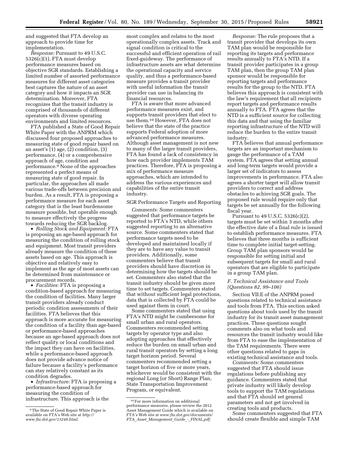and suggested that FTA develop an approach to provide time for implementation.

*Response:* Pursuant to 49 U.S.C. 5326(c)(1), FTA must develop performance measures based on objective SGR standards. Establishing a limited number of assorted performance measures for different asset categories best captures the nature of an asset category and how it impacts an SGR determination. Moreover, FTA recognizes that the transit industry is comprised of thousands of different operators with diverse operating environments and limited resources.

FTA published a State of Good Repair White Paper with the ANPRM which discussed four proposed approaches to measuring state of good repair based on an asset's (1) age, (2) condition, (3) performance, (4) or a comprehensive approach of age, condition and performance.9 None of the approaches represented a perfect means of measuring state of good repair. In particular, the approaches all made various trade-offs between precision and burden. As a result, FTA is proposing a performance measure for each asset category that is the least burdensome measure possible, but operable enough to measure effectively the progress towards reducing the SGR backlog.

• *Rolling Stock and Equipment:* FTA is proposing an age-based approach for measuring the condition of rolling stock and equipment. Most transit providers already measure the condition of these assets based on age. This approach is objective and relatively easy to implement as the age of most assets can be determined from maintenance or procurement records.

• *Facilities:* FTA is proposing a condition-based approach for measuring the condition of facilities. Many larger transit providers already conduct periodic condition assessments of their facilities. FTA believes that this approach is more accurate for measuring the condition of a facility than age-based or performance-based approaches because an age-based approach does not reflect quality or local conditions and the impact they can have on facilities, while a performance-based approach does not provide advance notice of failure because a facility's performance can stay relatively constant as its condition degrades.

• *Infrastructure:* FTA is proposing a performance-based approach for measuring the condition of infrastructure. This approach is the

most complex and relates to the most operationally complex assets. Track and signal condition is critical to the successful and efficient operation of rail fixed-guideway. The performance of infrastructure assets are what determine the operational capacity and service quality, and thus a performance-based measure provides a transit provider with useful information the transit provider can use in balancing its financial resources.

FTA is aware that more advanced performance measures exist, and supports transit providers that elect to use them.10 However, FTA does not believe that the state of the practice supports Federal adoption of more advanced performance measures. Although asset management is not new to many of the larger transit providers, FTA has found a lack of consistency in how each provider implements TAM practices. Therefore, FTA is proposing a mix of performance measure approaches, which are intended to address the various experiences and capabilities of the entire transit industry.

# SGR Performance Targets and Reporting

*Comments:* Some commenters suggested that performance targets be reported to FTA's NTD, while others suggested reporting to an alternative source. Some commenters stated that performance targets need to be developed and maintained locally if they are to have any value to transit providers. Additionally, some commenters believe that transit providers should have discretion in determining how the targets should be set. Commenters also stated that the transit industry should be given more time to set targets. Commenters stated that without sufficient legal protections, data that is collected by FTA could be used against them in court.

Some commenters stated that using FTA's NTD might be cumbersome for small urban and rural operators. Commenters recommended setting targets by operator type and also adopting approaches that effectively reduce the burden on small urban and rural transit operators by setting a long target horizon period. Several commenters recommended setting a target horizon of five or more years, whichever would be consistent with the regional Long (or Short) Range Plan, State Transportation Improvement Program, or equivalent.

*Response:* The rule proposes that a transit provider that develops its own TAM plan would be responsible for reporting its targets and performance results annually to FTA's NTD. If a transit provider participates in a group TAM plan, then the group TAM plan sponsor would be responsible for reporting targets and performance results for the group to the NTD. FTA believes this approach is consistent with the law's requirement that all recipients report targets and performance results annually to FTA. FTA agrees that the NTD is a sufficient source for collecting this data and that using the familiar reporting infrastructure of the NTD will reduce the burden to the entire transit industry.

FTA believes that annual performance targets are an important mechanism to gauge the performance of a TAM system. FTA agrees that setting annual and long-term targets would provide a larger set of indicators to assess improvements in performance. FTA also agrees a shorter target will allow transit providers to correct and address obstacles to achieving SGR goals. The proposed rule would require only that targets be set annually for the following fiscal year.

Pursuant to 49 U.S.C. 5326(c)(2), targets must be set within 3 months after the effective date of a final rule is issued to establish performance measures. FTA believes that three months is sufficient time to complete initial target-setting. Group TAM plan sponsors would be responsible for setting initial and subsequent targets for small and rural operators that are eligible to participate in a group TAM plan.

# *F. Technical Assistance and Tools (Questions 82, 99–106)*

Section VII.E of the ANPRM posed questions related to technical assistance and tools from FTA. This section asked questions about tools used by the transit industry for its transit asset management practices. These questions sought comments also on what tools and resources the transit industry would like from FTA to ease the implementation of the TAM requirements. There were other questions related to gaps in existing technical assistance and tools.

*Comments:* Some commenters suggested that FTA should issue regulations before publishing any guidance. Commenters stated that private industry will likely develop tools to support the TAM regulations and that FTA should set general parameters and not get involved in creating tools and products.

Some commenters suggested that FTA should create flexible and simple TAM

<sup>9</sup>The State of Good Repair White Paper is available on FTA's Web site at *[http://](http://www.fta.dot.gov/13248.html) [www.fta.dot.gov/13248.html.](http://www.fta.dot.gov/13248.html)* 

<sup>10</sup>For more information on additional performance measures, please review the 2012 Asset Management Guide which is available on FTA's Web site at *[www.fta.dot.gov/documents/](http://www.fta.dot.gov/documents/FTA_Asset_Management_Guide_-_FINAL.pdf) FTA*\_*Asset*\_*[Management](http://www.fta.dot.gov/documents/FTA_Asset_Management_Guide_-_FINAL.pdf)*\_*Guide*\_*-*\_*FINAL.pdf.*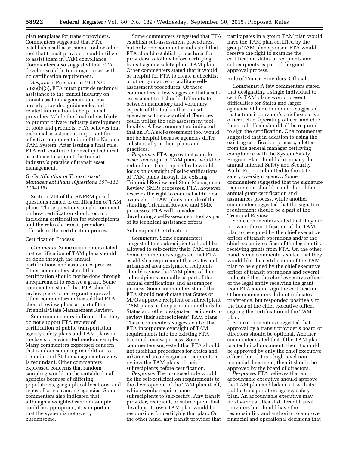plan templates for transit providers. Commenters suggested that FTA establish a self-assessment tool or other tool that transit providers could utilize to assist them in TAM compliance. Commenters also suggested that FTA develop scalable training courses with no certification requirement.

*Response:* Pursuant to 49 U.S.C. 5326(b)(5), FTA must provide technical assistance to the transit industry on transit asset management and has already provided guidebooks and related information to help transit providers. While the final rule is likely to prompt private industry development of tools and products, FTA believes that technical assistance is important for effective implementation of the National TAM System. After issuing a final rule, FTA will continue to develop technical assistance to support the transit industry's practice of transit asset management.

# *G. Certification of Transit Asset Management Plans (Questions 107–111, 113–115)*

Section VIII of the ANPRM posed questions related to certification of TAM plans. These questions sought comment on how certification should occur, including certification for subrecipients, and the role of a transit provider's officials in the certification process.

# Certification Process

*Comments:* Some commenters stated that certification of TAM plans should be done through the annual certifications and assurances process. Other commenters stated that certification should not be done through a requirement to receive a grant. Some commenters stated that FTA should review plans prior to grant approval. Other commenters indicated that FTA should review plans as part of the Triennial/State Management Review.

Some commenters indicated that they do not support FTA review of certification of public transportation agency safety plans and TAM plans on the basis of a weighted random sample. Many commenters expressed concern that random sampling in addition to triennial and State management review is redundant. Other commenters expressed concerns that random sampling would not be suitable for all agencies because of differing populations, geographical locations, and types of service among agencies. Some commenters also indicated that, although a weighted random sample could be appropriate, it is important that the system is not overly burdensome.

Some commenters suggested that FTA establish self-assessment procedures, but only one commenter indicated that FTA should establish procedures for providers to follow before certifying transit agency safety plans TAM plan. Other commenters stated that it would be helpful for FTA to create a checklist or other guidance to facilitate selfassessment procedures. Of these commenters, a few suggested that a selfassessment tool should differentiate between mandatory and voluntary aspects of the tool so that transit agencies with substantial differences could utilize the self-assessment tool flexibly. A few commenters indicated that an FTA self-assessment tool would not be helpful because agencies differ substantially in their plans and practices.

*Response:* FTA agrees that samplebased oversight of TAM plans would be redundant. The proposed rule would focus on oversight of self-certifications of TAM plans through the existing Triennial Review and State Management Review (SMR) processes. FTA, however, reserves the right to conduct additional oversight of TAM plans outside of the standing Triennial Review and SMR processes. FTA will consider developing a self-assessment tool as part of its technical assistance efforts.

# Subrecipient Certification

*Comments:* Some commenters suggested that subrecipients should be allowed to self-certify their TAM plans. Some commenters suggested that FTA establish a requirement that States and urbanized area designated recipients should review the TAM plans of their subrecipients annually as part of the annual certifications and assurances process. Some commenters stated that FTA should not dictate that States or MPOs approve recipient or subrecipient TAM plans or the particular methods for States and other designated recipients to review their subrecipients' TAM plans. These commenters suggested also that FTA incorporate oversight of TAM requirements into the existing FTA triennial review process. Some commenters suggested that FTA should not establish procedures for States and urbanized area designated recipients to review the TAM plans of their subrecipients before certification.

*Response:* The proposed rule would tie the self-certification requirements to the development of the TAM plan itself, which would require some subrecipients to self-certify. Any transit provider, recipient, or subrecipient that develops its own TAM plan would be responsible for certifying that plan. On the other hand, any transit provider that participates in a group TAM plan would have the TAM plan certified by the group TAM plan sponsor. FTA would reserve the right to examine the certification status of recipients and subrecipients as part of the grantapproval process.

# Role of Transit Providers' Officials

*Comments:* A few commenters stated that designating a single individual to certify TAM plans would present difficulties for States and larger agencies. Other commenters suggested that a transit provider's chief executive officer, chief operating officer, and chief financial officer should all be required to sign the certification. One commenter suggested that in addition to using the existing certification process, a letter from the general manager certifying compliance with the System Safety Program Plan should accompany the annual Internal Safety and Security Audit Report submitted to the state safety oversight agency. Some commenters suggested that the signature requirement should match that of the annual grant certification and assurances process, while another commenter suggested that the signature requirement should be a part of the Triennial Review.

Some commenters stated that they did not want the certification of the TAM plan to be signed by the chief executive officer of transit operations and/or the chief executive officer of the legal entity receiving grants from FTA. On the other hand, some commenters stated that they would like the certification of the TAM plan to be signed by the chief executive officer of transit operations and several indicated that the chief executive officer of the legal entity receiving the grant from FTA should sign the certification. Other commenters did not indicate a preference, but responded positively to the idea of the chief executive officer signing the certification of the TAM plan.

Some commenters suggested that approval by a transit provider's board of directors should be optional. Another commenter stated that if the TAM plan is a technical document, then it should be approved by only the chief executive officer, but if it is a high level nontechncial document, then it should be approved by the board of directors.

*Response:* FTA believes that an accountable executive should approve the TAM plan and balance it with its public transportation agency safety plan. An accountable executive may hold various titles at different transit providers but should have the responsibility and authority to approve financial and operational decisions that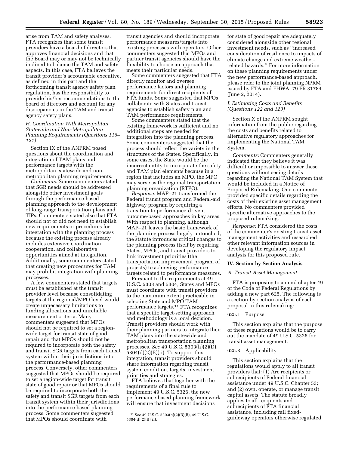arise from TAM and safety analyses. FTA recognizes that some transit providers have a board of directors that approves financial decisions and that the Board may or may not be technically inclined to balance the TAM and safety aspects. In this case, FTA believes the transit provider's accountable executive, as defined in this part and the forthcoming transit agency safety plan regulation, has the responsibility to provide his/her recommendations to the board of directors and account for any discrepancies in the TAM and transit agency safety plans.

# *H. Coordination With Metropolitan, Statewide and Non-Metropolitan Planning Requirements (Questions 116– 121)*

Section IX of the ANPRM posed questions about the coordination and integration of TAM plans and performance targets with the metropolitan, statewide and nonmetropolitan planning requirements.

*Comments:* Some commenters stated that SGR needs should be addressed alongside other investment goals through the performance-based planning approach to the development of long-range transportation plans and TIPs. Commenters stated also that FTA should not or did not need to establish new requirements or procedures for integration with the planning process because the existing process already includes extensive coordination, cooperation, and collaborative opportunities aimed at integration. Additionally, some commenters stated that creating new procedures for TAM may prohibit integration with planning processes.

A few commenters stated that targets must be established at the transit provider level because consolidating targets at the regional/MPO level would create unnecessary limitations to funding allocations and unreliable measurement criteria. Many commenters suggested that MPOs should not be required to set a regionwide target for transit state of good repair and that MPOs should not be required to incorporate both the safety and transit SGR targets from each transit system within their jurisdictions into the performance-based planning process. Conversely, other commenters suggested that MPOs should be required to set a region-wide target for transit state of good repair or that MPOs should be required to incorporate both the safety and transit SGR targets from each transit system within their jurisdictions into the performance-based planning process. Some commenters suggested that MPOs should coordinate with

transit agencies and should incorporate performance measures/targets into existing processes with operators. Other commenters suggested that MPOs and partner transit agencies should have the flexibility to choose an approach that meets their particular needs.

Some commenters suggested that FTA directly monitor and oversee performance factors and planning requirements for direct recipients of FTA funds. Some suggested that MPOs collaborate with States and transit agencies to establish safety plan and TAM performance requirements.

Some commenters stated that the existing framework is sufficient and no additional steps are needed for integration into the planning process. Some commenters suggested that the process should reflect the variety in the structures of the States. Specifically, in some cases, the State would be the incorrect entity to incorporate the safety and TAM plan elements because in a region that includes an MPO, the MPO may serve as the regional transportation planning organization (RTPO).

*Response:* MAP–21 transformed the Federal transit program and Federal-aid highway program by requiring a transition to performance-driven, outcome-based approaches in key areas. With respect to planning, although MAP–21 leaves the basic framework of the planning process largely untouched, the statute introduces critical changes to the planning process itself by requiring States, MPOs, and transit providers to link investment priorities (the transportation improvement program of projects) to achieving performance targets related to performance measures.

Pursuant to the requirements at 49 U.S.C. 5303 and 5304, States and MPOs must coordinate with transit providers to the maximum extent practicable in selecting State and MPO TAM performance targets.11 FTA recognizes that a specific target-setting approach and methodology is a local decision. Transit providers should work with their planning partners to integrate their TAM plans into the statewide and metropolitan transportation planning processes. *See* 49 U.S.C. 5303(h)(2)(D),  $5304(d)(2)(B)(ii)$ . To support this integration, transit providers should share information regarding transit system condition, targets, investment priorities and strategies.

FTA believes that together with the requirements of a final rule to implement 49 U.S.C. 5326, the new performance-based planning framework will ensure that investment decisions

for state of good repair are adequately considered alongside other regional investment needs, such as ''increased consideration of resilience to impacts of climate change and extreme weatherrelated hazards.'' For more information on these planning requirements under the new performance-based approach, please refer to the joint planning NPRM issued by FTA and FHWA. 79 FR 31784 (June 2, 2014).

# *I. Estimating Costs and Benefits (Questions 122 and 123)*

Section X of the ANPRM sought information from the public regarding the costs and benefits related to alternative regulatory approaches for implementing the National TAM System.

*Comments:* Commenters generally indicated that they believe it was difficult or impossible to answer these questions without seeing details regarding the National TAM System that would be included in a Notice of Proposed Rulemaking. One commenter provided specific details regarding the costs of their existing asset management efforts. No commenters provided specific alternative approaches to the proposed rulemaking.

*Response:* FTA considered the costs of the commenter's existing transit asset management activities and researched other relevant information sources in developing the regulatory impact analysis for this proposed rule.

#### **IV. Section-by-Section Analysis**

#### *A. Transit Asset Management*

FTA is proposing to amend chapter 49 of the Code of Federal Regulations by adding a new part 625. The following is a section-by-section analysis of each proposal in this rulemaking:

#### 625.1 Purpose

This section explains that the purpose of these regulations would be to carry out the mandate of 49 U.S.C. 5326 for transit asset management.

#### 625.3 Applicability

This section explains that the regulations would apply to all transit providers that: (1) Are recipients or subrecipients of Federal financial assistance under 49 U.S.C. Chapter 53; and (2) own, operate, or manage transit capital assets. The statute broadly applies to all recipients and subrecipients of FTA financial assistance, including rail fixedguideway operators otherwise regulated

<sup>11</sup>*See* 49 U.S.C. 5303(h)(2)(B)(ii), 49 U.S.C. 5304(d)(2)(B)(ii).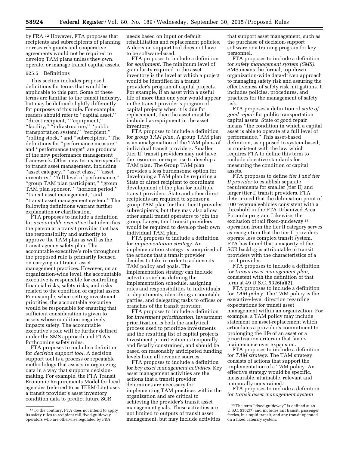by FRA.12 However, FTA proposes that recipients and subrecipients of planning or research grants and cooperative agreements would not be required to develop TAM plans unless they own, operate, or manage transit capital assets.

#### 625.5 Definitions

This section includes proposed definitions for terms that would be applicable to this part. Some of these terms are familiar to the transit industry, but may be defined slightly differently for purposes of this rule. For example, readers should refer to ''capital asset,'' ''direct recipient,'' ''equipment,'' ''facility,'' ''infrastructure,'' ''public transportation system,'' ''recipient,'' ''rolling stock,'' and ''subrecipient.'' The definitions for ''performance measure'' and ''performance target'' are products of the new performance management framework. Other new terms are specific to transit asset management, including ''asset category,'' ''asset class,'' ''asset inventory," "full level of performance," ''group TAM plan participant,'' ''group TAM plan sponsor,'' ''horizon period,'' ''transit asset management,'' and ''transit asset management system.'' The following definitions warrant further explanation or clarification.

FTA proposes to include a definition for *accountable executive* that identifies the person at a transit provider that has the responsibility and authority to approve the TAM plan as well as the transit agency safety plan. The accountable executive's role throughout the proposed rule is primarily focused on carrying out transit asset management practices. However, on an organization-wide level, the accountable executive is responsible for controlling financial risks, safety risks, and risks related to the condition of capital assets. For example, when setting investment priorities, the accountable executive would be responsible for ensuring that sufficient consideration is given to assets whose condition negatively impacts safety. The accountable executive's role will be further defined under the SMS approach and FTA's forthcoming safety rules.

FTA proposes to include a definition for *decision support tool.* A decision support tool is a process or repeatable methodology that assists in organizing data in a way that supports decisionmaking. For example, the FTA Transit Economic Requirements Model for local agencies (referred to as TERM-Lite) uses a transit provider's asset inventory condition data to predict future SGR

needs based on input or default rehabilitation and replacement policies. A decision support tool does not have to be software-based.

FTA proposes to include a definition for *equipment.* The minimum level of granularity required in the asset inventory is the level at which a project would be identified in a transit provider's program of capital projects. For example, if an asset with a useful life of more than one year would appear in the transit provider's program of capital projects when it is due for replacement, then the asset must be included as equipment in the asset inventory.

FTA proposes to include a definition for *group TAM plan.* A group TAM plan is an amalgamation of the TAM plans of individual transit providers. Smaller (tier II) transit providers may not have the resources or expertise to develop a TAM plan. The Group TAM plan provides a less burdensome option for developing a TAM plan by requiring a State or direct recipient to coordinate development of the plan for multiple transit providers. State and other direct recipients are required to sponsor a group TAM plan for their tier II provider subrecipients, but they may also allow other small transit operators to join the group. Larger, tier I transit providers would be required to develop their own individual TAM plan.

FTA proposes to include a definition for *implementation strategy.* An implementation strategy is comprised of the actions that a transit provider decides to take in order to achieve its TAM policy and goals. The implementation strategy can include activities such as defining the implementation schedule, assigning roles and responsibilities to individuals or departments, identifying accountable parties, and delegating tasks to offices or branches of the transit provider.

FTA proposes to include a definition for *investment prioritization.* Investment prioritization is both the analytical process used to prioritize investments and the resulting list of capital projects. Investment prioritization is temporally and fiscally constrained, and should be based on reasonably anticipated funding levels from all revenue sources.

FTA proposes to include a definition for *key asset management activities.* Key asset management activities are the actions that a transit provider determines are necessary for implementing TAM practices within the organization and are critical to achieving the provider's transit asset management goals. These activities are not limited to outputs of transit asset management, but may include activities

that support asset management, such as the purchase of decision-support software or a training program for key personnel.

FTA proposes to include a definition for *safety management system (SMS).*  SMS means the formal, top-down, organization-wide data-driven approach to managing safety risk and assuring the effectiveness of safety risk mitigations. It includes policies, procedures, and practices for the management of safety risk.

FTA proposes a definition of *state of good repair* for public transportation capital assets. State of good repair means ''the condition in which a capital asset is able to operate at a full level of performance.'' This asset-based definition, as opposed to system-based, is consistent with the law which requires FTA to define this term to include objective standards for measuring the condition of capital assets.

FTA proposes to define *tier I and tier II provider* to establish separate requirements for smaller (tier II) and larger (tier I) transit providers. FTA determined that the delineation point of 100 revenue vehicles consistent with a threshold in the FTA Urbanized Area Formula program. Likewise, the exclusion of rail fixed-guideway 13 operation from the tier II category serves as recognition that the tier II providers operate less complex transit system. FTA has found that a majority of the SGR backlog is attributable to transit providers with the characteristics of a tier I provider.

FTA proposes to include a definition for *transit asset management plan,*  consistent with the definition of that term at 49 U.S.C. 5326(a)(2).

FTA proposes to include a definition for *TAM policy.* The TAM policy is the executive-level direction regarding expectations for transit asset management within an organization. For example, a TAM policy may include statement on asset-replacement which articulates a provider's commitment to prolonging the life of an asset or a prioritization criterion that favors maintenance over expansion.

FTA proposes to include a definition for *TAM strategy.* The TAM strategy consists of actions that support the implementation of a TAM policy. An effective strategy would be specific, measurable, attainable, relevant and temporally constrained.

FTA proposes to include a definition for *transit asset management system* 

<sup>12</sup>To the contrary, FTA does not intend to apply its safety rules to recipient rail fixed-guideway operators who are otherwise regulated by FRA.

<sup>&</sup>lt;sup>13</sup> The term "fixed-guideway" is defined at 49 U.S.C. 5302(7) and includes rail transit, passenger ferries, bus rapid transit, and any transit operated on a fixed catenary system.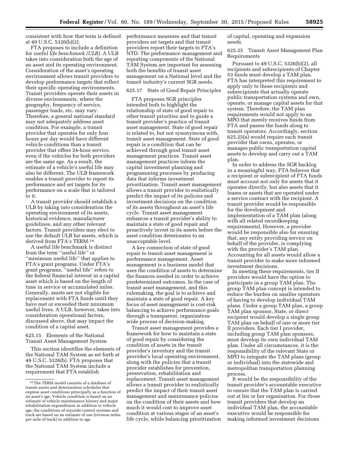consistent with how that term is defined at 49 U.S.C. 5326(b)(2).

FTA proposes to include a definition for *useful life benchmark (ULB).* A ULB takes into consideration both the age of an asset and its operating environment. Consideration of the asset's operating environment allows transit providers to develop performance targets that reflect their specific operating environments. Transit providers operate their assets in diverse environments, where the geography, frequency of service, passenger loads, etc. may vary. Therefore, a general national standard may not adequately address asset condition. For example, a transit provider that operates for only four hours per day would have different vehicle conditions than a transit provider that offers 24-hour service, even if the vehicles for both providers are the same age. As a result, the estimate of a vehicle's useful life may also be different. The ULB framework enables a transit provider to report its performance and set targets for its performance on a scale that is tailored to it.

A transit provider should establish a ULB by taking into consideration the operating environment of its assets, historical evidence, manufacturer guidelines, and any other relevant factors. Transit providers may elect to use the default ULB for assets, which is derived from FTA's TERM.14

A useful life benchmark is distinct from the term ''useful life'' or ''minimum useful life'' that applies to FTA's grant programs. Under FTA's grant programs, ''useful life'' refers to the federal financial interest in a capital asset which is based on the length of time in service or accumulated miles. Generally, assets are not eligible for replacement with FTA funds until they have met or exceeded their minimum useful lives. A ULB, however, takes into consideration operational factors, discussed above, that may impact the condition of a capital asset.

625.15 Elements of the National Transit Asset Management System

This section identifies the elements of the National TAM System as set forth at 49 U.S.C. 5326(b). FTA proposes that the National TAM System include a requirement that FTA establish

performance measures and that transit providers set targets and that transit providers report their targets to FTA's NTD. The performance management and reporting components of the National TAM System are important for assessing both the benefits of transit asset management on a National level and the transit industry's current SGR needs.

# 625.17 State of Good Repair Principles

FTA proposes SGR principles intended both to highlight the relationship of state of good repair to other transit priorities and to guide a transit provider's practice of transit asset management. State of good repair is related to, but not synonymous with, transit asset management. State of good repair is a condition that can be achieved through good transit asset management practices. Transit asset management practices inform the capital investment planning and programming processes by producing data that informs investment prioritization. Transit asset management allows a transit provider to realistically predict the impact of its policies and investment decisions on the condition of its assets throughout an asset's life cycle. Transit asset management enhances a transit provider's ability to maintain a state of good repair and proactively invest in its assets before the asset condition deteriorates to an unacceptable level.

A key connection of state of good repair to transit asset management is performance management. Asset management is a business model that uses the condition of assets to determine the finances needed in order to achieve predetermined outcomes. In the case of transit asset management, and this rulemaking, the goal is to achieve and maintain a state of good repair. A key focus of asset management is cost-risk balancing to achieve performance goals through a transparent, organizationwide process of decision-making.

Transit asset management provides a framework for how to maintain a state of good repair by considering the condition of assets in the transit provider's inventory and the transit provider's local operating environment, along with the policies that a transit provider establishes for prevention, preservation, rehabilitation and replacement. Transit asset management allows a transit provider to realistically predict the impact of their transit asset management and maintenance policies on the condition of their assets and how much it would cost to improve asset condition at various stages of an asset's life cycle, while balancing prioritization of capital, operating and expansion needs.

625.25 Transit Asset Management Plan Requirements

Pursuant to 49 U.S.C. 5326(b)(2), all recipients and subrecipients of Chapter 53 funds must develop a TAM plan. FTA has interpreted this requirement to apply only to those recipients and subrecipients that actually operate public transportation systems and own, operate, or manage capital assets for that system. Therefore, the TAM plan requirements would not apply to an MPO that merely receives funds from FTA and passes the funds along to transit operators. Accordingly, section 625.25(a) would require each transit provider that owns, operates, or manages public transportation capital assets to develop and carry out a TAM plan.

In order to address the SGR backlog in a meaningful way, FTA believes that a recipient or subrecipient of FTA funds must account not only for assets that it operates directly, but also assets that it leases or assets that are operated under a service contract with the recipient. A transit provider would be responsible for the development and implementation of a TAM plan (along with all related recordkeeping requirements). However, a provider would be responsible also for ensuring that, any entity providing service on behalf of the provider, is complying with the provider's TAM plan. Accounting for all assets would allow a transit provider to make more informed investment decisions.

In meeting these requirements, tier II providers would have the option to participate in a group TAM plan. The group TAM plan concept is intended to reduce the burden on smaller operators of having to develop individual TAM plans. Under a group TAM plan, a group TAM plan sponsor, State, or direct recipient would develop a single group TAM plan on behalf of one or more tier II providers. Each tier I provider, including group TAM plan sponsors, must develop its own individual TAM plan. Under all circumstances, it is the responsibility of the relevant State or MPO to integrate the TAM plans (group or individual) into the statewide and metropolitan transportation planning process.

It would be the responsibility of the transit provider's accountable executive to ensure that the TAM plan is carried out at his or her organization. For those transit providers that develop an individual TAM plan, the accountable executive would be responsible for making informed investment decisions

<sup>14</sup>The TERM model consists of a database of transit assets and deterioration schedules that express asset conditions principally as a function of an asset's age. Vehicle condition is based on an estimate of vehicle maintenance history and major rehabilitation expenditures in addition to vehicle age; the conditions of wayside control systems and track are based on an estimate of use (revenue miles per mile of track) in addition to age.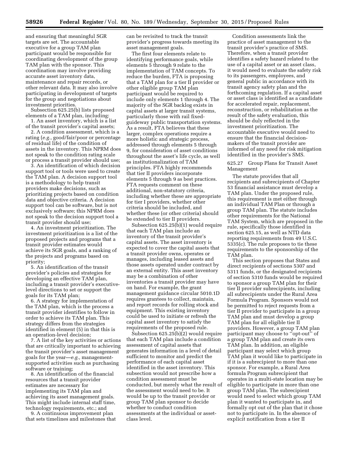and ensuring that meaningful SGR targets are set. The accountable executive for a group TAM plan participant would be responsible for coordinating development of the group TAM plan with the sponsor. This coordination may involve providing accurate asset inventory data, maintenance and repair records, or other relevant data. It may also involve participating in development of targets for the group and negotiations about investment priorities.

Subsection 625.25(b) lists proposed elements of a TAM plan, including:

1. An asset inventory, which is a list of the transit provider's capital assets;

2. A condition assessment, which is a rating (*e.g.,* good/fair/poor or percentage of residual life) of the condition of assets in the inventory. This NPRM does not speak to the condition rating scale or process a transit provider should use;

3. An identification of which decision support tool or tools were used to create the TAM plan. A decision support tool is a methodology to help transit providers make decisions, such as prioritizing projects based on condition data and objective criteria. A decision support tool can be software, but is not exclusively software; this NPRM does not speak to the decision support tool a transit provider should use;

4. An investment prioritization. The investment prioritization is a list of the proposed projects and programs that a transit provider estimates would achieve its SGR goals, and a ranking of the projects and programs based on priority;

5. An identification of the transit provider's policies and strategies for developing an effective TAM plan, including a transit provider's executivelevel directions to set or support the goals for its TAM plan;

6. A strategy for implementation of the TAM plan, which is the process a transit provider identifies to follow in order to achieve its TAM plan. This strategy differs from the strategies identified in element (5) in that this is an operation-level decision;

7. A list of the key activities or actions that are critically important to achieving the transit provider's asset management goals for the year—*e.g.,* managementsupported activities such as purchasing software or training;

8. An identification of the financial resources that a transit provider estimates are necessary for implementing its TAM plan and achieving its asset management goals. This might include internal staff time, technology requirements, etc.; and

9. A continuous improvement plan that sets timelines and milestones that can be revisited to track the transit provider's progress towards meeting its asset management goals.

The first four elements relate to identifying performance goals, while elements 5 through 9 relate to the implementation of TAM concepts. To reduce the burden, FTA is proposing that a TAM plan for a tier II provider or other eligible group TAM plan participant would be required to include only elements 1 through 4. The majority of the SGR backlog exists in capital assets at larger transit systems, particularly those with rail fixedguideway public transportation systems. As a result, FTA believes that these larger, complex operations require a more holistic and strategic process, addressed through elements 5 through 9, for consideration of asset conditions throughout the asset's life cycle, as well as institutionalization of TAM principles. FTA highly recommends that tier II providers incorporate elements 5 through 9 as best practices. FTA requests comment on these additional, non-statutory criteria, including whether these are appropriate for tier I providers, whether other criteria should be included, and whether these (or other criteria) should be extended to tier II providers.

Subsection 625.25(b)(1) would require that each TAM plan include an inventory of the transit provider's capital assets. The asset inventory is expected to cover the capital assets that a transit provider owns, operates or manages, including leased assets and those assets operated under contract by an external entity. This asset inventory may be a combination of other inventories a transit provider may have on hand. For example, the grant management guidance circular 5010.1D requires grantees to collect, maintain, and report records for rolling stock and equipment. This existing inventory could be used to initiate or refresh the capital asset inventory to satisfy the requirements of the proposed rule.

Subsection 625.25(b)(2) would require that each TAM plan include a condition assessment of capital assets that generates information in a level of detail sufficient to monitor and predict the performance of each capital asset identified in the asset inventory. This subsection would not prescribe how a condition assessment must be conducted, but merely what the result of the assessment would need to be. It would be up to the transit provider or group TAM plan sponsor to decide whether to conduct condition assessments at the individual or assetclass level.

Condition assessments link the practice of asset management to the transit provider's practice of SMS. Therefore, when a transit provider identifies a safety hazard related to the use of a capital asset or an asset class, it would need to evaluate the safety risk to its passengers, employees, and general public in accordance with its transit agency safety plan and the forthcoming regulation. If a capital asset or asset class is identified as a candidate for accelerated repair, replacement, reconstruction, or rehabilitation as the result of the safety evaluation, this should be duly reflected in the investment prioritization. The accountable executive would need to ensure that the financial decisionmakers of the transit provider are informed of any need for risk mitigation identified in the provider's SMS.

625.27 Group Plans for Transit Asset Management

The statute provides that all recipients and subrecipients of Chapter 53 financial assistance must develop a TAM plan. Under the proposed rule, this requirement is met either through an individual TAM Plan or through a group TAM plan. The statute includes other requirements for the National TAM System, which are proposed in the rule, specifically those identified in section 625.15, as well as NTD data reporting requirements from 49 U.S.C. 5335(c). The rule proposes to tie these requirements to the sponsorship of the TAM plan.

This section proposes that States and direct recipients of sections 5307 and 5311 funds, or the designated recipients of section 5310 funds would be required to sponsor a group TAM plan for their tier II provider subrecipients, including all subrecipients under the Rural Area Formula Program. Sponsors would not be permitted to reject requests from a tier II provider to participate in a group TAM plan and must develop a group TAM plan for all eligible tier II providers. However, a group TAM plan participant may choose to ''opt-out'' of a group TAM plan and create its own TAM plan. In addition, an eligible participant may select which group TAM plan it would like to participate in if it is a subrecipient to more than one sponsor. For example, a Rural Area formula Program subrecipient that operates in a multi-state location may be eligible to participate in more than one group TAM plan. The subrecipient would need to select which group TAM plan it wanted to participate in, and formally opt out of the plan that it chose not to participate in. In the absence of explicit notification from a tier II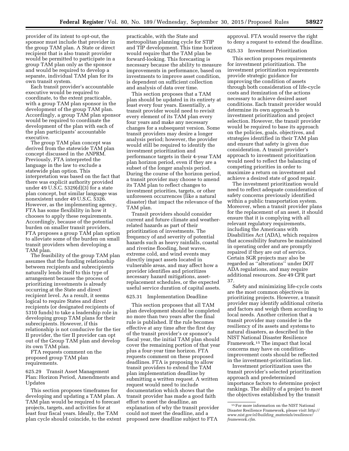provider of its intent to opt-out, the sponsor must include that provider in the group TAM plan. A State or direct recipient that is also transit provider would be permitted to participate in a group TAM plan only as the sponsor and would be required to develop a separate, individual TAM plan for its own transit system.

Each transit provider's accountable executive would be required to coordinate, to the extent practicable, with a group TAM plan sponsor in the development of the group TAM plan. Accordingly, a group TAM plan sponsor would be required to coordinate the development of the plan with each of the plan participants' accountable executive.

The group TAM plan concept was derived from the statewide TAM plan concept discussed in the ANPRM. Previously, FTA interpreted the language in the law to exclude a statewide plan option. This interpretation was based on the fact that there was explicit authority provided under 49 U.S.C. 5329(d)(3) for a state plan concept, but similar language was nonexistent under 49 U.S.C. 5326. However, as the implementing agency, FTA has some flexibility in how it chooses to apply these requirements. Accordingly, because of the potential burden on smaller transit providers, FTA proposes a group TAM plan option to alleviate some of the burden on small transit providers when developing a TAM plan.

The feasibility of the group TAM plan assumes that the funding relationship between recipients and subrecipients naturally lends itself to this type of arrangement because the process of prioritizing investments is already occurring at the State and direct recipient level. As a result, it seems logical to require States and direct recipients (or designated recipients of 5310 funds) to take a leadership role in developing group TAM plans for their subrecipients. However, if this relationship is not conducive for the tier II provider, the tier II provider can opt out of the Group TAM plan and develop its own TAM plan.

FTA requests comment on the proposed group TAM plan requirements.

625.29 Transit Asset Management Plan: Horizon Period, Amendments and Updates

This section proposes timeframes for developing and updating a TAM plan. A TAM plan would be required to forecast projects, targets, and activities for at least four fiscal years. Ideally, the TAM plan cycle should coincide, to the extent practicable, with the State and metropolitan planning cycle for STIP and TIP development. This time horizon would require that the TAM plan be forward-looking. This forecasting is necessary because the ability to measure improvements in performance, based on investments to improve asset condition, is dependent on sufficient collection and analysis of data over time.

This section proposes that a TAM plan should be updated in its entirety at least every four years. Essentially, a transit provider would need to revisit every element of its TAM plan every four years and make any necessary changes for a subsequent version. Some transit providers may desire a longer analysis period; however, the provider would still be required to identify the investment prioritization and performance targets in their 4-year TAM plan horizon period, even if they are a subset of the longer analysis period. During the course of the horizon period, a transit provider may choose to amend its TAM plan to reflect changes to investment priorities, targets, or other unforeseen occurrences (like a natural disaster) that impact the relevance of the TAM plan.

Transit providers should consider current and future climate and weatherrelated hazards as part of their prioritization of investments. The frequency of and severity of potential hazards such as heavy rainfalls, coastal and riverine flooding, heat waves, extreme cold, and wind events may directly impact assets located in vulnerable areas, and may affect how a provider identifies and prioritizes necessary hazard mitigations, assetreplacement schedules, or the expected useful service duration of capital assets.

# 625.31 Implementation Deadline

This section proposes that all TAM plan development should be completed no more than two years after the final rule is published. If the rule becomes effective at any time after the first day of the transit provider's or sponsor's fiscal year, the initial TAM plan should cover the remaining portion of that year plus a four-year time horizon. FTA requests comment on these proposed deadlines. FTA is proposing to allow transit providers to extend the TAM plan implementation deadline by submitting a written request. A written request would need to include documentation which shows that the transit provider has made a good faith effort to meet the deadline, an explanation of why the transit provider could not meet the deadline, and a proposed new deadline subject to FTA

approval. FTA would reserve the right to deny a request to extend the deadline.

625.33 Investment Prioritization

This section proposes requirements for investment prioritization. The investment prioritization requirements provide strategic guidance for improving the condition of assets through both consideration of life-cycle costs and itemization of the actions necessary to achieve desired asset conditions. Each transit provider would determine its own approach to investment prioritization and project selection. However, the transit provider would be required to base its approach on the policies, goals, objectives, and strategies identified in their TAM plan and ensure that safety is given due consideration. A transit provider's approach to investment prioritization would need to reflect the balancing of competing priorities in order to maximize a return on investment and achieve a desired state of good repair.

The investment prioritization would need to reflect adequate consideration of safety concerns previously identified within a public transportation system. Moreover, when a transit provider plans for the replacement of an asset, it should ensure that it is complying with all relevant regulatory requirements, including the Americans with Disabilities Act (ADA), which requires that accessibility features be maintained in operating order and are promptly repaired if they are out of service. Certain SGR projects may also be regarded as ''alterations'' under DOT ADA regulations, and may require additional resources. *See* 49 CFR part 37.

Safety and minimizing life-cycle costs are the most common objectives in prioritizing projects. However, a transit provider may identify additional criteria and factors and weigh them according to local needs. Another criterion that a transit provider may consider is the resiliency of its assets and systems to natural disasters, as described in the NIST National Disaster Resilience Framework.15 The impact that local concerns may have on conditionimprovement costs should be reflected in the investment-prioritization list.

Investment prioritization uses the transit provider's selected prioritization approach and predetermined importance factors to determine project rankings. The ability of a project to meet the objectives established by the transit

 $^{\rm 15}\,$  For more information on the NIST National Disaster Resilience Framework, please visit *[http://](http://www.nist.gov/el/building_materials/resilience/framework.cfm)  [www.nist.gov/el/building](http://www.nist.gov/el/building_materials/resilience/framework.cfm)*\_*materials/resilience/ [framework.cfm](http://www.nist.gov/el/building_materials/resilience/framework.cfm)*.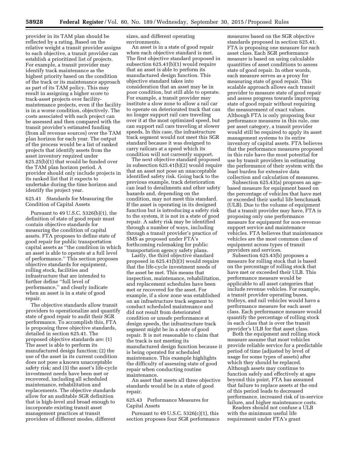provider in its TAM plan should be reflected by a rating. Based on the relative weight a transit provider assigns to each objective, a transit provider can establish a prioritized list of projects. For example, a transit provider may identify track maintenance as the highest priority based on the condition of the track or its maintenance approach as part of its TAM policy. This may result in assigning a higher score to track-asset projects over facilitymaintenance projects, even if the facility is in a worse condition, objectively. The costs associated with each project can be assessed and then compared with the transit provider's estimated funding (from all revenue sources) over the TAM plan horizon for each year. The output of the process would be a list of ranked projects that identify assets from the asset inventory required under 625.25(b)(1) that would be funded over the TAM plan horizon period. A provider should only include projects in its ranked list that it expects to undertake during the time horizon and identify the project year.

625.41 Standards for Measuring the Condition of Capital Assets

Pursuant to 49 U.S.C. 5326(b)(1), the definition of state of good repair must contain objective standards for measuring the condition of capital assets. FTA proposes to define state of good repair for public transportation capital assets as ''the condition in which an asset is able to operate at a full level of performance.'' This section proposes objective standards for equipment, rolling stock, facilities and infrastructure that are intended to further define ''full level of performance,'' and clearly indicate when an asset is in a state of good repair.

The objective standards allow transit providers to operationalize and quantify state of good repair to audit their SGR performance. To accomplish this, FTA is proposing three objective standards, detailed in section 625.41. The proposed objective standards are: (1) The asset is able to perform its manufactured design function; (2) the use of the asset in its current condition does not pose a known unacceptable safety risk; and (3) the asset's life-cycle investment needs have been met or recovered, including all scheduled maintenance, rehabilitation and replacements. The objective standards allow for an auditable SGR definition that is high-level and broad enough to incorporate existing transit asset management practices at transit providers of different modes, different

sizes, and different operating environments.

An asset is in a state of good repair when each objective standard is met. The first objective standard proposed in subsection 625.41(b)(1) would require that an asset is able to perform its manufactured design function. This objective standard takes into consideration that an asset may be in poor condition, but still able to operate. For example, a transit provider may institute a slow zone to allow a rail car to operate on deteriorated track that can no longer support rail cars traveling over it at the most optimized speed, but can support rail cars traveling at slower speeds. In this case, the infrastructure track segment would not meet this SGR standard because it was designed to carry railcars at a speed which its condition will not currently support.

The next objective standard proposed in subsection 625.41(b)(2) would require that an asset not pose an unacceptable identified safety risk. Going back to the previous example, track deterioration can lead to derailments and other safety hazards and, depending on the condition, may not meet this standard. If the asset is operating in its designed function but is introducing a safety risk to the system, it is not in a state of good repair. A safety risk may be identified through a number of ways, including through a transit provider's practice of SMS as proposed under FTA's forthcoming rulemaking for public transportation agency safety plans.

Lastly, the third objective standard proposed in 625.41(b)(3) would require that the life-cycle investment needs of the asset be met. This means that inspection, maintenance, rehabilitation, and replacement schedules have been met or recovered for the asset. For example, if a slow zone was established on an infrastructure track segment to conduct scheduled maintenance and did not result from deteriorated condition or unsafe performance at design speeds, the infrastructure track segment might be in a state of good repair. It is not reasonable to claim that the track is not meeting its manufactured design function because it is being operated for scheduled maintenance. This example highlights the difficulty of assessing state of good repair when conducting routine maintenance.

An asset that meets all three objective standards would be in a state of good repair.

625.43 Performance Measures for Capital Assets

Pursuant to 49 U.S.C. 5326(c)(1), this section proposes four SGR performance measures based on the SGR objective standards proposed in section 625.41. FTA is proposing one measure for each asset class. Each SGR performance measure is based on using calculable quantities of asset conditions to assess state of good repair. In other words, each measure serves as a proxy for measuring state of good repair. This scalable approach allows each transit provider to measure state of good repair and assess progress towards improving state of good repair without requiring the measurement of exact values. Although FTA is only proposing four performance measures in this rule, one per asset category, a transit provider would still be required to apply its asset management systems to its entire inventory of capital assets. FTA believes that the performance measures proposed in this rule have the most potential for use by transit providers in estimating the performance of their system with the least burden for extensive data collection and calculation of measures.

Subsection 625.43(a) proposes an agebased measure for equipment based on the percentage of vehicles that have met or exceeded their useful life benchmark (ULB). Due to the volume of equipment that a transit provider may have, FTA is proposing only one performance measure for equipment for non-revenue support service and maintenance vehicles. FTA believes that maintenance vehicles are the most common class of equipment across types of transit providers and services.

Subsection 625.43(b) proposes a measure for rolling stock that is based on the percentage of rolling stock that have met or exceeded their ULB. This performance measure would be applicable to all asset categories that include revenue vehicles. For example, a transit provider operating buses, trolleys, and rail vehicles would have a performance measure for each asset class. Each performance measure would quantify the percentage of rolling stock in each class that is over the transit provider's ULB for that asset class.

Both the equipment and rolling stock measure assume that most vehicles provide reliable service for a predictable period of time (adjusted by level of usage for some types of assets) after which they should be replaced. Although assets may continue to function safely and effectively at ages beyond this point, FTA has assumed that failure to replace assets at the end of this period leads to decreased performance, increased risk of in-service failure, and higher maintenance costs.

Readers should not confuse a ULB with the minimum useful life requirement under FTA's grant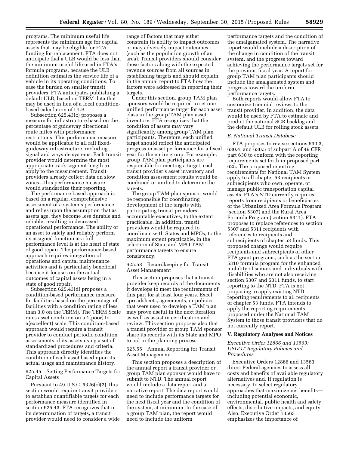programs. The minimum useful life represents the minimum age for capital assets that may be eligible for FTA funding for replacement. FTA does not anticipate that a ULB would be less than the minimum useful life used in FTA's formula programs, because the ULB definition estimates the service life of a vehicle in its operating conditions. To ease the burden on smaller transit providers, FTA anticipates publishing a default ULB, based on TERM data that may be used in lieu of a local conditionbased calculation of ULB.

Subsection 625.43(c) proposes a measure for infrastructure based on the percentage of guideway directional route miles with performance restrictions. This performance measure would be applicable to all rail fixedguideway infrastructure, including signal and wayside systems. Each transit provider would determine the most appropriate track segment length to apply to the measurement. Transit providers already collect data on slow zones—this performance measure would standardize their reporting.

The performance-based approach is based on a regular, comprehensive assessment of a system's performance and relies upon the assumption that as assets age, they become less durable and reliable, resulting in decreased operational performance. The ability of an asset to safely and reliably perform its assigned function at a fullperformance level is at the heart of state of good repair. The performance-based approach requires integration of operations and capital maintenance activities and is particularly beneficial because it focuses on the actual outcomes of capital assets being in a state of good repair.

Subsection 625.43(d) proposes a condition-based performance measure for facilities based on the percentage of facilities with a condition rating of less than 3.0 on the TERM). The TERM Scale rates asset condition on a 1(poor) to 5(excellent) scale. This condition-based approach would require a transit provider to conduct periodic condition assessments of its assets using a set of standardized procedures and criteria. This approach directly identifies the condition of each asset based upon its actual usage and maintenance history.

625.45 Setting Performance Targets for Capital Assets

Pursuant to 49 U.S.C.  $5326(c)(2)$ , this section would require transit providers to establish quantifiable targets for each performance measure identified in section 625.43. FTA recognizes that in its determination of targets, a transit provider would need to consider a wide

range of factors that may either constrain its ability to impact outcomes or may adversely impact outcomes (such as the population growth of an area). Transit providers should consider these factors along with the expected revenue sources from all sources in establishing targets and should explain in the annual report to FTA how the factors were addressed in reporting their targets.

Under this section, group TAM plan sponsors would be required to set one unified performance target for each asset class in the group TAM plan asset inventory. FTA recognizes that the condition of assets may vary significantly among group TAM plan participants. Therefore, each unified target should reflect the anticipated progress in asset performance for a fiscal year for the entire group. For example, group TAM plan participants are responsible for meeting a target, each transit provider's asset inventory and condition assessment results would be combined or unified to determine the targets.

The group TAM plan sponsor would be responsible for coordinating development of the targets with participating transit providers' accountable executives, to the extent practicable. In addition, transit providers would be required to coordinate with States and MPOs, to the maximum extent practicable, in the selection of State and MPO TAM performance targets to ensure consistency.

625.53 Recordkeeping for Transit Asset Management

This section proposes that a transit provider keep records of the documents it develops to meet the requirements of this part for at least four years. Excel spreadsheets, agreements, or policies that were used to develop a TAM plan may prove useful in the next iteration, as well as assist in certification and review. This section proposes also that a transit provider or group TAM sponsor share its records with its State and MPO to aid in the planning process.

625.55 Annual Reporting for Transit Asset Management

This section proposes a description of the annual report a transit provider or group TAM plan sponsor would have to submit to NTD. The annual report would include a data report and a narrative report. The data report would need to include performance targets for the next fiscal year and the condition of the system, at minimum. In the case of a group TAM plan, the report would need to include the uniform

performance targets and the condition of the amalgamated system. The narrative report would include a description of the change in condition of the transit system, and the progress toward achieving the performance targets set for the previous fiscal year. A report for group TAM plan participants should include the amalgamated system and progress toward the uniform performance targets.

Both reports would allow FTA to customize triennial reviews to the transit provider. In addition, the data would be used by FTA to estimate and predict the national SGR backlog and the default ULB for rolling stock assets.

#### *B. National Transit Database*

FTA proposes to revise sections 630.3, 630.4, and 630.5 of subpart A of 49 CFR part 630 to conform with the reporting requirements set forth in proposed part 625. The proposed reporting requirements for National TAM System apply to all chapter 53 recipients or subrecipients who own, operate, or manage public transportation capital assets. FTA's NTD currently requires reports from recipients or beneficiaries of the Urbanized Area Formula Program (section 5307) and the Rural Area Formula Program (section 5311). FTA proposes to replace references to section 5307 and 5311 recipients with references to recipients and subrecipients of chapter 53 funds. This proposed change would require recipients and subrecipients of other FTA grant programs, such as the section 5310 formula program for the enhanced mobility of seniors and individuals with disabilities who are not also receiving section 5307 and 5311 funds, to start reporting to the NTD. FTA is not proposing to apply existing NTD reporting requirements to all recipients of chapter 53 funds. FTA intends to apply the reporting requirements proposed under the National TAM System to those transit providers that do not currently report.

#### **V. Regulatory Analyses and Notices**

# *Executive Order 12866 and 13563; USDOT Regulatory Policies and Procedures*

Executive Orders 12866 and 13563 direct Federal agencies to assess all costs and benefits of available regulatory alternatives and, if regulation is necessary, to select regulatory approaches that maximize net benefits including potential economic, environmental, public health and safety effects, distributive impacts, and equity. Also, Executive Order 13563 emphasizes the importance of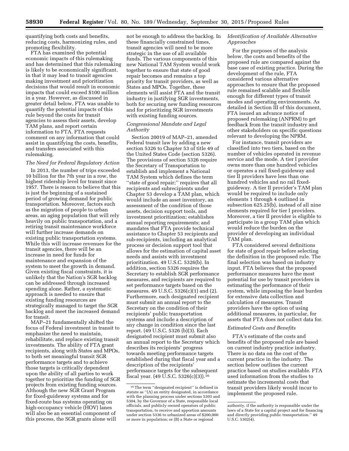quantifying both costs and benefits, reducing costs, harmonizing rules, and promoting flexibility.

FTA has examined the potential economic impacts of this rulemaking and has determined that this rulemaking is likely to be economically significant, in that it may lead to transit agencies making investment and prioritization decisions that would result in economic impacts that could exceed \$100 million in a year. However, as discussed in greater detail below, FTA was unable to quantify the potential impacts of this rule beyond the costs for transit agencies to assess their assets, develop TAM plans, and report certain information to FTA. FTA requests comment on any information that could assist in quantifying the costs, benefits, and transfers associated with this rulemaking.

# *The Need for Federal Regulatory Action*

In 2013, the number of trips exceeded 10 billion for the 7th year in a row, the highest ridership level for transit since 1957. There is reason to believe that this is just the beginning of a sustained period of growing demand for public transportation. Moreover, factors such as the migration of people to urban areas, an aging population that will rely heavily on public transportation, and a retiring transit maintenance workforce will further increase demands on existing public transportation systems. While this will increase revenues for the transit agencies, there will be an increase in need for funds for maintenance and expansion of the system to meet the growth in demand. Given existing fiscal constraints, it is unlikely that the Nation's SGR backlog can be addressed through increased spending alone. Rather, a systematic approach is needed to ensure that existing funding resources are strategically managed to target the SGR backlog and meet the increased demand for transit.

MAP–21 fundamentally shifted the focus of Federal investment in transit to emphasize the need to maintain, rehabilitate, and replace existing transit investments. The ability of FTA grant recipients, along with States and MPOs, to both set meaningful transit SGR performance targets and to achieve those targets is critically dependent upon the ability of all parties to work together to prioritize the funding of SGR projects from existing funding sources. Although the new SGR Grant Program for fixed-guideway systems and for fixed-route bus systems operating on high-occupancy vehicle (HOV) lanes will also be an essential component of this process, the SGR grants alone will

not be enough to address the backlog. In these financially constrained times, transit agencies will need to be more strategic in the use of all available funds. The various components of this new National TAM System would work together to ensure that state of good repair becomes and remains a top priority for transit providers, as well as States and MPOs. Together, these elements will assist FTA and the transit industry in justifying SGR investments, both for securing new funding resources and for prioritizing SGR investments with existing funding sources.

# *Congressional Mandate and Legal Authority*

Section 20019 of MAP–21, amended Federal transit law by adding a new section 5326 to Chapter 53 of title 49 of the United States Code (section 5326). The provisions of section 5326 require the Secretary of Transportation to establish and implement a National TAM System which defines the term "state of good repair;" requires that all recipients and subrecipients under Chapter 53 develop a TAM plan, which would include an asset inventory, an assessment of the condition of those assets, decision support tools, and investment prioritization; establishes annual reporting requirements; and mandates that FTA provide technical assistance to Chapter 53 recipients and sub-recipients, including an analytical process or decision support tool that allows for the estimation of capital asset needs and assists with investment prioritization. 49 U.S.C. 5326(b). In addition, section 5326 requires the Secretary to establish SGR performance measures, and recipients are required to set performance targets based on the measures. 49 U.S.C. 5326(c)(1) and (2). Furthermore, each designated recipient must submit an annual report to the Secretary on the condition of their recipients' public transportation systems and include a description of any change in condition since the last report. (49 U.S.C. 5326 (b)(3). Each designated recipient must submit also an annual report to the Secretary which describes its recipients' progress towards meeting performance targets established during that fiscal year and a description of the recipients' performance targets for the subsequent fiscal year. (49 U.S.C. 5326(c)(3)).16

# *Identification of Available Alternative Approaches*

For the purposes of the analysis below, the costs and benefits of the proposed rule are compared against the base case of existing practice. During the development of the rule, FTA considered various alternative approaches to ensure that the proposed rule remained scalable and flexible enough for different types of transit modes and operating environments. As detailed in Section III of this document, FTA issued an advance notice of proposed rulemaking (ANPRM) to get feedback from the transit industry and other stakeholders on specific questions relevant to developing the NPRM.

For instance, transit providers are classified into two tiers, based on the number of vehicles operated in revenue service and the mode. A tier I provider owns more than one hundred vehicles or operates a rail fixed-guideway and tier II providers have less than one hundred vehicles and no rail fixedguideway. A tier II provider's TAM plan would be required to include only elements 1 through 4 outlined in subsection 625.25(b), instead of all nine elements required for tier I providers. Moreover, a tier II provider is eligible to participate in a group TAM plan which would reduce the burden on the provider of developing an individual TAM plan.

FTA considered several definitions for state of good repair before selecting the definition in the proposed rule. The final selection was based on industry input. FTA believes that the proposed performance measures have the most potential for use by transit providers in estimating the performance of their system, while imposing the least burden for extensive data collection and calculation of measures. Transit providers have the option of using additional measures, in particular, for assets that FTA does not collect data for.

# *Estimated Costs and Benefits*

FTA's estimate of the costs and benefits of the proposed rule are based on current industry practice industry. There is no data on the cost of the current practice in the industry. The section below outlines the current practice based on studies available. FTA used information from the studies to estimate the incremental costs that transit providers likely would incur to implement the proposed rule.

<sup>16</sup>The term ''designated recipient'' is defined in statute as ''(A) an entity designated, in accordance with the planning process under sections 5303 and 5304, by the Governor of a State, responsible local officials, and publicly owned operators of public transportation, to receive and apportion amounts under section 5336 to urbanized areas of \$200,000 or more in population; or (B) a State or regional

authority, if the authority is responsible under the laws of a State for a capital project and for financing and directly providing public transportation.'' 49  $U.S.C. 5302(4)$ .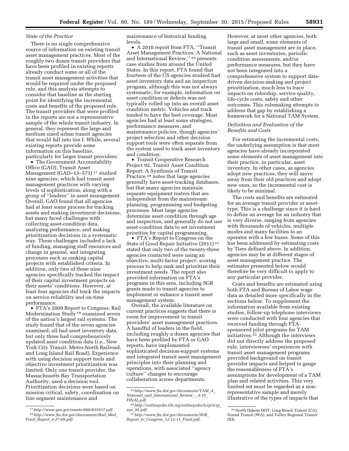# *State of the Practice*

There is no single comprehensive source of information on existing transit asset management practices. Most of the roughly two dozen transit providers that have been profiled in existing reports already conduct some or all of the transit asset management activities that would be required under the proposed rule, and this analysis attempts to consider that baseline as the starting point for identifying the incremental costs and benefits of the proposed rule. The transit providers that were profiled in the reports are not a representative sample of the whole transit industry. In general, they represent the large and medium sized urban transit agencies that would fall into tier I. While, several existing reports provide some information on this baseline, particularly for larger transit providers:

• The Government Accountability Office (GAO), Transit Asset Management (GAO–13–571) 17 studied nine agencies, which had transit asset management practices with varying levels of sophistication, along with a group of ''leaders'' in asset management. Overall, GAO found that all agencies had at least some process for tracking assets and making investment decisions, but many faced challenges with collecting asset-condition data, analyzing performance, and making prioritization decisions in a systematic way. These challenges included a lack of funding, managing staff resources and change in general, and integrating processes such as ranking capital projects with established criteria. In addition, only two of these nine agencies specifically tracked the impact of their capital investment projects on their assets' conditions. However, at least four agencies did track the impacts on service reliability and on-time performance.

• FTA's 2009 Report to Congress, Rail Modernization Study 18 examined seven of the nation's largest rail systems. The study found that of the seven agencies examined, all had asset inventory data, but only three had comprehensively updated asset condition data (*i.e.,* New York City Transit, Metro-North Railroad, and Long Island Rail Road). Experience with using decision support tools and objective investment prioritization was limited. Only one transit provider, the Massachusetts Bay Transportation Authority, used a decision tool. Prioritization decisions were based on mission critical, safety, coordination on line segment maintenance and

maintenance of historical funding levels.

• A 2010 report from FTA, ''Transit Asset Management Practices: A National and International Review,'' 19 presents case studies from around the United States. In this report, FTA found that fourteen of the US agencies studied had asset inventory data and an inspection program, although this was not always systematic; for example, information on asset condition or defects was not typically rolled up into an overall asset condition metric. Vehicles and track tended to have the best coverage. Most agencies had at least some strategies, performance measures, and maintenance policies, though agencies' project selection and other decision support tools were often separate from the system used to track asset inventory and condition.

• Transit Cooperative Research Project 92, Transit Asset Condition Report: A Synthesis of Transit Practice,20 notes that large agencies generally have asset-tracking databases, but that many agencies maintain separate equipment rosters that are independent from the mainstream planning, programming and budgeting processes. Most large agencies determine asset condition through age and inspection, and generally do not use asset-condition data to set investment priorities for capital programming.

• FTA's Report to Congress on the State of Good Repair Initiative (2011) 21 stated that only two of the twenty-three agencies contacted were using an objective, multi-factor project- scoring process to help rank and prioritize their investment needs. The report also provided information on FTA's programs in this area, including SGR grants made to transit agencies to implement or enhance a transit asset management system.

Overall, the available literature on current practices suggests that there is room for improvement in transit providers' asset management practices. A handful of leaders in the field, including roughly a dozen agencies that have been profiled by FTA or GAO reports, have implemented sophisticated decision-support systems and integrated transit asset management principles into their planning and operations, with associated ''agency culture'' changes to encourage collaboration across departments.

However, at most other agencies, both large and small, some elements of transit asset management are in place, such as asset inventories, periodic condition assessments, and/or performance measures, but they have not been integrated into a comprehensive system to support datadriven decision-making and project prioritization, much less to trace impacts on ridership, service quality, life-cycle costs, safety and other outcomes. This rulemaking attempts to address that gap by establishing a framework for a National TAM System.

# *Definition and Evaluation of the Benefits and Costs*

For estimating the incremental costs, the underlying assumption is that most agencies have already incorporated some elements of asset management into their practice, in particular, asset inventory. In other cases, as agencies adopt new practices, they will move away from their old practices and adopt new ones, so the incremental cost is likely to be minimal.

The costs and benefits are estimated for an average transit provider or assettype. This is a challenge since it is hard to define an average for an industry that is very diverse, ranging from agencies with thousands of vehicles, multiple modes and many facilities to an operator with a few buses. Some of this has been addressed by estimating costs by Tiers defined above. In addition, agencies may be at different stages of asset management practice. The estimates presented below would therefore be very difficult to apply to any particular provider.

Costs and benefits are estimated using both FTA and Bureau of Labor wage data as detailed more specifically in the sections below. To supplement the information available from existing studies, follow-up telephone interviews were conducted with four agencies that received funding through FTAsponsored pilot programs for TAM initiatives.<sup>22</sup> Although the interviews did not directly address the proposed rule, interviewees' experiences with transit asset management programs provided background on transit provider impacts and helped to gauge the reasonableness of FTA's assumptions for development of a TAM plan and related activities. This very limited set must be regarded as a nonrepresentative sample and merely illustrative of the types of impacts that

<sup>17</sup>*<http://www.gao.gov/assets/660/655837.pdf>*. 18*[http://www.fta.dot.gov/documents/Rail](http://www.fta.dot.gov/documents/Rail_Mod_Final_Report_4-27-09.pdf)*\_*Mod*\_ *Final*\_*Report*\_*[4-27-09.pdf](http://www.fta.dot.gov/documents/Rail_Mod_Final_Report_4-27-09.pdf)*.

<sup>19</sup>*[http://www.fta.dot.gov/documents/TAM](http://www.fta.dot.gov/documents/TAM_A_National_and_International_Review_-_6.10_FINAL.pdf)*\_*A*\_ *National*\_*and*\_*[International](http://www.fta.dot.gov/documents/TAM_A_National_and_International_Review_-_6.10_FINAL.pdf)*\_*Review*\_*-*\_*6.10*\_ *[FINAL.pdf](http://www.fta.dot.gov/documents/TAM_A_National_and_International_Review_-_6.10_FINAL.pdf)*.

<sup>20</sup>*[http://onlinepubs.trb.org/onlinepubs/tcrp/tcrp](http://onlinepubs.trb.org/onlinepubs/tcrp/tcrp_syn_92.pdf)*\_ *syn*\_*[92.pdf](http://onlinepubs.trb.org/onlinepubs/tcrp/tcrp_syn_92.pdf)*.

<sup>21</sup>*[http://www.fta.dot.gov/documents/SGR](http://www.fta.dot.gov/documents/SGR_Report_to_Congress_12-12-11_Final.pdf)*\_ *Report*\_*to*\_*Congress*\_*12-12-11*\_*[Final.pdf](http://www.fta.dot.gov/documents/SGR_Report_to_Congress_12-12-11_Final.pdf)*.

<sup>22</sup>North Dakota DOT, Long Beach Transit (CA), Sound Transit (WA), and Valley Regional Transit (ID).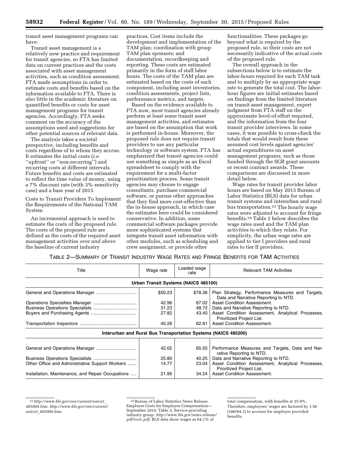transit asset management programs can have.

Transit asset management is a relatively new practice and requirement for transit agencies, so FTA has limited data on current practices and the costs associated with asset management activities, such as condition assessment. FTA made assumptions in order to estimate costs and benefits based on the information available to FTA. There is also little in the academic literature on quantified benefits or costs for asset management programs for transit agencies. Accordingly, FTA seeks comment on the accuracy of the assumptions used and suggestions for other potential sources of relevant data.

The analysis takes a societal perspective, including benefits and costs regardless of to whom they accrue. It estimates the initial costs (*i.e.*  ''upfront'' or ''non-recurring'') and recurring costs at different intervals. Future benefits and costs are estimated to reflect the time value of money, using a 7% discount rate (with 3% sensitivity case) and a base year of 2015.

Costs to Transit Providers To Implement the Requirements of the National TAM System

An incremental approach is used to estimate the costs of the proposed rule. The costs of the proposed rule are defined as the costs of the required asset management activities *over and above*  the baseline of current industry

practices. Cost items include the development and implementation of the TAM plan; coordination with group TAM plan sponsors; and documentation, recordkeeping and reporting. These costs are estimated primarily in the form of staff labor hours. The costs of the TAM plan are estimated based on the costs of each component, including asset inventories, condition assessments, project lists, performance metrics, and targets.

Based on the evidence available to FTA now, most transit agencies already perform at least some transit asset management activities, and estimates are based on the assumption that work is performed in-house. Moreover, the proposed rule does not require transit providers to use any particular technology or software system. FTA has emphasized that transit agencies could use something as simple as an Excel spreadsheet to comply with the requirement for a multi-factor prioritization process. Some transit agencies may choose to engage consultants, purchase commercial software, or pursue other approaches that they find more cost-effective than the in-house approach, in which case the estimates here could be considered conservative. In addition, some commercial software packages provide more sophisticated systems that integrate transit asset information with other modules, such as scheduling and crew assignment, or provide other

functionalities. These packages go beyond what is required by the proposed rule, so their costs are not necessarily indicative of the actual costs of the proposed rule.

The overall approach in the subsections below is to estimate the labor-hours required for each TAM task and to multiply by an appropriate wage rate to generate the total cost. The laborhour figures are initial estimates based on findings from the limited literature on transit asset management, expert judgment from FTA staff on the approximate level-of-effort required, and the information from the four transit provider interviews. In some cases, it was possible to cross-check the totals that would result from these assumed cost levels against agencies' actual expenditures on asset management programs, such as those funded through the SGR grant amounts or recent contract awards. These comparisons are discussed in more detail below.

Wage rates for transit provider labor hours are based on May 2013 Bureau of Labor Statistics (BLS) data for urban transit systems and interurban and rural bus transportation.23 The hourly wage rates were adjusted to account for fringe benefits.24 Table 2 below describes the wage rates used and the TAM plan activities to which they relate. For simplicity, the urban wage rates are applied to tier I providers and rural rates to tier II providers.

TABLE 2—SUMMARY OF TRANSIT INDUSTRY WAGE RATES AND FRINGE BENEFITS FOR TAM ACTIVITIES

| Title                                             | Wage rate | Loaded wage<br>rate                  | <b>Relevant TAM Activities</b>                                                           |
|---------------------------------------------------|-----------|--------------------------------------|------------------------------------------------------------------------------------------|
|                                                   |           | Urban Transit Systems (NAICS 485100) |                                                                                          |
|                                                   | \$50.23   | \$78.36                              | Plan Strategy, Performance Measures and Targets,<br>Data and Narrative Reporting to NTD. |
|                                                   | 42.96     | 67.02                                | Asset Condition Assessment.                                                              |
|                                                   | 31.23     | 48.72                                | Data and Narrative Reporting to NTD.                                                     |
|                                                   | 27.82     | 43.40                                | Asset Condition Assessment, Analytical Processes,<br>Prioritized Project List.           |
|                                                   | 40.26     | 62.81                                | Asset Condition Assessment.                                                              |
|                                                   |           |                                      | Interurban and Rural Bus Transportation Systems (NAICS 485200)                           |
|                                                   |           |                                      |                                                                                          |
|                                                   | 42.02     | 65.55                                | Performance Measures and Targets, Data and Nar-<br>rative Reporting to NTD.              |
|                                                   | 25.80     | 40.25                                | Data and Narrative Reporting to NTD.                                                     |
| Other Office and Administrative Support Workers   | 14.77     | 23.04                                | Asset Condition Assessment, Analytical Processes,<br>Prioritized Project List.           |
| Installation, Maintenance, and Repair Occupations | 21.95     | 34.24                                | Asset Condition Assessment.                                                              |

<sup>23</sup>*[http://www.bls.gov/oes/current/naics3](http://www.bls.gov/oes/current/naics3_485000.htm)*\_ *[485000.htm](http://www.bls.gov/oes/current/naics3_485000.htm)*. *[http://www.bls.gov/oes/current/](http://www.bls.gov/oes/current/naics3_485000.htm) naics3*\_*[485000.htm](http://www.bls.gov/oes/current/naics3_485000.htm)*.

<sup>24</sup>Bureau of Labor Statistics News Release. Employer Costs for Employee Compensation— September 2014. Table 3, Service-providing industry group. *[http://www.bls.gov/news.release/](http://www.bls.gov/news.release/pdf/ecec.pdf) [pdf/ecec.pdf](http://www.bls.gov/news.release/pdf/ecec.pdf)*. BLS data show wages as 64.1% of

total compensation, with benefits at 35.9%. Therefore, employees' wages are factored by 1.56 (100/64.1) to account for employer provided benefits.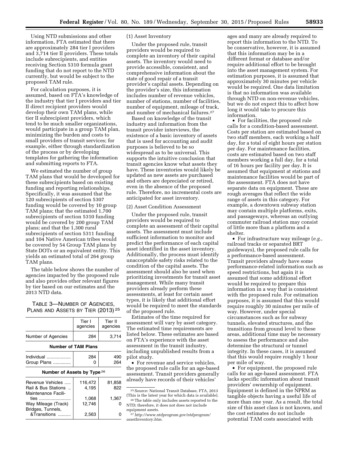Using NTD submissions and other information, FTA estimated that there are approximately 284 tier I providers and 3,714 tier II providers. These totals include subrecipients, and entities receiving Section 5310 formula grant funding that do not report to the NTD currently, but would be subject to the proposed TAM rule.

For calculation purposes, it is assumed, based on FTA's knowledge of the industry that tier I providers and tier II direct recipient providers would develop their own TAM plans, while tier II subrecipient providers, which tend to be much smaller organizations, would participate in a group TAM plan, minimizing the burden and costs to small providers of transit services; for example, either through standardization of the process or by developing templates for gathering the information and submitting reports to FTA.

We estimated the number of group TAM plans that would be developed for these subrecipients based on existing funding and reporting relationships. Specifically, it was assumed that the 120 subrecipients of section 5307 funding would be covered by 10 group TAM plans; that the estimated 1,700 subrecipients of section 5310 funding would be covered by 200 group TAM plans; and that the 1,300 rural subrecipients of section 5311 funding and 104 Native American tribes would be covered by 54 Group TAM plans by State DOTs or an equivalent entity. This yields an estimated total of 264 group TAM plans.

The table below shows the number of agencies impacted by the proposed rule and also provides other relevant figures by tier based on our estimates and the 2013 NTD data.

TABLE 3—NUMBER OF AGENCIES, PLANS AND ASSETS BY TIER (2013) 25

|                                                                | Tier I<br>agencies         | Tier II<br>agencies |
|----------------------------------------------------------------|----------------------------|---------------------|
| Number of Agencies                                             | 284                        | 3,714               |
|                                                                | <b>Number of TAM Plans</b> |                     |
| Individual<br>Group Plans                                      | 284                        | 490<br>264          |
| Number of Assets by Type 26                                    |                            |                     |
| Revenue Vehicles<br>Rail & Bus Stations<br>Maintenance Facili- | 116.472<br>4,195           | 81,858<br>822       |
| ties<br>Way Mileage (Track)<br>Bridges, Tunnels,               | 1,068<br>12.746            | 1,367               |
| &Transitions                                                   | 2,563                      | 0                   |

# (1) Asset Inventory

Under the proposed rule, transit providers would be required to complete an inventory of their capital assets. The inventory would need to provide accessible, consistent, and comprehensive information about the state of good repair of a transit provider's capital assets. Depending on the provider's size, this information includes number of revenue vehicles, number of stations, number of facilities, number of equipment, mileage of track, and number of mechanical failures.27

Based on knowledge of the transit industry and information from the transit provider interviews, the existence of a basic inventory of assets that is used for accounting and audit purposes is believed to be so widespread as to be universal. This supports the intuitive conclusion that transit agencies know what assets they have. These inventories would likely be updated as new assets are purchased and others are depreciated or retired, even in the absence of the proposed rule. Therefore, no incremental costs are anticipated for asset inventory.

## (2) Asset Condition Assessment

Under the proposed rule, transit providers would be required to complete an assessment of their capital assets. The assessment must include sufficient information to monitor and predict the performance of each capital asset identified in the asset inventory. Additionally, the process must identify unacceptable safety risks related to the condition of the capital assets. The assessment should also be used when prioritizing investments for transit asset management. While many transit providers already perform these assessments, at least for certain asset types, it is likely that additional effort would be required to meet the standards of the proposed rule.

Estimates of the time required for assessment will vary by asset category. The estimated time requirements are listed below. These estimates are based on FTA's experience with the asset assessment in the transit industry, including unpublished results from a pilot study.

• For revenue and service vehicles, the proposed rule calls for an age-based assessment. Transit providers generally already have records of their vehicles'

ages and many are already required to report this information to the NTD. To be conservative, however, it is assumed that this information may be in a different format or database and/or require additional effort to be brought into the asset management system. For estimation purposes, it is assumed that approximately 30 minutes per vehicle would be required. One data limitation is that no information was available through NTD on non-revenue vehicles, but we do not expect this to affect how long it would take to procure this information.

• For facilities, the proposed rule calls for a condition-based assessment. Costs per station are estimated based on two staff members, each working a half day, for a total of eight hours per station per day. For maintenance facilities, costs are estimated based on two staff members working a full day, for a total of 16 hours per facility per day. It is assumed that equipment at stations and maintenance facilities would be part of the assessment. FTA does not have separate data on equipment. These are rough averages that reflect the wide range of assets in this category. For example, a downtown subway station may contain multiple platforms, exits, and passageways, whereas an outlying commuter railroad station may consist of little more than a platform and a shelter.

• For infrastructure way mileage (*e.g.,*  railroad tracks or separated BRT guideways), the proposed rule calls for a performance-based assessment. Transit providers already have some performance-related information such as speed restrictions, but again it is assumed that some additional effort would be required to prepare this information in a way that is consistent with the proposed rule. For estimation purposes, it is assumed that this would require roughly 30 minutes per mile of way. However, under special circumstances such as for subway tunnels, elevated structures, and the transitions from ground level to these areas, additional time may be necessary to assess the performance and also determine the structural or tunnel integrity. In these cases, it is assumed that this would require roughly 1 hour per mile of way.

• For equipment, the proposed rule calls for an age-based assessment. FTA lacks specific information about transit providers' ownership of equipment. Equipment is defined in the NPRM as tangible objects having a useful life of more than one year. As a result, the total size of this asset class is not known, and the cost estimates do not include potential TAM costs associated with

<sup>25</sup>Source: National Transit Database, FTA, 2013 (This is the latest year for which data is available).

<sup>26</sup>The table only includes assets reported to the NTD; therefore, it does not does not include equipment assets.

<sup>27</sup>*[http://www.ntdprogram.gov/ntdprogram/](http://www.ntdprogram.gov/ntdprogram/assetInventory.htm) [assetInventory.htm.](http://www.ntdprogram.gov/ntdprogram/assetInventory.htm)*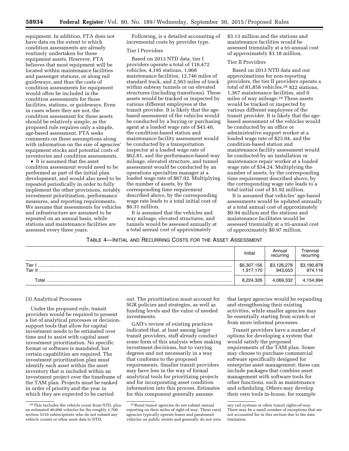equipment. In addition, FTA does not have data on the extent to which condition assessments are already routinely undertaken for these equipment assets. However, FTA believes that most equipment will be located within maintenance facilities and passenger stations, or along rail guideways, and thus the costs of condition assessments for equipment would often be included in the condition assessments for those facilities, stations, or guideways. Even in cases where they are not, the condition assessment for these assets should be relatively simple, as the proposed rule requires only a simple, age-based assessment. FTA seeks comments on these assumptions along with information on the size of agencies' equipment stocks and potential costs of inventories and condition assessments.

• It is assumed that the asset condition assessment would need to be performed as part of the initial plan development, and would also need to be repeated periodically in order to fully implement the other provisions, notably investment prioritization, performance measures, and reporting requirements. We assume that assessments for vehicles and infrastructure are assumed to be repeated on an annual basis, while stations and maintenance facilities are assessed every three years.

Following, is a detailed accounting of incremental costs by provider type.

#### Tier I Providers

Based on 2013 NTD data, tier I providers operate a total of 116,472 vehicles, 4,195 stations, 1,068 maintenance facilities, 12,746 miles of standard track, and 2,563 miles of track within subway tunnels or on elevated structures (including transitions). These assets would be tracked or inspected by various different employees at the transit provider. It is likely that the agebased assessment of the vehicles would be conducted by a buying or purchasing agent at a loaded wage rate of \$43.40, the condition-based station and maintenance facility assessment would be conducted by a transportation inspector at a loaded wage rate of \$62.81, and the performance-based way mileage, elevated structure, and tunnel assessment would be conducted by an operations specialties manager at a loaded wage rate of \$67.02. Multiplying the number of assets, by the corresponding time requirement described above, by the corresponding wage rate leads to a total initial cost of \$6.31 million.

It is assumed that the vehicles and way mileage, elevated structures, and tunnels would be assessed annually at a total annual cost of approximately

\$3.13 million and the stations and maintenance facilities would be assessed triennially at a tri-annual cost of approximately \$3.18 million.

# Tier II Providers

Based on 2013 NTD data and our approximations for non-reporting providers, the tier II providers operate a total of 81,858 vehicles,<sup>28</sup> 822 stations, 1,367 maintenance facilities, and 0 miles of way mileage.29 These assets would be tracked or inspected by various different employees of the transit provider. It is likely that the agebased assessment of the vehicles would be conducted by an office or administrative support worker at a loaded wage rate of \$23.04, and the condition-based station and maintenance facility assessment would be conducted by an installation or maintenance repair worker at a loaded wage rate of \$34.24. Multiplying the number of assets, by the corresponding time requirement described above, by the corresponding wage rate leads to a total initial cost of \$1.92 million.

It is assumed that vehicles' age-based assessments would be updated annually at a total annual cost of approximately \$0.94 million and the stations and maintenance facilitates would be assessed triennially at a tri-annual cost of approximately \$0.97 million.

# TABLE 4—INITIAL AND RECURRING COSTS FOR THE ASSET ASSESSMENT

|                 | Initial                  | Annual<br>recurring    | <sup>-</sup> riennial<br>recurring |
|-----------------|--------------------------|------------------------|------------------------------------|
| Tier<br>Tier II | \$6,307,156<br>1.917.170 | \$3,126,278<br>943.053 | \$3,180,878<br>974,116             |
| Total           | 8,224,326                | 4.069.332              | 4,154,994                          |

#### (3) Analytical Processes

Under the proposed rule, transit providers would be required to present a list of analytical processes or decisionsupport tools that allow for capital investment needs to be estimated over time and to assist with capital asset investment prioritization. No specific format or software is mandated, but certain capabilities are required. The investment prioritization plan must identify each asset within the asset inventory that is included within an investment project over the timeframe of the TAM plan. Projects must be ranked in order of priority and the year in which they are expected to be carried

out. The prioritization must account for SGR policies and strategies, as well as funding levels and the value of needed investments.

GAO's review of existing practices indicated that, at least among larger transit providers, staff already conduct some form of this analysis when making investment decisions, but to varying degrees and not necessarily in a way that conforms to the proposed requirements. Smaller transit providers may have less in the way of formal analytical tools for prioritizing projects and for incorporating asset condition information into this process. Estimates for this component generally assume

that larger agencies would be expanding and strengthening their existing activities, while smaller agencies may be essentially starting from scratch or from more informal processes.

Transit providers have a number of options for developing a system that would satisfy the proposed requirements of the TAM plan. Some may choose to purchase commercial software specifically designed for enterprise asset management; these can include packages that combine asset management with software tools for other functions, such as maintenance and scheduling. Others may develop their own tools in-house, for example

<sup>28</sup>This includes the vehicle count from NTD, plus an estimated 40,000 vehicles for the roughly 1,700 section 5310 subrecipients who do not submit any vehicle counts or other asset data to NTD.

<sup>29</sup>Rural transit agencies do not submit annual reporting on their miles of right-of-way. These rural agencies typically operate buses and paratransit vehicles on public streets and generally do not own

any rail systems or other transit rights-of-way. There may be a small number of exceptions that are not accounted for in this section due to the data limitation.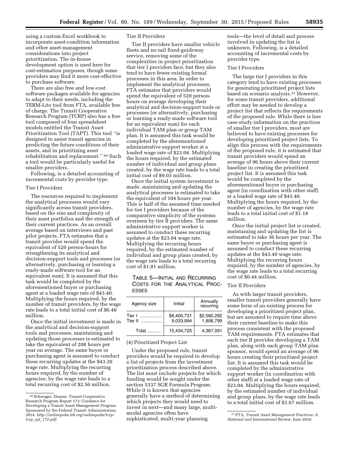using a custom Excel workbook to incorporate asset-condition information and other asset-management considerations into project prioritization. The in-house development option is used here for cost-estimation purposes, though some providers may find it more cost-effective to purchase software.

There are also free and low-cost software packages available for agencies to adapt to their needs, including the TERM-Lite tool from FTA, available free of charge. The Transit Cooperative Research Program (TCRP) also has a free tool composed of four spreadsheet models entitled the Transit Asset Prioritization Tool (TAPT). This tool ''is designed to assist transit agencies in predicting the future conditions of their assets, and in prioritizing asset rehabilitation and replacement.'' 30 Such a tool would be particularly useful for smaller providers.

Following, is a detailed accounting of incremental costs by provider type.

# Tier I Providers

The resources required to implement the analytical processes would vary significantly across transit providers, based on the size and complexity of their asset portfolios and the strength of their current practices. As an overall average based on interviews and past pilot projects, FTA estimates that a transit provider would spend the equivalent of 520 person-hours for strengthening its analytical and decision-support tools and processes (or alternatively, purchasing or learning a ready-made software tool for an equivalent sum). It is assumed that this task would be completed by the aforementioned buyer or purchasing agent at a loaded wage rate of \$43.40. Multiplying the hours required, by the number of transit providers, by the wage rate leads to a total initial cost of \$6.40 million.

Once the initial investment is made in the analytical and decision-support tools and processes, maintaining and updating those processes is estimated to take the equivalent of 208 hours per year on average. The same buyer or purchasing agent is assumed to conduct these recurring updates at the \$43.30 wage rate. Multiplying the recurring hours required, by the number of agencies, by the wage rate leads to a total recurring cost of \$2.56 million.

# Tier II Providers

Tier II providers have smaller vehicle fleets and no rail fixed-guideway service, removing some of the complexities in project prioritization that tier I providers face, but they also tend to have fewer existing formal processes in this area. In order to implement the analytical processes, FTA estimates that providers would spend the equivalent of 520 personhours on average developing their analytical and decision-support tools or processes (or alternatively, purchasing or learning a ready-made software tool for an equivalent sum) for each individual TAM plan or group TAM plan. It is assumed this task would be completed by the aforementioned administrative support worker at a loaded wage rate of \$23.04. Multiplying the hours required, by the estimated number of individual and group plans created, by the wage rate leads to a total initial cost of \$9.03 million.

Once the initial system investment is made, maintaining and updating the analytical processes is estimated to take the equivalent of 104 hours per year. This is half of the assumed time needed for tier I providers because of the comparative simplicity of the systems overseen by tier II providers. The same administrative support worker is assumed to conduct these recurring updates at the \$23.04 wage rate. Multiplying the recurring hours required, by the estimated number of individual and group plans created, by the wage rate leads to a total recurring cost of \$1.81 million.

TABLE 5—INITIAL AND RECURRING COSTS FOR THE ANALYTICAL PROC-ESSES

| Agency size            | Initial                  | Annually<br>recurring    |
|------------------------|--------------------------|--------------------------|
| Tier I<br>.<br>Tier II | \$6,400,731<br>9.033.994 | \$2,560,292<br>1,806,799 |
| Total                  | 15,434,725               | 4.367.091                |

#### (4) Prioritized Project List

Under the proposed rule, transit providers would be required to develop a list of projects from the investment prioritization process described above. The list must include projects for which funding would be sought under the section 5337 SGR Formula Program. While it is known that agencies generally have a method of determining which projects they would need to invest in next—and many large, multimodal agencies often have sophisticated, multi-year planning

tools—the level of detail and process involved in updating the list is unknown. Following, is a detailed accounting of incremental costs by provider type.

## Tier I Providers

The large tier I providers in this category tend to have existing processes for generating prioritized project lists based on scenario analysis.31 However, for some transit providers, additional effort may be needed to develop a project list that reflects the requirements of the proposed rule. While there is less case-study information on the practices of smaller tier I providers, most are believed to have existing processes for developing prioritized project lists. To align this process with the requirements of the proposed rule, it is estimated that transit providers would spend an average of 96 hours above their current baseline in creating the prioritized project list. It is assumed this task would be completed by the aforementioned buyer or purchasing agent (in coordination with other staff) at a loaded wage rate of \$43.40. Multiplying the hours required, by the number of agencies, by the wage rate leads to a total initial cost of \$1.18 million.

Once the initial project list is created, maintaining and updating the list is estimated to take 36 hours per year. The same buyer or purchasing agent is assumed to conduct these recurring updates at the \$43.40 wage rate. Multiplying the recurring hours required, by the number of agencies, by the wage rate leads to a total recurring cost of \$0.44 million.

# Tier II Providers

As with larger transit providers, smaller transit providers generally have some form of an existing process for developing a prioritized project plan, but are assumed to require time above their current baseline to make this process consistent with the proposed TAM requirements. FTA estimates that each tier II provider developing a TAM plan, along with each group TAM plan sponsor, would spend an average of 96 hours creating their prioritized project list. It is assumed this task would be completed by the administrative support worker (in coordination with other staff) at a loaded wage rate of \$23.04. Multiplying the hours required, by the estimated number of individual and group plans, by the wage rate leads to a total initial cost of \$1.67 million.

<sup>30</sup>Schwager, Dianne. Transit Cooperative Research Program Report 172: Guidance for Developing a Transit Asset Management Program. Sponsored by the Federal Transit Administration. 2014. *[http://onlinepubs.trb.org/onlinepubs/tcrp/](http://onlinepubs.trb.org/onlinepubs/tcrp/tcrp_rpt_172.pdf) tcrp*\_*rpt*\_*[172.pdf](http://onlinepubs.trb.org/onlinepubs/tcrp/tcrp_rpt_172.pdf)*.

<sup>31</sup>FTA, *Transit Asset Management Practices: A National and International Review,* June 2010.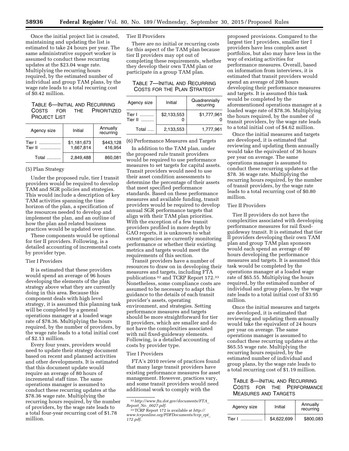Once the initial project list is created, maintaining and updating the list is estimated to take 24 hours per year. The same administrative support worker is assumed to conduct these recurring updates at the \$23.04 wage rate. Multiplying the recurring hours required, by the estimated number of individual and group TAM plans, by the wage rate leads to a total recurring cost of \$0.42 million.

# TABLE 6—INITIAL AND RECURRING COSTS FOR THE PRIORITIZED PROJECT LIST

| Agency size                 | Initial                  | Annually<br>recurring |
|-----------------------------|--------------------------|-----------------------|
| Tier I<br>.<br>Tier II<br>. | \$1,181,673<br>1.667.814 | \$443.128<br>416.954  |
| Total                       | 2.849.488                | 860.081               |

# (5) Plan Strategy

Under the proposed rule, tier I transit providers would be required to develop TAM and SGR policies and strategies. This would include a description of key TAM activities spanning the time horizon of the plan, a specification of the resources needed to develop and implement the plan, and an outline of how the plan and related business practices would be updated over time.

These components would be optional for tier II providers. Following, is a detailed accounting of incremental costs by provider type.

#### Tier I Providers

It is estimated that these providers would spend an average of 96 hours developing the elements of the plan strategy above what they are currently doing in this area. Because this component deals with high level strategy, it is assumed this planning task will be completed by a general operations manager at a loaded wage rate of \$78.36. Multiplying the hours required, by the number of providers, by the wage rate leads to a total initial cost of \$2.13 million.

Every four years, providers would need to update their strategy document based on recent and planned activities and other developments. It is estimated that this document update would require an average of 80 hours of incremental staff time. The same operations manager is assumed to conduct these recurring updates at the \$78.36 wage rate. Multiplying the recurring hours required, by the number of providers, by the wage rate leads to a total four-year recurring cost of \$1.78 million.

### Tier II Providers

There are no initial or recurring costs for this aspect of the TAM plan because tier II providers may opt out of completing these requirements, whether they develop their own TAM plan or participate in a group TAM plan.

# TABLE 7—INITIAL AND RECURRING COSTS FOR THE PLAN STRATEGY

| Agency size            | Initial     | Quadrennially<br>recurring |
|------------------------|-------------|----------------------------|
| Tier I ……….<br>Tier II | \$2.133.553 | \$1,777,961                |
| Total $\dots$          | 2,133,553   | 1.777.961                  |

(6) Performance Measures and Targets

In addition to the TAM plan, under the proposed rule transit providers would be required to use performance measures to set targets for capital assets. Transit providers would need to use their asset condition assessments to determine the percentage of their assets that meet specified performance standards. Based on these performance measures and available funding, transit providers would be required to develop annual SGR performance targets that align with their TAM plan priorities. With the exception of a few transit providers profiled in more depth by GAO reports, it is unknown to what extent agencies are currently monitoring performance or whether their existing metrics and targets would meet the requirements of this section.

Transit providers have a number of resources to draw on in developing their measures and targets, including FTA publications 32 and TCRP Report 172.33 Nonetheless, some compliance costs are assumed to be necessary to adapt this guidance to the details of each transit provider's assets, operating environment, and strategies. Setting performance measures and targets should be more straightforward for tier II providers, which are smaller and do not have the complexities associated with rail fixed-guideway elements. Following, is a detailed accounting of costs by provider type.

#### Tier I Providers

FTA's 2010 review of practices found that many large transit providers have existing performance measures for asset management. However, practices vary, and some transit providers would need additional work to comply with the

proposed provisions. Compared to the largest tier I providers, smaller tier I providers have less complex asset portfolios, but also may have less in the way of existing activities for performance measures. Overall, based on information from interviews, it is estimated that transit providers would spend an average of 208 hours developing their performance measures and targets. It is assumed this task would be completed by the aforementioned operations manager at a loaded wage rate of \$78.36. Multiplying the hours required, by the number of transit providers, by the wage rate leads to a total initial cost of \$4.62 million.

Once the initial measures and targets are developed, it is estimated that reviewing and updating them annually would take the equivalent of 36 hours per year on average. The same operations manager is assumed to conduct these recurring updates at the \$78. 36 wage rate. Multiplying the recurring hours required, by the number of transit providers, by the wage rate leads to a total recurring cost of \$0.80 million.

# Tier II Providers

Tier II providers do not have the complexities associated with developing performance measures for rail fixedguideway transit. It is estimated that tier II providers developing their own TAM plan and group TAM plan sponsors would each spend an average of 80 hours developing the performance measures and targets. It is assumed this task would be completed by the operations manager at a loaded wage rate of \$65.55. Multiplying the hours required, by the estimated number of individual and group plans, by the wage rate leads to a total initial cost of \$3.95 million.

Once the initial measures and targets are developed, it is estimated that reviewing and updating them annually would take the equivalent of 24 hours per year on average. The same operations manager is assumed to conduct these recurring updates at the \$65.55 wage rate. Multiplying the recurring hours required, by the estimated number of individual and group plans, by the wage rate leads to a total recurring cost of \$1.19 million.

# TABLE 8—INITIAL AND RECURRING COSTS FOR THE PERFORMANCE MEASURES AND TARGETS

| Agency size | Initial     | Annually<br>recurring |
|-------------|-------------|-----------------------|
| Tier I      | \$4,622,699 | \$800.083             |

<sup>32</sup>*[http://www.fta.dot.gov/documents/FTA](http://www.fta.dot.gov/documents/FTA_Report_No._0027.pdf)*\_ *Report*\_*No.*\_*[0027.pdf.](http://www.fta.dot.gov/documents/FTA_Report_No._0027.pdf)* 

<sup>33</sup>TCRP Report 172 is available at *[http://](http://www.tcrponline.org/PDFDocuments/tcrp_rpt_172.pdf) [www.tcrponline.org/PDFDocuments/tcrp](http://www.tcrponline.org/PDFDocuments/tcrp_rpt_172.pdf)*\_*rpt*\_ *[172.pdf.](http://www.tcrponline.org/PDFDocuments/tcrp_rpt_172.pdf)*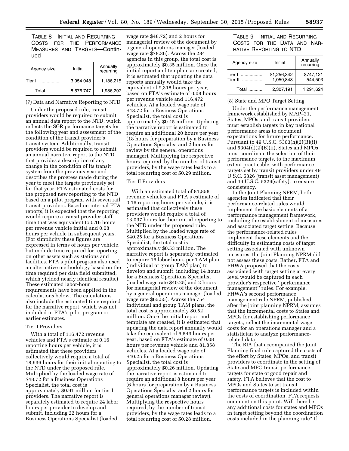TABLE 8—INITIAL AND RECURRING COSTS FOR THE PERFORMANCE MEASURES AND TARGETS—Continued

| Agency size    | Initial   | Annually<br>recurring |
|----------------|-----------|-----------------------|
| Tier II        | 3,954,048 | 1,186,215             |
| Total $\ldots$ | 8,576,747 | 1,986,297             |

# (7) Data and Narrative Reporting to NTD

Under the proposed rule, transit providers would be required to submit an annual data report to the NTD, which reflects the SGR performance targets for the following year and assessment of the condition of the transit provider's transit system. Additionally, transit providers would be required to submit an annual narrative report to the NTD that provides a description of any change in the condition of its transit system from the previous year and describes the progress made during the year to meet the targets previously set for that year. FTA estimated costs for the proposed new reporting to the NTD based on a pilot program with seven rail transit providers. Based on internal FTA reports, it is expected that the reporting would require a transit provider staff time that was equivalent to 0.16 hours per revenue vehicle initial and 0.08 hours per vehicle in subsequent years. (For simplicity these figures are expressed in terms of hours per vehicle, but include time required for reporting on other assets such as stations and facilities. FTA's pilot program also used an alternative methodology based on the time required per data field submitted, which yielded nearly identical results.) These estimated labor-hour requirements have been applied in the calculations below. The calculations also include the estimated time required for the narrative report, which was not included in FTA's pilot program or earlier estimates.

#### Tier I Providers

With a total of 116,472 revenue vehicles and FTA's estimate of 0.16 reporting hours per vehicle, it is estimated that these providers collectively would require a total of 18,636 hours for their initial reporting to the NTD under the proposed rule. Multiplied by the loaded wage rate of \$48.72 for a Business Operations Specialist, the total cost is approximately \$0.91 million for tier I providers. The narrative report is separately estimated to require 24 labor hours per provider to develop and submit, including 22 hours for a Business Operations Specialist (loaded

wage rate \$48.72) and 2 hours for managerial review of the document by a general operations manager (loaded wage rate \$78.36). Across the 284 agencies in this group, the total cost is approximately \$0.35 million. Once the initial report and template are created, it is estimated that updating the data reports annually would take the equivalent of 9,318 hours per year, based on FTA's estimate of 0.08 hours per revenue vehicle and 116,472 vehicles. At a loaded wage rate of \$48.72 for a Business Operations Specialist, the total cost is approximately \$0.45 million. Updating the narrative report is estimated to require an additional 20 hours per year (18 hours for preparation by a Business Operations Specialist and 2 hours for review by the general operations manager). Multiplying the respective hours required, by the number of transit providers, by the wage rates leads to a total recurring cost of \$0.29 million.

# Tier II Providers

With an estimated total of 81,858 revenue vehicles and FTA's estimate of 0.16 reporting hours per vehicle, it is estimated that collectively these providers would require a total of 13,097 hours for their initial reporting to the NTD under the proposed rule. Multiplied by the loaded wage rate of \$40.25 for a Business Operations Specialist, the total cost is approximately \$0.53 million. The narrative report is separately estimated to require 16 labor hours per TAM plan (individual or group TAM plan) to develop and submit, including 14 hours for a Business Operations Specialist (loaded wage rate \$40.25) and 2 hours for managerial review of the document by a general operations manager (loaded wage rate \$65.55). Across the 754 individual and group TAM plans, the total cost is approximately \$0.52 million. Once the initial report and template are created, it is estimated that updating the data report annually would take the equivalent of 6,549 hours per year, based on FTA's estimate of 0.08 hours per revenue vehicle and 81,858 vehicles. At a loaded wage rate of \$40.25 for a Business Operations Specialist, the total cost is approximately \$0.26 million. Updating the narrative report is estimated to require an additional 8 hours per year (6 hours for preparation by a Business Operations Specialist and 2 hours for general operations manager review). Multiplying the respective hours required, by the number of transit providers, by the wage rates leads to a total recurring cost of \$0.28 million.

# TABLE 9—INITIAL AND RECURRING COSTS FOR THE DATA AND NAR-RATIVE REPORTING TO NTD

| Agency size    | Initial                  | Annually<br>recurring |
|----------------|--------------------------|-----------------------|
| Tier I  ……………… | \$1,256,342<br>1,050,848 | \$747,121<br>544.503  |
| Total          | 2,307,191                | 1.291.624             |

#### (8) State and MPO Target Setting

Under the performance management framework established by MAP–21, States, MPOs, and transit providers must establish targets in key national performance areas to document expectations for future performance. Pursuant to 49 U.S.C. 5303(h)(2)(B)(ii) and 5304(d)(2)(B)(ii), States and MPOs must coordinate the selection of their performance targets, to the maximum extent practicable, with performance targets set by transit providers under 49 U.S.C. 5326 (transit asset management) and 49 U.S.C. 5329(safety), to ensure consistency.

In the Joint Planning NPRM, both agencies indicated that their performance-related rules would implement the basic elements of a performance management framework, including the establishment of measures and associated target setting. Because the performance-related rules implement these elements and the difficulty in estimating costs of target setting associated with unknown measures, the Joint Planning NPRM did not assess these costs. Rather, FTA and FHWA proposed that the costs associated with target setting at every level would be captured in each provider's respective ''performance management'' rules. For example, FHWA's second performance management rule NPRM, published after the joint planning NPRM, assumes that the incremental costs to States and MPOs for establishing performance targets, reflect the incremental wage costs for an operations manager and a statistician to analyze performancerelated data.

The RIA that accompanied the Joint Planning final rule captured the costs of the effort by States, MPOs, and transit providers to coordinate in the setting of State and MPO transit performance targets for state of good repair and safety. FTA believes that the cost to MPOs and States to set transit performance targets is included within the costs of coordination. FTA requests comment on this point. Will there be any additional costs for states and MPOs in target setting beyond the coordination costs included in the planning rule? If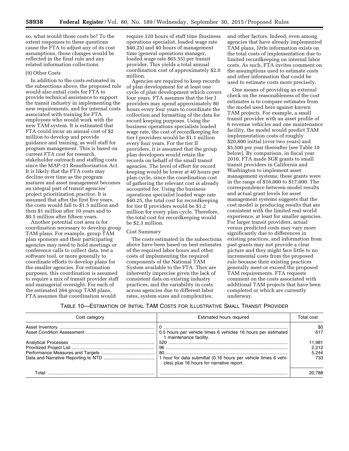so, what would those costs be? To the extent responses to these questions cause the FTA to adjust any of its cost assumptions, those changes would be reflected in the final rule and any related information collections.

#### (9) Other Costs

In addition to the costs estimated in the subsections above, the proposed rule would also entail costs for FTA to provide technical assistance to support the transit industry in implementing the new requirements, and for internal costs associated with training for FTA employees who would work with the new TAM system. It is estimated that FTA could incur an annual cost of \$2 million to develop and provide guidance and training, as well staff for program management. This is based on current FTA cost for research, stakeholder outreach and staffing costs since the MAP–21 Reauthorization Act. It is likely that the FTA costs may decline over time as the program matures and asset management becomes an integral part of transit agencies' project prioritization practice. It is assumed that after the first five years, the costs would fall to \$1.5 million and then \$1 million after 10 years and to \$0.5 million after fifteen years.

Another potential cost area is for coordination necessary to develop group TAM plans. For example, group TAM plan sponsors and their participating agencies may need to hold meetings or conference calls to collect data, test a software tool, or more generally to coordinate efforts to develop plans for the smaller agencies. For estimation purposes, this coordination is assumed to require a mix of transit provider staff and managerial oversight. For each of the estimated 264 group TAM plans, FTA assumes that coordination would

require 120 hours of staff time (business operations specialist, loaded wage rate \$40.25) and 40 hours of management time (general operations manager, loaded wage rate \$65.55) per transit provider. This yields a total annual coordination cost of approximately \$2.0 million.

Agencies are required to keep records of plan development for at least one cycle of plan development which covers four years. FTA assumes that the tier I providers may spend approximately 80 hours every four years to coordinate the collection and formatting of the data for record keeping purposes. Using the business operations specialists loaded wage rate, the cost of recordkeeping for tier I providers would be \$1.1 million every four years. For the tier II providers, it is assumed that the group plan developers would retain the records on behalf of the small transit agencies. The level of effort for record keeping would be lower at 40 hours per plan cycle, since the coordination cost of gathering the relevant cost is already accounted for. Using the business operations specialist loaded wage rate \$40.25, the total cost for recordkeeping for tier II providers would be \$1.2 million for every plan cycle. Therefore, the total cost for recordkeeping would be \$2.3 million.

# Cost Summary

The costs estimated in the subsections above have been based on best estimates of the required labor hours and other costs of implementing the required components of the National TAM System available to the FTA. They are inherently imprecise given the lack of consistent data on existing industry practices, and the variability in costs across agencies due to different labor rates, system sizes and complexities,

and other factors. Indeed, even among agencies that have already implemented TAM plans, little information exists on the total costs of implementation due to limited recordkeeping on internal labor costs. As such, FTA invites comment on the assumptions used to estimate costs and other information that could be used to estimate costs more precisely.

One means of providing an external check on the reasonableness of the cost estimates is to compare estimates from the model used here against known TAM projects. For example, a small transit provider with an asset profile of 6 revenue vehicles and one maintenance facility, the model would predict TAM implementation costs of roughly \$20,800 initial (over two years) and \$5,500 per year thereafter (see Table 10 below). By comparison, in fiscal year 2010, FTA made SGR grants to small transit providers in California and Washington to implement asset management systems; these grants were in the range of \$16,000 to \$17,000. The correspondence between model results and actual grant levels for asset management systems suggests that the cost model is producing results that are consistent with the limited real-world experience, at least for smaller agencies. For larger transit providers, actual versus predicted costs may vary more significantly due to differences in existing practices, and information from past grants may not provide a clear picture and they might face little to no incremental costs from the proposed rule because their existing practices generally meet or exceed the proposed TAM requirements. FTA requests comment on the costs associated with additional TAM projects that have been completed or which are currently underway.

# TABLE 10—ESTIMATION OF INITIAL TAM COSTS FOR ILLUSTRATIVE SMALL TRANSIT PROVIDER

| Cost category | Estimated hours required                                                                 | Total cost                      |
|---------------|------------------------------------------------------------------------------------------|---------------------------------|
|               | 0.5 hours per vehicle times 6 vehicles 16 hours per estimated<br>1 maintenance facility. | \$0<br>617                      |
|               |                                                                                          | 11,981<br>2.212<br>5.244<br>733 |
| Total⊤        | cles) plus 16 hours for narrative report.                                                | 20.788                          |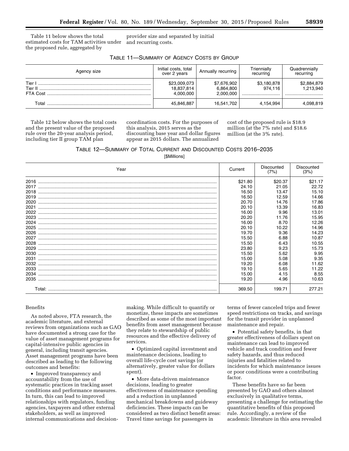Table 11 below shows the total estimated costs for TAM activities under the proposed rule, aggregated by

provider size and separated by initial and recurring costs.

| Agency size | Initial costs, total<br>over 2 years    | Annually recurring                    | Triennially<br>recurring   | Quadrennially<br>recurring   |
|-------------|-----------------------------------------|---------------------------------------|----------------------------|------------------------------|
| Tier I      | \$23,009,073<br>18,837,814<br>4.000.000 | \$7,676,902<br>6,864,800<br>2,000,000 | \$3,180,878<br>974.116<br> | \$2,884,879<br>1,213,940<br> |
| Total       | 45,846,887                              | 16,541,702                            | 4,154,994                  | 4,098,819                    |

Table 12 below shows the total costs and the present value of the proposed rule over the 20-year analysis period, including tier II group TAM plan

coordination costs. For the purposes of this analysis, 2015 serves as the discounting base year and dollar figures appear as 2015 dollars. The annualized

cost of the proposed rule is \$18.9 million (at the 7% rate) and \$18.6 million (at the 3% rate).

|  | TABLE 12-SUMMARY OF TOTAL CURRENT AND DISCOUNTED COSTS 2016-2035 |
|--|------------------------------------------------------------------|
|--|------------------------------------------------------------------|

[\$Millions]

| Year | Current | Discounted<br>(7%) | Discounted<br>(3%) |
|------|---------|--------------------|--------------------|
| 2016 | \$21.80 | \$20.37            | \$21.17            |
| 2017 | 24.10   | 21.05              | 22.72              |
|      | 16.50   | 13.47              | 15.10              |
| 2019 | 16.50   | 12.59              | 14.66              |
| 2020 | 20.70   | 14.76              | 17.86              |
| 2021 | 20.10   | 13.39              | 16.83              |
| 2022 | 16.00   | 9.96               | 13.01              |
| 2023 | 20.20   | 11.76              | 15.95              |
|      | 16.00   | 8.70               | 12.26              |
| 2025 | 20.10   | 10.22              | 14.96              |
| 2026 | 19.70   | 9.36               | 14.23              |
| 2027 | 15.50   | 6.88               | 10.87              |
| 2028 | 15.50   | 6.43               | 10.55              |
| 2029 | 23.80   | 9.23               | 15.73              |
| 2030 | 15.50   | 5.62               | 9.95               |
| 2031 | 15.00   | 5.08               | 9.35               |
| 2032 | 19.20   | 6.08               | 11.62              |
| 2033 | 19.10   | 5.65               | 11.22              |
| 2034 | 15.00   | 4.15               | 8.55               |
|      | 19.20   | 4.96               | 10.63              |
|      | 369.50  | 199.71             | 277.21             |

#### Benefits

As noted above, FTA research, the academic literature, and external reviews from organizations such as GAO have documented a strong case for the value of asset management programs for capital-intensive public agencies in general, including transit agencies. Asset management programs have been described as leading to the following outcomes and benefits:

• Improved transparency and accountability from the use of systematic practices in tracking asset conditions and performance measures. In turn, this can lead to improved relationships with regulators, funding agencies, taxpayers and other external stakeholders, as well as improved internal communications and decisionmaking. While difficult to quantify or monetize, these impacts are sometimes described as some of the most important benefits from asset management because they relate to stewardship of public resources and the effective delivery of services.

• Optimized capital investment and maintenance decisions, leading to overall life-cycle cost savings (or alternatively, greater value for dollars spent).

• More data-driven maintenance decisions, leading to greater effectiveness of maintenance spending and a reduction in unplanned mechanical breakdowns and guideway deficiencies. These impacts can be considered as two distinct benefit areas: Travel time savings for passengers in

terms of fewer canceled trips and fewer speed restrictions on tracks, and savings for the transit provider in unplanned maintenance and repair.

• Potential safety benefits, in that greater effectiveness of dollars spent on maintenance can lead to improved vehicle and track condition and fewer safety hazards, and thus reduced injuries and fatalities related to incidents for which maintenance issues or poor conditions were a contributing factor.

These benefits have so far been presented by GAO and others almost exclusively in qualitative terms, presenting a challenge for estimating the quantitative benefits of this proposed rule. Accordingly, a review of the academic literature in this area revealed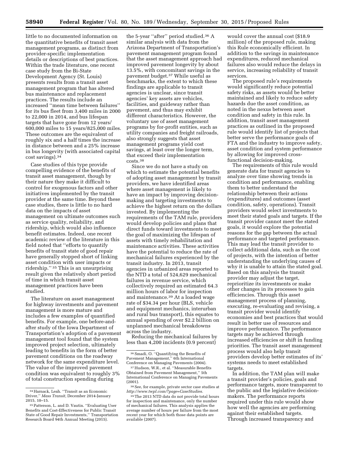little to no documented information on the quantitative benefits of transit asset management programs, as distinct from provider-specific implementation details or descriptions of best practices. Within the trade literature, one recent case study from the Bi-State Development Agency (St. Louis) presents results from a transit asset management program that has altered bus maintenance and replacement practices. The results include an increased ''mean time between failures'' for its bus fleet from 3,400 miles in 2000 to 22,000 in 2014, and bus lifespan targets that have gone from 12 years/ 600,000 miles to 15 years/825,000 miles. These outcomes are the equivalent of roughly six and a half times the increase in distance between and a 25% increase in bus longevity (with associated capital cost savings).34

Case studies of this type provide compelling evidence of the benefits of transit asset management, though by their nature they make it difficult to control for exogenous factors and other initiatives implemented by the transit provider at the same time. Beyond these case studies, there is little to no hard data on the impacts of asset management on ultimate outcomes such as service quality, reliability, and ridership, which would also influence benefit estimates. Indeed, one recent academic review of the literature in this field noted that ''efforts to quantify benefits of transit state of good repair have generally stopped short of linking asset condition with user impacts or ridership.'' 35 This is an unsurprising result given the relatively short period of time in which transit asset management practices have been studied.

The literature on asset management for highway investments and pavement management is more mature and includes a few examples of quantified benefits. For example, one before-andafter study of the Iowa Department of Transportation's adoption of a pavement management tool found that the system improved project selection, ultimately leading to benefits in the form of better pavement conditions on the roadway network for the same expenditure level. The value of the improved pavement condition was equivalent to roughly 3% of total construction spending during

the 5-year ''after'' period studied.36 A similar analysis with data from the Arizona Department of Transportation's pavement management program found that the asset management approach had improved pavement longevity by about 13.5%, with concomitant savings in the pavement budget.37 While useful as benchmarks, the extent to which these findings are applicable to transit agencies is unclear, since transit agencies' key assets are vehicles, facilities, and guideway rather than pavement, and thus may exhibit different characteristics. However, the voluntary use of asset management programs by for-profit entities, such as utility companies and freight railroads, also strongly suggests that asset management programs yield cost savings, at least over the longer term, that exceed their implementation costs.38

Since we do not have a study on which to estimate the potential benefits of adopting asset management by transit providers, we have identified areas where asset management is likely to have an impact by improving decisionmaking and targeting investments to achieve the highest return on the dollars invested. By implementing the requirements of the TAM rule, providers would develop policies and plans that direct funds toward investments to meet the goal of maximizing the lifespan of assets with timely rehabilitation and maintenance activities. These activities have the potential to reduce the rate of mechanical failures experienced by the transit industry. In 2013, transit agencies in urbanized areas reported to the NTD a total of 524,629 mechanical failures in revenue service, which collectively required an estimated 64.3 million hours of labor for inspection and maintenance.39 At a loaded wage rate of \$34.34 per hour (BLS, vehicle and equipment mechanics, interurban and rural bus transport), this equates to annual spending of over \$2.2 billion on unplanned mechanical breakdowns across the industry.

Reducing the mechanical failures by less than 4,200 incidents (0.9 percent)

would cover the annual cost (\$18.9 million) of the proposed rule, making this Rule economically efficient. In addition to the savings in maintenance expenditures, reduced mechanical failures also would reduce the delays in service, increasing reliability of transit services.

The proposed rule's requirements would significantly reduce potential safety risks, as assets would be better maintained and likely to reduce safety hazards due the asset condition, as noted in the nexus between asset condition and safety in this rule. In addition, transit asset management practices as outlined in the proposed rule would identify list of projects that better serve the performance goals of FTA and the industry to improve safety, asset condition and system performance by allowing for improved crossfunctional decision-making.

The requirements of this rule would generate data for transit agencies to analyze over time showing trends in condition and performance, enabling them to better understand the relationship between their actions (expenditures) and outcomes (asset condition, safety, operations). Transit providers would select investments to meet their stated goals and targets. If the transit provider cannot meet the stated goals, it would explore the potential reasons for the gap between the actual performance and targeted performance. This may lead the transit provider to collect additional data, such as the cost of projects, with the intention of better understanding the underlying causes of why it is unable to attain the stated goal. Based on this analysis the transit provider may adjust the target, reprioritize its investments or make other changes in its processes to gain efficiencies. Through this asset management process of planning, executing, re-evaluating and revising, a transit provider would identify economies and best practices that would result in better use of resources and improve performance. The performance targets may be achieved through increased efficiencies or shift in funding priorities. The transit asset management process would also help transit providers develop better estimates of its' systems needs to meet established targets.

In addition, the TAM plan will make a transit provider's policies, goals and performance targets, more transparent to the public and the legislative decisionmakers. The performance reports required under this rule would show how well the agencies are performing against their established targets. Through increased transparency and

<sup>34</sup>Harnack, Leah. ''Transit as an Economic Driver,'' *Mass Transit,* December 2014-January 2015, 10–15.

<sup>35</sup>Patterson, L. and D. Vautin. ''Evaluating User Benefits and Cost-Effectiveness for Public Transit State of Good Repair Investments,'' Transportation Research Board 94th Annual Meeting (2015).

<sup>36</sup>Smadi, O. ''Quantifying the Benefits of Pavement Management,'' 6th International Conference on Managing Pavements (2004).

<sup>37</sup>Hudson, W.R., et al. ''Measurable Benefits Obtained from Pavement Management,'' 5th International Conference on Managing Pavements (2001).

<sup>38</sup>See, for example, private sector case studies at *[http://www.twpl.com/?page=CaseStudies.](http://www.twpl.com/?page=CaseStudies)* 

<sup>39</sup>The 2013 NTD data do not provide total hours for inspection and maintenance, only the number of mechanical failures. This analysis applies the average number of hours per failure from the most recent year for which both those data points are available (2007).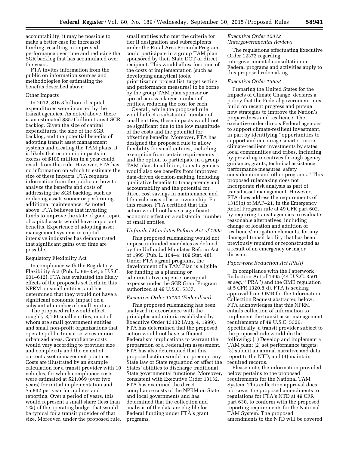accountability, it may be possible to make a better case for increased funding, resulting in improved performance over time and reducing the SGR backlog that has accumulated over the years.

FTA invites information from the public on information sources and methodologies for estimating the benefits described above.

#### Other Impacts

In 2012, \$16.8 billion of capital expenditures were incurred by the transit agencies. As noted above, there is an estimated \$85.9 billion transit SGR backlog. Given the size of capital expenditures, the size of the SGR backlog, and the potential benefits of adopting transit asset management systems and creating the TAM plans, it is likely that economic impacts in excess of \$100 million in a year could result from this rule. However, FTA has no information on which to estimate the size of these impacts. FTA requests information from the public on how to analyze the benefits and costs of addressing the SGR backlog, such as replacing assets sooner or performing additional maintenance. As noted above, FTA believes that investing funds to improve the state of good repair of capital assets would have important benefits. Experience of adopting asset management systems in capital intensive industries has demonstrated that significant gains over time are possible.

# Regulatory Flexibility Act

In compliance with the Regulatory Flexibility Act (Pub. L. 96–354; 5 U.S.C. 601–612), FTA has evaluated the likely effects of the proposals set forth in this NPRM on small entities, and has determined that they would not have a significant economic impact on a substantial number of small entities.

The proposed rule would affect roughly 3,100 small entities, most of whom are small government entities and small non-profit organizations that operate public transit services in nonurbanized areas. Compliance costs would vary according to provider size and complexity and the extent of current asset management practices. Costs are illustrated by an example calculation for a transit provider with 10 vehicles, for which compliance costs were estimated at \$21,069 (over two years) for initial implementation and \$5,832 per year for updates and reporting. Over a period of years, this would represent a small share (less than 1%) of the operating budget that would be typical for a transit provider of that size. Moreover, under the proposed rule,

small entities who met the criteria for tier II designation and subrecipients under the Rural Area Formula Program, could participate in a group TAM plan sponsored by their State DOT or direct recipient. This would allow for some of the costs of implementation (such as developing analytical tools, prioritization project list, target setting and performance measures) to be borne by the group TAM plan sponsor or spread across a larger number of entities, reducing the cost for each.

Overall, while the proposed rule would affect a substantial number of small entities, these impacts would not be significant due to the low magnitude of the costs and the potential for offsetting benefits. Moreover, FTA has designed the proposed rule to allow flexibility for small entities, including exemption from certain requirements and the option to participate in a group TAM plan. In addition, transit agencies would also see benefits from improved data-driven decision-making, including qualitative benefits to transparency and accountability and the potential for direct cost savings in maintenance and life-cycle costs of asset ownership. For this reason, FTA certified that this action would not have a significant economic effect on a substantial number of small entities.

#### *Unfunded Mandates Reform Act of 1995*

This proposed rulemaking would not impose unfunded mandates as defined by the Unfunded Mandates Reform Act of 1995 (Pub. L. 104–4; 109 Stat. 48). Under FTA's grant programs, the development of a TAM Plan is eligible for funding as a planning or administrative expense, or capital expense under the SGR Grant Program authorized at 49 U.S.C. 5337.

# *Executive Order 13132 (Federalism)*

This proposed rulemaking has been analyzed in accordance with the principles and criteria established by Executive Order 13132 (Aug. 4, 1999). FTA has determined that the proposed action would not have sufficient Federalism implications to warrant the preparation of a Federalism assessment. FTA has also determined that this proposed action would not preempt any State law or State regulation or affect the States' abilities to discharge traditional State governmental functions. Moreover, consistent with Executive Order 13132, FTA has examined the direct compliance costs of the NPRM on State and local governments and has determined that the collection and analysis of the data are eligible for Federal funding under FTA's grant programs.

# *Executive Order 12372 (Intergovernmental Review)*

The regulations effectuating Executive Order 12372 regarding intergovernmental consultation on Federal programs and activities apply to this proposed rulemaking.

# *Executive Order 13653*

Preparing the United States for the Impacts of Climate Change, declares a policy that the Federal government must build on recent progress and pursue new strategies to improve the Nation's preparedness and resilience. The executive order directs Federal agencies to support climate-resilient investment, in part by identifying ''opportunities to support and encourage smarter, more climate-resilient investments by states, local communities and tribes, including by providing incentives through agency guidance, grants, technical assistance performance measures, safety consideration and other programs.'' This proposed rulemaking does not incorporate risk analysis as part of transit asset management. However, FTA does address the requirements of 1315(b) of MAP–21, in the Emergency Relief Program rule at 49 CFR part 602, by requiring transit agencies to evaluate reasonable alternatives, including change of location and addition of resilience/mitigation elements, for any damaged transit facility that has been previously repaired or reconstructed as a result of an emergency or major disaster.

# *Paperwork Reduction Act (PRA)*

In compliance with the Paperwork Reduction Act of 1995 (44 U.S.C. 3501 *et seq.;* ''PRA'') and the OMB regulation at 5 CFR 1320.8(d), FTA is seeking approval from OMB for the Information Collection Request abstracted below. FTA acknowledges that this NPRM entails collection of information to implement the transit asset management requirements of 49 U.S.C. 5326. Specifically, a transit provider subject to the proposed rule would do the following: (1) Develop and implement a TAM plan; (2) set performance targets; (3) submit an annual narrative and data report to the NTD; and (4) maintain required records.

Please note, the information provided below pertains to the proposed requirements for the National TAM System. This collection approval does not cover the proposed amendments to regulations for FTA's NTD at 49 CFR part 630, to conform with the proposed reporting requirements for the National TAM System. The proposed amendments to the NTD will be covered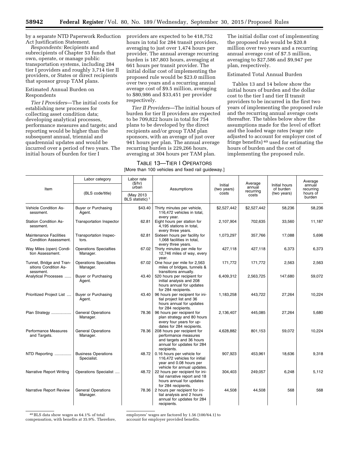by a separate NTD Paperwork Reduction Act Justification Statement.

*Respondents:* Recipients and subrecipients of Chapter 53 funds that own, operate, or manage public transportation systems, including 284 tier I providers and roughly 3,714 tier II providers, or States or direct recipients that sponsor group TAM plans.

# Estimated Annual Burden on Respondents

*Tier I Providers*—The initial costs for establishing new processes for collecting asset condition data; developing analytical processes, performance measures and targets; and reporting would be higher than the subsequent annual, triennial and quadrennial updates and would be incurred over a period of two years. The initial hours of burden for tier I

providers are expected to be 418,752 hours in total for 284 transit providers, averaging to just over 1,474 hours per provider. The annual average recurring burden is 187,803 hours, averaging at 661 hours per transit provider. The initial dollar cost of implementing the proposed rule would be \$23.0 million over two years and a recurring annual average cost of \$9.5 million, averaging to \$80,986 and \$33,451 per provider respectively.

*Tier II Providers*—The initial hours of burden for tier II providers are expected to be 709,822 hours in total for 754 plans to be developed by the direct recipients and/or group TAM plan sponsors, with an average of just over 941 hours per plan. The annual average recurring burden is 229,266 hours, averaging at 304 hours per TAM plan.

# The initial dollar cost of implementing the proposed rule would be \$20.8 million over two years and a recurring annual average cost of \$7.5 million, averaging to \$27,586 and \$9,947 per plan, respectively.

# Estimated Total Annual Burden

Tables 13 and 14 below show the initial hours of burden and the dollar cost to the tier I and tier II transit providers to be incurred in the first two years of implementing the proposed rule and the recurring annual average costs thereafter. The tables below show the assumptions made for the level of effort and the loaded wage rates (wage rate adjusted to account for employer cost of fringe benefits) 40 used for estimating the hours of burden and the cost of implementing the proposed rule.

# TABLE 13—TIER I OPERATORS [More than 100 vehicles and fixed rail guideway.]

|                                                                | Labor category                            | Labor rate<br>(\$/hr)                    |                                                                                                                              |                        | Average            |                            | Average                                   |
|----------------------------------------------------------------|-------------------------------------------|------------------------------------------|------------------------------------------------------------------------------------------------------------------------------|------------------------|--------------------|----------------------------|-------------------------------------------|
| Item                                                           |                                           | urban                                    | Assumptions                                                                                                                  | Initial<br>(two years) | annual             | Initial hours<br>of burden | annual<br>recurring<br>hours of<br>burden |
|                                                                | (BLS code/title)                          | (May 2013<br>BLS statistic) <sup>1</sup> |                                                                                                                              | costs                  | recurring<br>costs | (two years)                |                                           |
| <b>Vehicle Condition As-</b><br>sessment.                      | <b>Buyer or Purchasing</b><br>Agent.      | \$43.40                                  | Thirty minutes per vehicle,<br>116,472 vehicles in total,<br>every year.                                                     | \$2,527,442            | \$2,527,442        | 58,236                     | 58,236                                    |
| <b>Station Condition As-</b><br>sessment.                      | <b>Transportation Inspector</b>           | 62.81                                    | Eight hours per station for<br>4,195 stations in total,<br>every three years.                                                | 2,107,904              | 702,635            | 33,560                     | 11,187                                    |
| <b>Maintenance Facilities</b><br><b>Condition Assessment.</b>  | Transportation Inspec-<br>tors.           | 62.81                                    | Sixteen hours per facility for<br>1,068 facilities in total,<br>every three years.                                           | 1,073,297              | 357,766            | 17.088                     | 5,696                                     |
| Way Miles (open) Condi-<br>tion Assessment.                    | <b>Operations Specialties</b><br>Manager. | 67.02                                    | Thirty minutes per mile for<br>12,746 miles of way, every<br>vear.                                                           | 427,118                | 427,118            | 6,373                      | 6,373                                     |
| Tunnel, Bridge and Tran-<br>sitions Condition As-<br>sessment. | <b>Operations Specialties</b><br>Manager. | 67.02                                    | One hour per mile for 2,563<br>miles of bridges, tunnels &<br>transitions annually.                                          | 171,772                | 171,772            | 2,563                      | 2,563                                     |
| Analytical Processes                                           | <b>Buyer or Purchasing</b><br>Agent.      | 43.40                                    | 520 hours per recipient for<br>initial analysis and 208<br>hours annual for updates<br>for 284 recipients.                   | 6,409,312              | 2,563,725          | 147,680                    | 59,072                                    |
| Prioritized Project List                                       | <b>Buyer or Purchasing</b><br>Agent.      | 43.40                                    | 96 hours per recipient for ini-<br>tial project list and 36<br>hours annual for updates<br>for 284 recipients.               | 1,183,258              | 443,722            | 27,264                     | 10.224                                    |
| Plan Strategy                                                  | <b>General Operations</b><br>Manager.     | 78.36                                    | 96 hours per recipient for<br>plan strategy and 80 hours<br>every four years for up-<br>dates for 284 recipients.            | 2,136,407              | 445,085            | 27,264                     | 5,680                                     |
| Performance Measures<br>and Targets.                           | <b>General Operations</b><br>Manager.     | 78.36                                    | 208 hours per recipient for<br>performance measures<br>and targets and 36 hours<br>annual for updates for 284<br>recipients. | 4,628,882              | 801,153            | 59,072                     | 10,224                                    |
| NTD Reporting                                                  | <b>Business Operations</b><br>Specialist. | 48.72                                    | 0.16 hours per vehicle for<br>116,472 vehicles for initial<br>year and 0.08 hours per<br>vehicle for annual updates.         | 907,923                | 453,961            | 18,636                     | 9,318                                     |
| Narrative Report Writing                                       | Operations Specialist                     | 48.72                                    | 22 hours per recipient for ini-<br>tial narrative report and 18<br>hours annual for updates<br>for 284 recipients.           | 304,403                | 249.057            | 6.248                      | 5.112                                     |
| Narrative Report Review                                        | <b>General Operations</b><br>Manager.     | 78.36                                    | 2 hours per recipient for ini-<br>tial analysis and 2 hours<br>annual for updates for 284<br>recipients.                     | 44,508                 | 44,508             | 568                        | 568                                       |

40BLS data show wages as 64.1% of total compensation, with benefits at 35.9%. Therefore, employees' wages are factored by 1.56 (100/64.1) to account for employer provided benefits.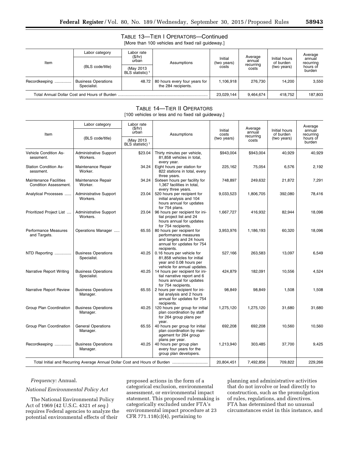|               |                                           |                                           | TABLE 13-TIER   OPERATORS-Continued<br>[More than 100 vehicles and fixed rail quideway.] |                                 |                                         |                                           |                                                      |
|---------------|-------------------------------------------|-------------------------------------------|------------------------------------------------------------------------------------------|---------------------------------|-----------------------------------------|-------------------------------------------|------------------------------------------------------|
| Item          | Labor category                            | Labor rate<br>(S/hr)<br>urban             | Assumptions                                                                              | Initial<br>(two years)<br>costs | Average<br>annual<br>recurring<br>costs | Initial hours<br>of burden<br>(two years) | Average<br>annual<br>recurring<br>hours of<br>burden |
|               | (BLS code/title)                          | (May 2013)<br>BLS statistic) <sup>1</sup> |                                                                                          |                                 |                                         |                                           |                                                      |
| Recordkeeping | <b>Business Operations</b><br>Specialist. | 48.72                                     | 80 hours every four years for<br>the 284 recipients.                                     | 1.106.918                       | 276.730                                 | 14.200                                    | 3,550                                                |
|               |                                           |                                           | 23,029,144                                                                               | 9.464.674                       | 418.752                                 | 187,803                                   |                                                      |

# TABLE 14—TIER II OPERATORS

[100 vehicles or less and no fixed rail guideway.]

|                                                               | Labor category                            | Labor rate<br>(\$/hr)                     |                                                                                                                             |                     | Average                    |                     | Average            |
|---------------------------------------------------------------|-------------------------------------------|-------------------------------------------|-----------------------------------------------------------------------------------------------------------------------------|---------------------|----------------------------|---------------------|--------------------|
| Item                                                          |                                           | urban<br>Assumptions                      | Initial<br>costs                                                                                                            | annual<br>recurring | Initial hours<br>of burden | annual<br>recurring |                    |
|                                                               | (BLS code/title)                          | (May 2013)<br>BLS statistic) <sup>1</sup> |                                                                                                                             | (two years)         | costs                      | (two years)         | hours of<br>burden |
| <b>Vehicle Condition As-</b><br>sessment.                     | <b>Administrative Support</b><br>Workers. | \$23.04                                   | Thirty minutes per vehicle,<br>81,858 vehicles in total,<br>every year.                                                     | \$943.004           | \$943,004                  | 40.929              | 40,929             |
| <b>Station Condition As-</b><br>sessment.                     | Maintenance Repair<br>Worker.             | 34.24                                     | Eight hours per station for<br>822 stations in total, every<br>three years.                                                 | 225,162             | 75,054                     | 6,576               | 2,192              |
| <b>Maintenance Facilities</b><br><b>Condition Assessment.</b> | Maintenance Repair<br>Worker.             | 34.24                                     | Sixteen hours per facility for<br>1,367 facilities in total,<br>every three years.                                          | 748,897             | 249,632                    | 21,872              | 7,291              |
| Analytical Processes                                          | <b>Administrative Support</b><br>Workers. | 23.04                                     | 520 hours per recipient for<br>initial analysis and 104<br>hours annual for updates<br>for 754 plans.                       | 9,033,523           | 1,806,705                  | 392,080             | 78,416             |
| Prioritized Project List                                      | <b>Administrative Support</b><br>Workers. | 23.04                                     | 96 hours per recipient for ini-<br>tial project list and 24<br>hours annual for updates<br>for 754 recipients.              | 1,667,727           | 416,932                    | 82,944              | 18,096             |
| <b>Performance Measures</b><br>and Targets.                   | Operations Manager                        | 65.55                                     | 80 hours per recipient for<br>performance measures<br>and targets and 24 hours<br>annual for updates for 754<br>recipients. | 3,953,976           | 1,186,193                  | 60,320              | 18,096             |
| NTD Reporting                                                 | <b>Business Operations</b><br>Specialist. | 40.25                                     | 0.16 hours per vehicle for<br>81,858 vehicles for initial<br>year and 0.08 hours per<br>vehicle for annual updates.         | 527,166             | 263,583                    | 13,097              | 6,549              |
| Narrative Report Writing                                      | <b>Business Operations</b><br>Specialist. | 40.25                                     | 14 hours per recipient for ini-<br>tial narrative report and 6<br>hours annual for updates<br>for 754 recipients.           | 424,879             | 182,091                    | 10,556              | 4,524              |
| Narrative Report Review                                       | <b>Business Operations</b><br>Manager.    | 65.55                                     | 2 hours per recipient for ini-<br>tial analysis and 2 hours<br>annual for updates for 754<br>recipients.                    | 98,849              | 98,849                     | 1,508               | 1,508              |
| Group Plan Coordination                                       | <b>Business Operations</b><br>Manager.    | 40.25                                     | 120 hours per group for initial<br>plan coordination by staff<br>for 264 group plans per<br>year.                           | 1,275,120           | 1,275,120                  | 31,680              | 31,680             |
| Group Plan Coordination                                       | <b>General Operations</b><br>Manager.     | 65.55                                     | 40 hours per group for initial<br>plan coordination by man-<br>agement for 264 group<br>plans per year.                     | 692,208             | 692,208                    | 10.560              | 10,560             |
| Recordkeeping                                                 | <b>Business Operations</b><br>Manager.    | 40.25                                     | 40 hours per group plan<br>every four years for the<br>group plan developers.                                               | 1,213,940           | 303,485                    | 37,700              | 9,425              |
|                                                               |                                           |                                           | Total Initial and Recurring Average Annual Dollar Cost and Hours of Burden                                                  | 20,804,451          | 7,492,856                  | 709,822             | 229,266            |

# *Frequency:* Annual.

# *National Environmental Policy Act*

The National Environmental Policy Act of 1969 (42 U.S.C. 4321 *et seq.*) requires Federal agencies to analyze the potential environmental effects of their

proposed actions in the form of a categorical exclusion, environmental assessment, or environmental impact statement. This proposed rulemaking is categorically excluded under FTA's environmental impact procedure at 23 CFR 771.118(c)(4), pertaining to

planning and administrative activities that do not involve or lead directly to construction, such as the promulgation of rules, regulations, and directives. FTA has determined that no unusual circumstances exist in this instance, and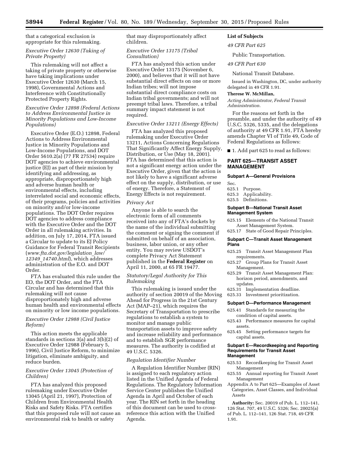that a categorical exclusion is appropriate for this rulemaking.

# *Executive Order 12630 (Taking of Private Property)*

This rulemaking will not affect a taking of private property or otherwise have taking implications under Executive Order 12630 (March 15, 1998), Governmental Actions and Interference with Constitutionally Protected Property Rights.

# *Executive Order 12898 (Federal Actions to Address Environmental Justice in Minority Populations and Low-Income Populations)*

Executive Order (E.O.) 12898, Federal Actions to Address Environmental Justice in Minority Populations and Low-Income Populations, and DOT Order 5610.2(a) (77 FR 27534) require DOT agencies to achieve environmental justice (EJ) as part of their mission by identifying and addressing, as appropriate, disproportionately high and adverse human health or environmental effects, including interrelated social and economic effects, of their programs, policies and activities on minority and/or low-income populations. The DOT Order requires DOT agencies to address compliance with the Executive Order and the DOT Order in all rulemaking activities. In addition, on July 17, 2014, FTA issued a Circular to update to its EJ Policy Guidance for Federal Transit Recipients (*[www.fta.dot.gov/legislation](http://www.fta.dot.gov/legislation_law/12349_14740.html)*\_*law/ 12349*\_*[14740.html](http://www.fta.dot.gov/legislation_law/12349_14740.html)*), which addresses administration of the E.O. and DOT Order.

FTA has evaluated this rule under the EO, the DOT Order, and the FTA Circular and has determined that this rulemaking will not cause disproportionately high and adverse human health and environmental effects on minority or low income populations.

# *Executive Order 12988 (Civil Justice Reform)*

This action meets the applicable standards in sections 3(a) and 3(b)(2) of Executive Order 12988 (February 5, 1996), Civil Justice Reform, to minimize litigation, eliminate ambiguity, and reduce burden.

# *Executive Order 13045 (Protection of Children)*

FTA has analyzed this proposed rulemaking under Executive Order 13045 (April 21, 1997), Protection of Children from Environmental Health Risks and Safety Risks. FTA certifies that this proposed rule will not cause an environmental risk to health or safety

that may disproportionately affect children.

## *Executive Order 13175 (Tribal Consultation)*

FTA has analyzed this action under Executive Order 13175 (November 6, 2000), and believes that it will not have substantial direct effects on one or more Indian tribes; will not impose substantial direct compliance costs on Indian tribal governments; and will not preempt tribal laws. Therefore, a tribal summary impact statement is not required.

# *Executive Order 13211 (Energy Effects)*

FTA has analyzed this proposed rulemaking under Executive Order 13211, Actions Concerning Regulations That Significantly Affect Energy Supply, Distribution, or Use (May 18, 2001). FTA has determined that this action is not a significant energy action under the Executive Order, given that the action is not likely to have a significant adverse effect on the supply, distribution, or use of energy. Therefore, a Statement of Energy Effects is not requirement.

# *Privacy Act*

Anyone is able to search the electronic form of all comments received into any of FTA's dockets by the name of the individual submitting the comment or signing the comment if submitted on behalf of an association, business, labor union, or any other entity. You may review USDOT's complete Privacy Act Statement published in the **Federal Register** on April 11, 2000, at 65 FR 19477.

# *Statutory/Legal Authority for This Rulemaking*

This rulemaking is issued under the authority of section 20019 of the Moving Ahead for Progress in the 21st Century Act (MAP–21), which requires the Secretary of Transportation to prescribe regulations to establish a system to monitor and manage public transportation assets to improve safety and increase reliability and performance and to establish SGR performance measures. The authority is codified at 49 U.S.C. 5326.

#### *Regulation Identifier Number*

A Regulation Identifier Number (RIN) is assigned to each regulatory action listed in the Unified Agenda of Federal Regulations. The Regulatory Information Service Center publishes the Unified Agenda in April and October of each year. The RIN set forth in the heading of this document can be used to crossreference this action with the Unified Agenda.

# **List of Subjects**

*49 CFR Part 625* 

# Public Transportation.

*49 CFR Part 630* 

National Transit Database.

Issued in Washington, DC, under authority delegated in 49 CFR 1.91.

#### **Therese W. McMillan,**

*Acting Administrator, Federal Transit Administration.* 

For the reasons set forth in the preamble, and under the authority of 49 U.S.C. 5326, 5335, and the delegations of authority at 49 CFR 1.91, FTA hereby amends Chapter VI of Title 49, Code of Federal Regulations as follows:

■ 1. Add part 625 to read as follows:

# **PART 625—TRANSIT ASSET MANAGEMENT**

#### **Subpart A—General Provisions**

Sec.

- 625.1 Purpose.
- 625.3 Applicability.
- 625.5 Definitions.

#### **Subpart B—National Transit Asset Management System**

- 625.15 Elements of the National Transit Asset Management System.
- 625.17 State of Good Repair Principles.

# **Subpart C—Transit Asset Management Plans**

- 625.25 Transit Asset Management Plan requirements.
- 625.27 Group Plans for Transit Asset Management.
- 625.29 Transit Asset Management Plan: horizon period, amendments, and updates.
- 625.31 Implementation deadline.
- 625.33 Investment prioritization.

#### **Subpart D—Performance Management**

- 625.41 Standards for measuring the condition of capital assets.
- 625.43 Performance measures for capital assets.
- 625.45 Setting performance targets for capital assets.

#### **Subpart E—Recordkeeping and Reporting Requirements for Transit Asset Management**

- 625.53 Recordkeeping for Transit Asset Management
- 625.55 Annual reporting for Transit Asset Management
- Appendix A to Part 625—Examples of Asset Categories, Asset Classes, and Individual Assets

**Authority:** Sec. 20019 of Pub. L. 112–141, 126 Stat. 707, 49 U.S.C. 5326; Sec. 20025(a) of Pub. L. 112–141, 126 Stat. 718, 49 CFR 1.91.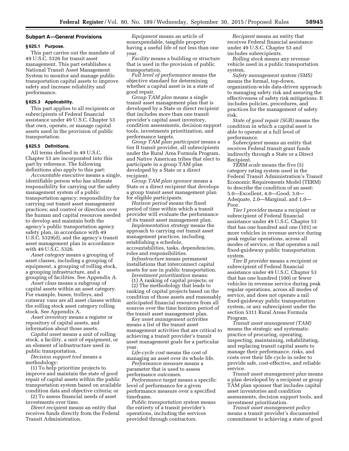#### **Subpart A—General Provisions**

# **§ 625.1 Purpose.**

This part carries out the mandate of 49 U.S.C. 5326 for transit asset management. This part establishes a National Transit Asset Management System to monitor and manage public transportation capital assets to improve safety and increase reliability and performance.

#### **§ 625.3 Applicability.**

This part applies to all recipients or subrecipients of Federal financial assistance under 49 U.S.C. Chapter 53 that own, operate, or manage capital assets used in the provision of public transportation.

# **§ 625.5 Definitions.**

All terms defined in 49 U.S.C. Chapter 53 are incorporated into this part by reference. The following definitions also apply to this part:

*Accountable executive* means a single, identifiable person who has ultimate responsibility for carrying out the safety management system of a public transportation agency; responsibility for carrying out transit asset management practices; and control or direction over the human and capital resources needed to develop and maintain both the agency's public transportation agency safety plan, in accordance with 49 U.S.C. 5329(d), and the agency's transit asset management plan in accordance with 49 U.S.C. 5326.

*Asset category* means a grouping of asset classes, including a grouping of equipment, a grouping of rolling stock, a grouping infrastructure, and a grouping of facilities. See Appendix A.

*Asset class* means a subgroup of capital assets within an asset category. For example, buses, trolleys, and cutaway vans are all asset classes within the rolling stock asset category rolling stock. See Appendix A.

*Asset inventory* means a register or repository of capital assets, and information about those assets.

*Capital asset* means a unit of rolling stock, a facility, a unit of equipment, or an element of infrastructure used in public transportation.

*Decision support tool* means a methodology:

(1) To help prioritize projects to improve and maintain the state of good repair of capital assets within the public transportation system based on available condition data and objective criteria; or

(2) To assess financial needs of asset investments over time.

*Direct recipient* means an entity that receives funds directly from the Federal Transit Administration.

*Equipment* means an article of nonexpendable, tangible property having a useful life of not less than one year.

*Facility* means a building or structure that is used in the provision of public transportation.

*Full level of performance* means the objective standard for determining whether a capital asset is in a state of good repair.

*Group TAM plan* means a single transit asset management plan that is developed by a State or direct recipient that includes more than one transit provider's capital asset inventory, condition assessments, decision support tools, investments prioritization, and performance targets.

*Group TAM plan participant* means a tier II transit provider, all subrecipients under the Rural Area Formula Program, and Native American tribes that elect to participate in a group TAM plan developed by a State or a direct recipient.

*Group TAM plan sponsor* means a State or a direct recipient that develops a group transit asset management plan for eligible participants.

*Horizon period* means the fixed period of time within which a transit provider will evaluate the performance of its transit asset management plan.

*Implementation strategy* means the approach to carrying out transit asset management practices, including establishing a schedule, accountabilities, tasks, dependencies, roles and responsibilities.

*Infrastructure* means permanent installations that interconnect capital assets for use in public transportation.

*Investment prioritization* means: (1) A ranking of capital projects; or

(2) The methodology that leads to ranking of capital projects based on the condition of those assets and reasonably anticipated financial resources from all sources over the time horizon period of the transit asset management plan.

*Key asset management activities*  means a list of the transit asset management activities that are critical to achieving a transit provider's transit asset management goals for a particular year.

*Life-cycle cost* means the cost of managing an asset over its whole life.

*Performance measure* means a parameter that is used to assess performance outcomes.

*Performance target* means a specific level of performance for a given performance measure over a specified timeframe.

*Public transportation system* means the entirety of a transit provider's operations, including the services provided through contractors.

*Recipient* means an entity that receives Federal financial assistance under 49 U.S.C. Chapter 53 and includes subrecipients.

*Rolling stock* means any revenue vehicle used in a public transportation system.

*Safety management system (SMS)*  means the formal, top-down, organization-wide data-driven approach to managing safety risk and assuring the effectiveness of safety risk mitigations. It includes policies, procedures, and practices for the management of safety risk.

*State of good repair (SGR)* means the condition in which a capital asset is able to operate at a full level of performance.

*Subrecipient* means an entity that receives Federal transit grant funds indirectly through a State or a Direct Recipient.

*TERM scale* means the five (5) category rating system used in the Federal Transit Administration's Transit Economic Requirements Model (TERM) to describe the condition of an asset: 5.0—Excellent, 4.0—Good; 3.0— Adequate, 2.0—Marginal, and 1.0— Poor.

*Tier I provider* means a recipient or subrecipient of Federal financial assistance under 49 U.S.C. Chapter 53 that has one hundred and one (101) or more vehicles in revenue service during peak regular operations, across all modes of service, or that operates a rail fixed-guideway public transportation system.

*Tier II provider* means a recipient or subrecipient of Federal financial assistance under 49 U.S.C. Chapter 53 that has one hundred (100) or fewer vehicles in revenue service during peak regular operations, across all modes of service, and does not operate a rail fixed-guideway public transportation system, or any subrecipient under the section 5311 Rural Areas Formula Program.

*Transit asset management (TAM)*  means the strategic and systematic practice of procuring, operating, inspecting, maintaining, rehabilitating, and replacing transit capital assets to manage their performance, risks, and costs over their life cycle in order to provide safe, cost-effective, and reliable service.

*Transit asset management plan* means a plan developed by a recipient or group TAM plan sponsor that includes capital asset inventories and condition assessments, decision support tools, and investment prioritization.

*Transit asset management policy*  means a transit provider's documented commitment to achieving a state of good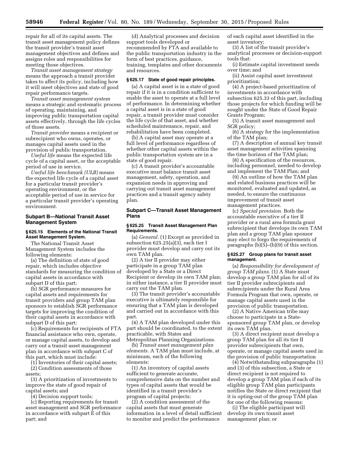repair for all of its capital assets. The transit asset management policy defines the transit provider's transit asset management objectives and defines and assigns roles and responsibilities for meeting those objectives.

*Transit asset management strategy*  means the approach a transit provider takes to affect its policy, including how it will meet objectives and state of good repair performance targets.

*Transit asset management system*  means a strategic and systematic process of operating, maintaining, and improving public transportation capital assets effectively, through the life cycles of those assets.

*Transit provider* means a recipient or subrecipient who owns, operates, or manages capital assets used in the provision of public transportation.

*Useful life* means the expected life cycle of a capital asset, or the acceptable period of use in service.

*Useful life benchmark (ULB)* means the expected life cycle of a capital asset for a particular transit provider's operating environment, or the acceptable period of use in service for a particular transit provider's operating environment.

# **Subpart B—National Transit Asset Management System**

#### **§ 625.15 Elements of the National Transit Asset Management System.**

The National Transit Asset Management System includes the following elements:

(a) The definition of state of good repair, which includes objective standards for measuring the condition of capital assets in accordance with subpart D of this part;

(b) SGR performance measures for capital assets and requirements for transit providers and group TAM plan sponsors to establish SGR performance targets for improving the condition of their capital assets in accordance with subpart D of this part;

(c) Requirements for recipients of FTA financial assistance who own, operate, or manage capital assets, to develop and carry out a transit asset management plan in accordance with subpart C of this part, which must include:

(1) Inventories of their capital assets; (2) Condition assessments of those assets;

(3) A prioritization of investments to improve the state of good repair of capital assets; and

(4) Decision support tools;

(c) Reporting requirements for transit asset management and SGR performance in accordance with subpart E of this part; and

(d) Analytical processes and decision support tools developed or recommended by FTA and available to the public transportation industry in the form of best practices, guidance, training, templates and other documents and resources.

#### **§ 625.17 State of good repair principles.**

(a) A capital asset is in a state of good repair if it is in a condition sufficient to enable the asset to operate at a full level of performance. In determining whether a capital asset is in a state of good repair, a transit provider must consider the life cycle of that asset, and whether scheduled maintenance, repair, and rehabilitation have been completed.

(b) A capital asset may operate at a full level of performance regardless of whether other capital assets within the public transportation system are in a state of good repair.

(c) A transit provider's accountable executive must balance transit asset management, safety, operation, and expansion needs in approving and carrying out transit asset management practices and a transit agency safety plan.

# **Subpart C—Transit Asset Management Plans**

#### **§ 625.25 Transit Asset Management Plan Requirements.**

(a) *General.* (1) Except as provided in subsection 625.25(a)(3), each tier I provider must develop and carry out its own TAM plan.

(2) A tier II provider may either participate in a group TAM plan developed by a State or a Direct Recipient or develop its own TAM plan; in either instance, a tier II provider must carry out the TAM plan.

(3) The transit provider's accountable executive is ultimately responsible for ensuring that a TAM plan is developed and carried out in accordance with this part.

(4) A TAM plan developed under this part should be coordinated, to the extent practicable, with States and Metropolitan Planning Organizations.

(b) *Transit asset management plan elements.* A TAM plan must include, at minimum, each of the following elements:

(1) An inventory of capital assets sufficient to generate accurate, comprehensive data on the number and types of capital assets that would be identified in a transit provider's program of capital projects;

(2) A condition assessment of the capital assets that must generate information in a level of detail sufficient to monitor and predict the performance

of each capital asset identified in the asset inventory;

(3) A list of the transit provider's analytical processes or decision-support tools that:

(i) Estimate capital investment needs over time; and

(ii) Assist capital asset investment prioritization;

(4) A project-based prioritization of investments in accordance with subsection 625.33 of this part, including those projects for which funding will be sought under the State of Good Repair Grants Program;

(5) A transit asset management and SGR policy;

(6) A strategy for the implementation of the TAM plan;

(7) A description of annual key transit asset management activities spanning the time horizon of the TAM plan;

(8) A specification of the resources, including personnel, needed to develop and implement the TAM Plan; and

(9) An outline of how the TAM plan and related business practices will be monitored, evaluated and updated, as needed, to ensure the continuous improvement of transit asset management practices.

(c) *Special provision.* Both the accountable executive of a tier II provider or a rural area formula grant subrecipient that develops its own TAM plan and a group TAM plan sponsor may elect to forgo the requirements of paragraphs (b)(5)–(b)(9) of this section.

#### **§ 625.27 Group plans for transit asset management.**

(a) *Responsibility for development of group TAM plans.* (1) A State must develop a group TAM plan for all of its tier II provider subrecipients and subrecipients under the Rural Area Formula Program that own, operate, or manage capital assets used in the provision of public transportation.

(2) A Native American tribe may choose to participate in a Statesponsored group TAM plan, or develop its own TAM plan.

(3) A direct recipient must develop a group TAM plan for all its tier II provider subrecipients that own, operate, or manage capital assets used in the provision of public transportation

(4) Notwithstanding subparagraphs (1) and (3) of this subsection, a State or direct recipient is not required to develop a group TAM plan if each of its eligible group TAM plan participants notifies the State or direct recipient that it is opting-out of the group TAM plan for one of the following reasons:

(i) The eligible participant will develop its own transit asset management plan; or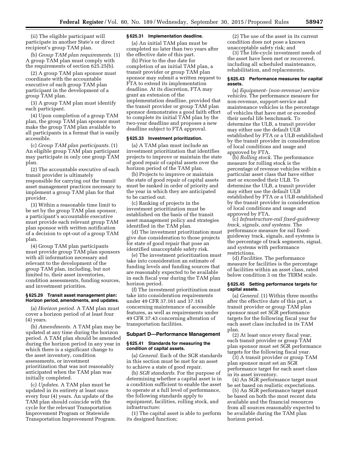(ii) The eligible participant will participate in another State's or direct recipient's group TAM plan.

(b) *Group TAM plan requirements.* (1) A group TAM plan must comply with the requirements of section 625.25(b).

(2) A group TAM plan sponsor must coordinate with the accountable executive of each group TAM plan participant in the development of a group TAM plan.

(3) A group TAM plan must identify each participant.

(4) Upon completion of a group TAM plan, the group TAM plan sponsor must make the group TAM plan available to all participants in a format that is easily accessible.

(c) *Group TAM plan participants.* (1) An eligible group TAM plan participant may participate in only one group TAM plan.

(2) The accountable executive of each transit provider is ultimately responsible for carrying out the transit asset management practices necessary to implement a group TAM plan for that provider.

(3) Within a reasonable time limit to be set by the group TAM plan sponsor, a participant's accountable executive must provide each relevant group TAM plan sponsor with written notification of a decision to opt-out of a group TAM plan.

(4) Group TAM plan participants must provide group TAM plan sponsors with all information necessary and relevant to the development of the group TAM plan, including, but not limited to, their asset inventories, condition assessments, funding sources, and investment priorities.

#### **§ 625.29 Transit asset management plan: Horizon period, amendments, and updates.**

(a) *Horizon period.* A TAM plan must cover a horizon period of at least four (4) years.

(b) *Amendments.* A TAM plan may be updated at any time during the horizon period. A TAM plan should be amended during the horizon period in any year in which there is a significant change to the asset inventory, condition assessments, or investment prioritization that was not reasonably anticipated when the TAM plan was initially completed.

(c) *Updates.* A TAM plan must be updated in its entirety at least once every four (4) years. An update of the TAM plan should coincide with the cycle for the relevant Transportation Improvement Program or Statewide Transportation Improvement Program.

#### **§ 625.31 Implementation deadline.**

(a) An initial TAM plan must be completed no later than two years after the effective date of this part.

(b) Prior to the due date for completion of an initial TAM plan, a transit provider or group TAM plan sponsor may submit a written request to FTA to extend its implementation deadline. At its discretion, FTA may grant an extension of the implementation deadline, provided that the transit provider or group TAM plan sponsor demonstrates a good faith effort to complete its initial TAM plan by the two-year deadline and proposes a new deadline subject to FTA approval.

#### **§ 625.33 Investment prioritization.**

(a) A TAM plan must include an investment prioritization that identifies projects to improve or maintain the state of good repair of capital assets over the horizon period of the TAM plan.

(b) Projects to improve or maintain the state of good repair of capital assets must be ranked in order of priority and the year in which they are anticipated to be carried out.

(c) Ranking of projects in the investment prioritization must be established on the basis of the transit asset management policy and strategies identified in the TAM plan.

(d) The investment prioritization must give due consideration to those projects for state of good repair that pose an identified unacceptable safety risk.

(e) The investment prioritization must take into consideration an estimate of funding levels and funding sources that are reasonably expected to be available in each fiscal year during the TAM plan horizon period.

(f) The investment prioritization must take into consideration requirements under 49 CFR 37.161 and 37.163 concerning maintenance of accessible features, as well as requirements under 49 CFR 37.43 concerning alteration of transportation facilities.

#### **Subpart D—Performance Management**

#### **§ 625.41 Standards for measuring the condition of capital assets.**

(a) *General.* Each of the SGR standards in this section must be met for an asset to achieve a state of good repair.

(b) *SGR standards.* For the purpose of determining whether a capital asset is in a condition sufficient to enable the asset to operate at a full level of performance, the following standards apply to equipment, facilities, rolling stock, and infrastructure:

(1) The capital asset is able to perform its designed function;

(2) The use of the asset in its current condition does not pose a known unacceptable safety risk; and

(3) The life-cycle investment needs of the asset have been met or recovered, including all scheduled maintenance, rehabilitation, and replacements.

#### **§ 625.43 Performance measures for capital assets.**

(a) *Equipment- (non-revenue) service vehicles.* The performance measure for non-revenue, support-service and maintenance vehicles is the percentage of vehicles that have met or exceeded their useful life benchmark. To determine the ULB, a transit provider may either use the default ULB established by FTA or a ULB established by the transit provider in consideration of local conditions and usage and approved by FTA.

(b) *Rolling stock.* The performance measure for rolling stock is the percentage of revenue vehicles within a particular asset class that have either met or exceeded their ULB. To determine the ULB, a transit provider may either use the default ULB established by FTA or a ULB established by the transit provider in consideration of local conditions and usage and approved by FTA.

(c) *Infrastructure-rail fixed-guideway track, signals, and systems.* The performance measure for rail fixedguideway track, signals, and systems is the percentage of track segments, signal, and systems with performance restrictions.

(d) *Facilities.* The performance measure for facilities is the percentage of facilities within an asset class, rated below condition 3 on the TERM scale.

#### **§ 625.45 Setting performance targets for capital assets.**

(a) *General.* (1) Within three months after the effective date of this part, a transit provider or group TAM plan sponsor must set SGR performance targets for the following fiscal year for each asset class included in its TAM plan.

(2) At least once every fiscal year, each transit provider or group TAM plan sponsor must set SGR performance targets for the following fiscal year.

(3) A transit provider or group TAM plan sponsor must set an SGR performance target for each asset class in its asset inventory.

(4) An SGR performance target must be set based on realistic expectations.

(5) An SGR performance target must be based on both the most recent data available and the financial resources from all sources reasonably expected to be available during the TAM plan horizon period.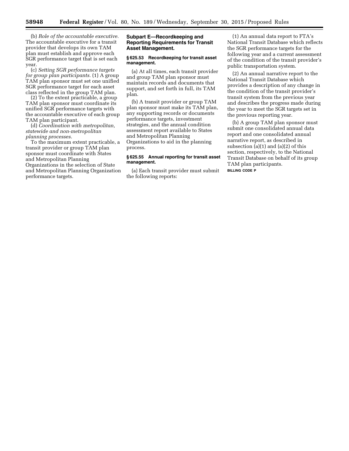(b) *Role of the accountable executive.*  The accountable executive for a transit provider that develops its own TAM plan must establish and approve each SGR performance target that is set each year.

(c) *Setting SGR performance targets for group plan participants.* (1) A group TAM plan sponsor must set one unified SGR performance target for each asset class reflected in the group TAM plan.

(2) To the extent practicable, a group TAM plan sponsor must coordinate its unified SGR performance targets with the accountable executive of each group TAM plan participant.

(d) *Coordination with metropolitan, statewide and non-metropolitan planning processes.* 

To the maximum extent practicable, a transit provider or group TAM plan sponsor must coordinate with States and Metropolitan Planning Organizations in the selection of State and Metropolitan Planning Organization performance targets.

# **Subpart E—Recordkeeping and Reporting Requirements for Transit Asset Management.**

#### **§ 625.53 Recordkeeping for transit asset management.**

(a) At all times, each transit provider and group TAM plan sponsor must maintain records and documents that support, and set forth in full, its TAM plan.

(b) A transit provider or group TAM plan sponsor must make its TAM plan, any supporting records or documents performance targets, investment strategies, and the annual condition assessment report available to States and Metropolitan Planning Organizations to aid in the planning process.

# **§ 625.55 Annual reporting for transit asset management.**

(a) Each transit provider must submit the following reports:

(1) An annual data report to FTA's National Transit Database which reflects the SGR performance targets for the following year and a current assessment of the condition of the transit provider's public transportation system.

(2) An annual narrative report to the National Transit Database which provides a description of any change in the condition of the transit provider's transit system from the previous year and describes the progress made during the year to meet the SGR targets set in the previous reporting year.

(b) A group TAM plan sponsor must submit one consolidated annual data report and one consolidated annual narrative report, as described in subsection  $(a)(1)$  and  $(a)(2)$  of this section, respectively, to the National Transit Database on behalf of its group TAM plan participants.

**BILLING CODE P**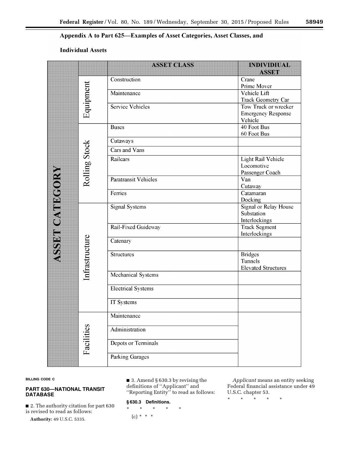# Appendix A to Part 625-Examples of Asset Categories, Asset Classes, and

# Individual Assets

|                       |                | <b>ASSET CLASS</b>          | <b>INDIVIDIUAL</b>               |
|-----------------------|----------------|-----------------------------|----------------------------------|
|                       |                |                             | <b>ASSET</b>                     |
|                       |                | Construction                | Crane                            |
|                       | Equipment      |                             | Prime Mover                      |
|                       |                | Maintenance                 | Vehicle Lift                     |
|                       |                |                             | Track Geometry Car               |
|                       |                | <b>Service Vehicles</b>     | Tow Truck or wrecker             |
|                       |                |                             | <b>Emergency Response</b>        |
|                       |                | <b>Buses</b>                | Vehicle<br>40 Foot Bus           |
|                       |                |                             | 60 Foot Bus                      |
|                       |                | Cutaways                    |                                  |
|                       |                | Cars and Vans               |                                  |
|                       |                | Railcars                    |                                  |
|                       |                |                             | Light Rail Vehicle<br>Locomotive |
|                       |                |                             | Passenger Coach                  |
|                       | Rolling Stock  | <b>Paratransit Vehicles</b> | Van                              |
|                       |                |                             | Cutaway                          |
|                       |                | Ferries                     | Catamaran                        |
|                       |                |                             | Docking                          |
|                       |                | <b>Signal Systems</b>       | <b>Signal or Relay House</b>     |
|                       |                |                             | Substation                       |
|                       |                |                             | Interlockings                    |
| <b>ASSET CATEGORY</b> |                | Rail-Fixed Guideway         | <b>Track Segment</b>             |
|                       |                |                             | Interlockings                    |
|                       | Infrastructure | Catenary                    |                                  |
|                       |                | Structures                  | <b>Bridges</b>                   |
|                       |                |                             | Tunnels                          |
|                       |                |                             | <b>Elevated Structures</b>       |
|                       |                | Mechanical Systems          |                                  |
|                       |                | <b>Electrical Systems</b>   |                                  |
|                       |                |                             |                                  |
|                       |                | IT Systems                  |                                  |
|                       |                | Maintenance                 |                                  |
|                       |                | Administration              |                                  |
|                       |                |                             |                                  |
|                       | Facilities     | Depots or Terminals         |                                  |
|                       |                |                             |                                  |
|                       |                | <b>Parking Garages</b>      |                                  |
|                       |                |                             |                                  |

# **BILLING CODE C**

# **PART 630—NATIONAL TRANSIT DATABASE**

■ 2. The authority citation for part 630 is revised to read as follows:

**Authority:** 49 U.S.C. 5335.

# ■ 3. Amend § 630.3 by revising the definitions of ''Applicant'' and

''Reporting Entity'' to read as follows:

# **§ 630.3 Definitions.**

\* \* \* \* \*  $(c) * * * *$ 

*Applicant* means an entity seeking Federal financial assistance under 49 U.S.C. chapter 53.

\* \* \* \* \*

٠